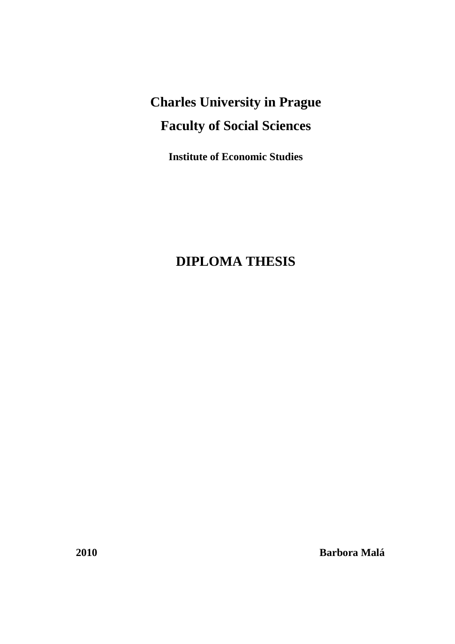# **Charles University in Prague Faculty of Social Sciences**

**Institute of Economic Studies** 

## **DIPLOMA THESIS**

**2010 Barbora Malá**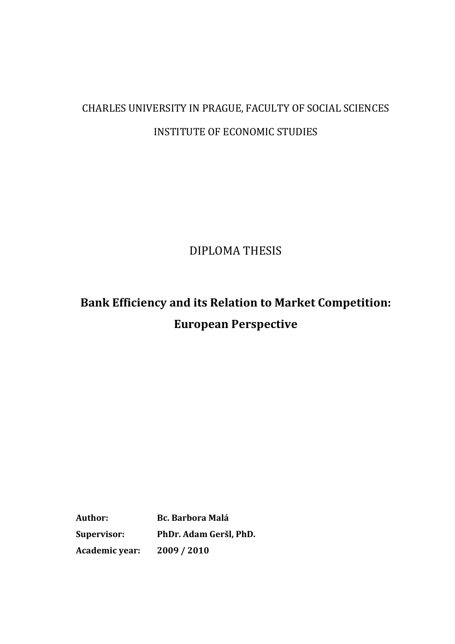# CHARLES UNIVERSITY IN PRAGUE, FACULTY OF SOCIAL SCIENCES INSTITUTE OF ECONOMIC STUDIES

DIPLOMA THESIS

**Bank Efficiency and its Relation to Market Competition: European Perspective**

**Author: Bc. Barbora Malá Supervisor: PhDr. Adam Geršl, PhD. Academic year: 2009 / 2010**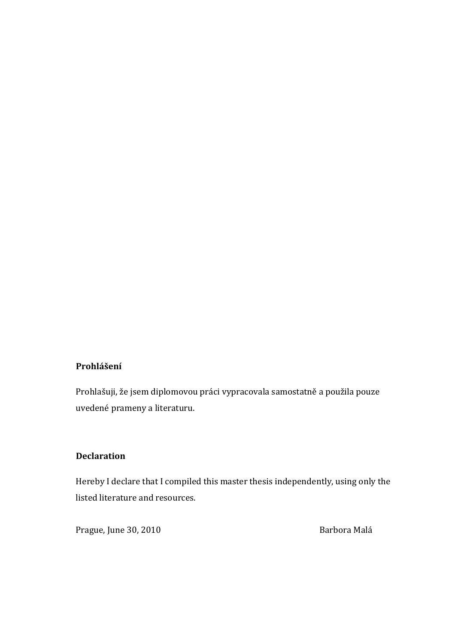#### **Prohlášení**

Prohlašuji, že jsem diplomovou práci vypracovala samostatně a použila pouze uvedené prameny a literaturu.

#### **Declaration**

Hereby I declare that I compiled this master thesis independently, using only the listed literature and resources.

Prague, June 30, 2010 **Barbora Malá**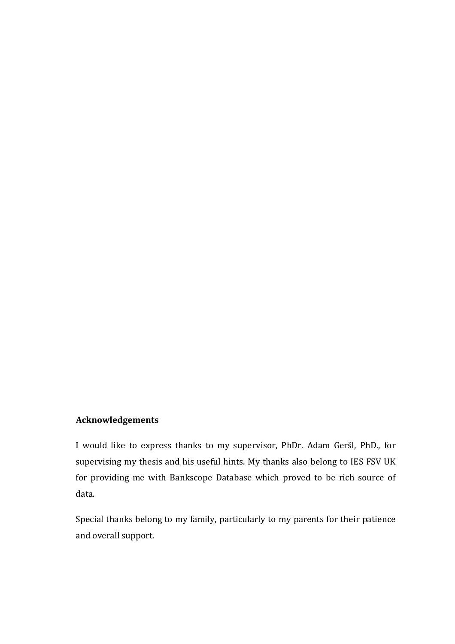#### **Acknowledgements**

I would like to express thanks to my supervisor, PhDr. Adam Geršl, PhD., for supervising my thesis and his useful hints. My thanks also belong to IES FSV UK for providing me with Bankscope Database which proved to be rich source of data.

Special thanks belong to my family, particularly to my parents for their patience and overall support.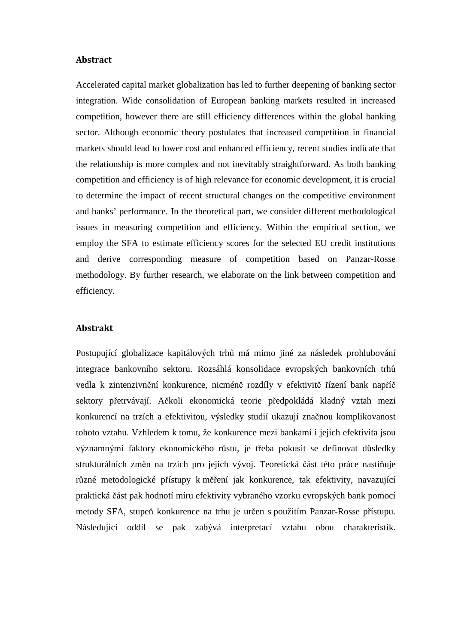#### **Abstract**

Accelerated capital market globalization has led to further deepening of banking sector integration. Wide consolidation of European banking markets resulted in increased competition, however there are still efficiency differences within the global banking sector. Although economic theory postulates that increased competition in financial markets should lead to lower cost and enhanced efficiency, recent studies indicate that the relationship is more complex and not inevitably straightforward. As both banking competition and efficiency is of high relevance for economic development, it is crucial to determine the impact of recent structural changes on the competitive environment and banks' performance. In the theoretical part, we consider different methodological issues in measuring competition and efficiency. Within the empirical section, we employ the SFA to estimate efficiency scores for the selected EU credit institutions and derive corresponding measure of competition based on Panzar-Rosse methodology. By further research, we elaborate on the link between competition and efficiency.

#### **Abstrakt**

Postupující globalizace kapitálových trhů má mimo jiné za následek prohlubování integrace bankovního sektoru. Rozsáhlá konsolidace evropských bankovních trhů vedla k zintenzivnění konkurence, nicméně rozdíly v efektivitě řízení bank napříč sektory přetrvávají. Ačkoli ekonomická teorie předpokládá kladný vztah mezi konkurencí na trzích a efektivitou, výsledky studií ukazují značnou komplikovanost tohoto vztahu. Vzhledem k tomu, že konkurence mezi bankami i jejich efektivita jsou významnými faktory ekonomického růstu, je třeba pokusit se definovat důsledky strukturálních změn na trzích pro jejich vývoj. Teoretická část této práce nastiňuje různé metodologické přístupy k měření jak konkurence, tak efektivity, navazující praktická část pak hodnotí míru efektivity vybraného vzorku evropských bank pomocí metody SFA, stupeň konkurence na trhu je určen s použitím Panzar-Rosse přístupu. Následující oddíl se pak zabývá interpretací vztahu obou charakteristik.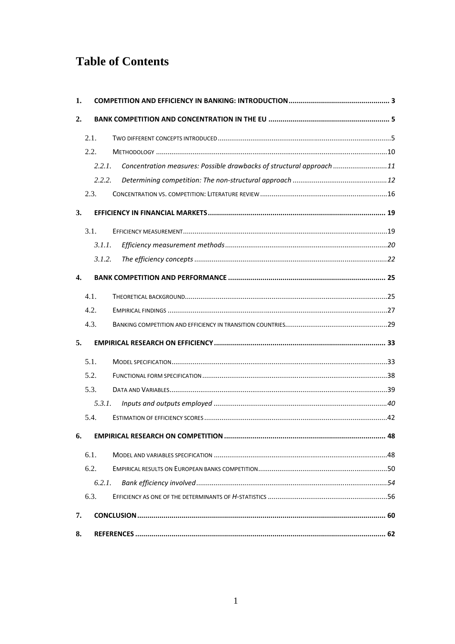## **Table of Contents**

| 1.               |        |                                                                      |  |
|------------------|--------|----------------------------------------------------------------------|--|
| 2.               |        |                                                                      |  |
|                  | 2.1.   |                                                                      |  |
|                  | 2.2.   |                                                                      |  |
|                  | 2.2.1. | Concentration measures: Possible drawbacks of structural approach 11 |  |
|                  | 2.2.2. |                                                                      |  |
|                  | 2.3.   |                                                                      |  |
| 3.               |        |                                                                      |  |
|                  | 3.1.   |                                                                      |  |
|                  | 3.1.1. |                                                                      |  |
|                  | 3.1.2. |                                                                      |  |
| $\overline{4}$ . |        |                                                                      |  |
|                  | 4.1.   |                                                                      |  |
|                  | 4.2.   |                                                                      |  |
|                  | 4.3.   |                                                                      |  |
| 5.               |        |                                                                      |  |
|                  | 5.1.   |                                                                      |  |
|                  | 5.2.   |                                                                      |  |
|                  | 5.3.   |                                                                      |  |
|                  | 5.3.1. |                                                                      |  |
|                  | 5.4.   |                                                                      |  |
| 6.               |        |                                                                      |  |
|                  | 6.1.   |                                                                      |  |
|                  | 6.2.   |                                                                      |  |
|                  | 6.2.1. |                                                                      |  |
|                  | 6.3.   |                                                                      |  |
| 7.               |        |                                                                      |  |
| 8.               |        |                                                                      |  |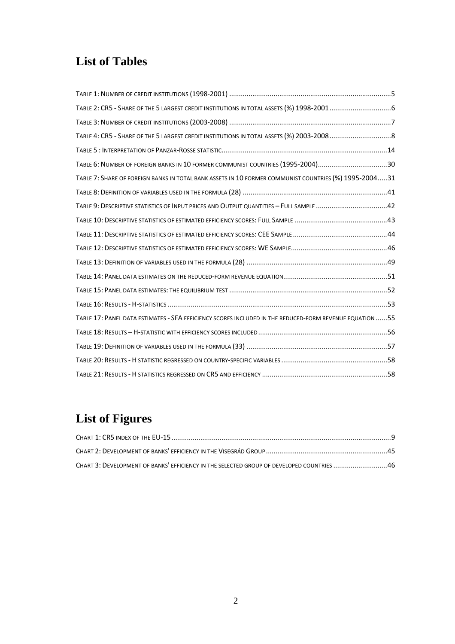## **List of Tables**

| TABLE 6: NUMBER OF FOREIGN BANKS IN 10 FORMER COMMUNIST COUNTRIES (1995-2004)30                          |
|----------------------------------------------------------------------------------------------------------|
| TABLE 7: SHARE OF FOREIGN BANKS IN TOTAL BANK ASSETS IN 10 FORMER COMMUNIST COUNTRIES (%) 1995-200431    |
|                                                                                                          |
| TABLE 9: DESCRIPTIVE STATISTICS OF INPUT PRICES AND OUTPUT QUANTITIES - FULL SAMPLE 42                   |
|                                                                                                          |
|                                                                                                          |
|                                                                                                          |
|                                                                                                          |
|                                                                                                          |
|                                                                                                          |
|                                                                                                          |
| TABLE 17: PANEL DATA ESTIMATES - SFA EFFICIENCY SCORES INCLUDED IN THE REDUCED-FORM REVENUE EQUATION  55 |
|                                                                                                          |
|                                                                                                          |
|                                                                                                          |
|                                                                                                          |

# **List of Figures**

| CHART 3: DEVELOPMENT OF BANKS' EFFICIENCY IN THE SELECTED GROUP OF DEVELOPED COUNTRIES 46 |  |
|-------------------------------------------------------------------------------------------|--|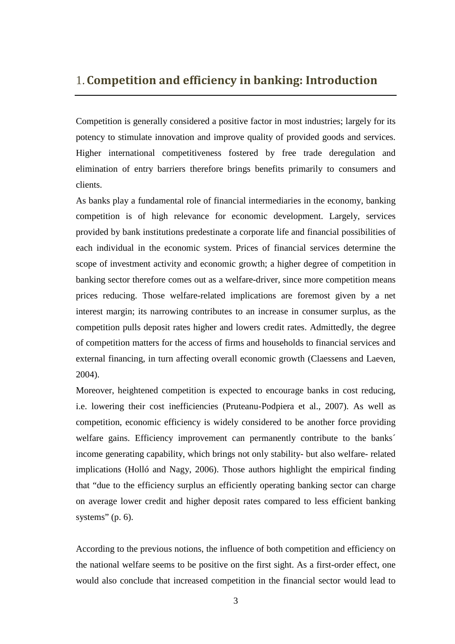### 1.**Competition and efficiency in banking: Introduction**

Competition is generally considered a positive factor in most industries; largely for its potency to stimulate innovation and improve quality of provided goods and services. Higher international competitiveness fostered by free trade deregulation and elimination of entry barriers therefore brings benefits primarily to consumers and clients.

As banks play a fundamental role of financial intermediaries in the economy, banking competition is of high relevance for economic development. Largely, services provided by bank institutions predestinate a corporate life and financial possibilities of each individual in the economic system. Prices of financial services determine the scope of investment activity and economic growth; a higher degree of competition in banking sector therefore comes out as a welfare-driver, since more competition means prices reducing. Those welfare-related implications are foremost given by a net interest margin; its narrowing contributes to an increase in consumer surplus, as the competition pulls deposit rates higher and lowers credit rates. Admittedly, the degree of competition matters for the access of firms and households to financial services and external financing, in turn affecting overall economic growth (Claessens and Laeven, 2004).

Moreover, heightened competition is expected to encourage banks in cost reducing, i.e. lowering their cost inefficiencies (Pruteanu-Podpiera et al., 2007). As well as competition, economic efficiency is widely considered to be another force providing welfare gains. Efficiency improvement can permanently contribute to the banks<sup> $\hat{ }$ </sup> income generating capability, which brings not only stability- but also welfare- related implications (Holló and Nagy, 2006). Those authors highlight the empirical finding that "due to the efficiency surplus an efficiently operating banking sector can charge on average lower credit and higher deposit rates compared to less efficient banking systems"  $(p, 6)$ .

According to the previous notions, the influence of both competition and efficiency on the national welfare seems to be positive on the first sight. As a first-order effect, one would also conclude that increased competition in the financial sector would lead to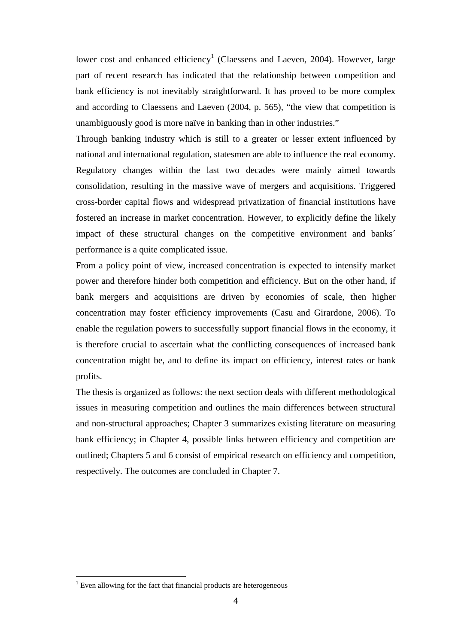lower cost and enhanced efficiency<sup>1</sup> (Claessens and Laeven, 2004). However, large part of recent research has indicated that the relationship between competition and bank efficiency is not inevitably straightforward. It has proved to be more complex and according to Claessens and Laeven (2004, p. 565), "the view that competition is unambiguously good is more naïve in banking than in other industries."

Through banking industry which is still to a greater or lesser extent influenced by national and international regulation, statesmen are able to influence the real economy. Regulatory changes within the last two decades were mainly aimed towards consolidation, resulting in the massive wave of mergers and acquisitions. Triggered cross-border capital flows and widespread privatization of financial institutions have fostered an increase in market concentration. However, to explicitly define the likely impact of these structural changes on the competitive environment and banks´ performance is a quite complicated issue.

From a policy point of view, increased concentration is expected to intensify market power and therefore hinder both competition and efficiency. But on the other hand, if bank mergers and acquisitions are driven by economies of scale, then higher concentration may foster efficiency improvements (Casu and Girardone, 2006). To enable the regulation powers to successfully support financial flows in the economy, it is therefore crucial to ascertain what the conflicting consequences of increased bank concentration might be, and to define its impact on efficiency, interest rates or bank profits.

The thesis is organized as follows: the next section deals with different methodological issues in measuring competition and outlines the main differences between structural and non-structural approaches; Chapter 3 summarizes existing literature on measuring bank efficiency; in Chapter 4, possible links between efficiency and competition are outlined; Chapters 5 and 6 consist of empirical research on efficiency and competition, respectively. The outcomes are concluded in Chapter 7.

 1 Even allowing for the fact that financial products are heterogeneous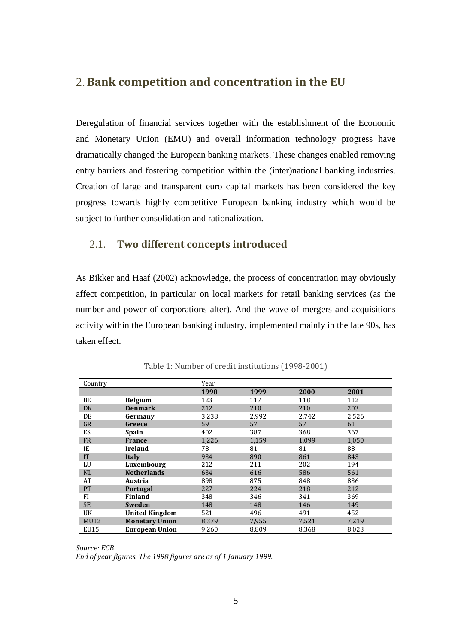### 2.**Bank competition and concentration in the EU**

Deregulation of financial services together with the establishment of the Economic and Monetary Union (EMU) and overall information technology progress have dramatically changed the European banking markets. These changes enabled removing entry barriers and fostering competition within the (inter)national banking industries. Creation of large and transparent euro capital markets has been considered the key progress towards highly competitive European banking industry which would be subject to further consolidation and rationalization.

#### 2.1. **Two different concepts introduced**

As Bikker and Haaf (2002) acknowledge, the process of concentration may obviously affect competition, in particular on local markets for retail banking services (as the number and power of corporations alter). And the wave of mergers and acquisitions activity within the European banking industry, implemented mainly in the late 90s, has taken effect.

| Country     |                       | Year  |       |       |       |
|-------------|-----------------------|-------|-------|-------|-------|
|             |                       | 1998  | 1999  | 2000  | 2001  |
| BE          | <b>Belgium</b>        | 123   | 117   | 118   | 112   |
| DK          | <b>Denmark</b>        | 212   | 210   | 210   | 203   |
| DE          | Germany               | 3,238 | 2,992 | 2.742 | 2,526 |
| GR          | Greece                | 59    | 57    | 57    | 61    |
| ES          | Spain                 | 402   | 387   | 368   | 367   |
| <b>FR</b>   | <b>France</b>         | 1,226 | 1,159 | 1,099 | 1,050 |
| IE          | <b>Ireland</b>        | 78    | 81    | 81    | 88    |
| <b>IT</b>   | Italy                 | 934   | 890   | 861   | 843   |
| LU          | Luxembourg            | 212   | 211   | 202   | 194   |
| NL          | <b>Netherlands</b>    | 634   | 616   | 586   | 561   |
| AT          | Austria               | 898   | 875   | 848   | 836   |
| <b>PT</b>   | <b>Portugal</b>       | 227   | 224   | 218   | 212   |
| FI          | <b>Finland</b>        | 348   | 346   | 341   | 369   |
| <b>SE</b>   | <b>Sweden</b>         | 148   | 148   | 146   | 149   |
| UK          | <b>United Kingdom</b> | 521   | 496   | 491   | 452   |
| <b>MU12</b> | <b>Monetary Union</b> | 8,379 | 7,955 | 7,521 | 7,219 |
| EU15        | <b>European Union</b> | 9,260 | 8,809 | 8,368 | 8,023 |

Table 1: Number of credit institutions (1998-2001)

*Source: ECB. End of year figures. The 1998 figures are as of 1 January 1999.*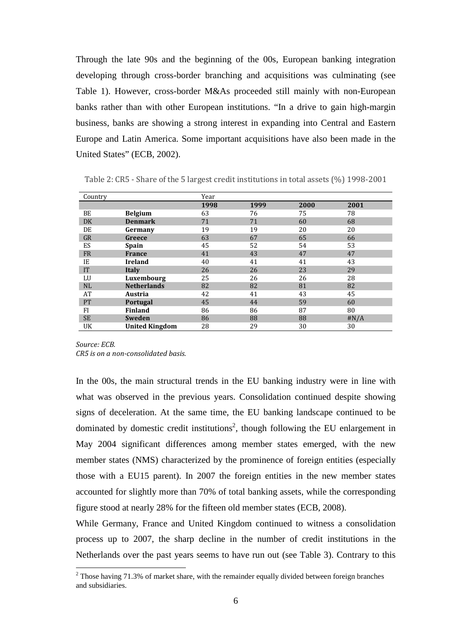Through the late 90s and the beginning of the 00s, European banking integration developing through cross-border branching and acquisitions was culminating (see Table 1). However, cross-border M&As proceeded still mainly with non-European banks rather than with other European institutions. "In a drive to gain high-margin business, banks are showing a strong interest in expanding into Central and Eastern Europe and Latin America. Some important acquisitions have also been made in the United States" (ECB, 2002).

| Country   |                       | Year |      |      |      |
|-----------|-----------------------|------|------|------|------|
|           |                       | 1998 | 1999 | 2000 | 2001 |
| BE        | <b>Belgium</b>        | 63   | 76   | 75   | 78   |
| DK        | <b>Denmark</b>        | 71   | 71   | 60   | 68   |
| DE        | Germany               | 19   | 19   | 20   | 20   |
| GR        | Greece                | 63   | 67   | 65   | 66   |
| ES        | <b>Spain</b>          | 45   | 52   | 54   | 53   |
| <b>FR</b> | <b>France</b>         | 41   | 43   | 47   | 47   |
| IE        | <b>Ireland</b>        | 40   | 41   | 41   | 43   |
| <b>IT</b> | Italy                 | 26   | 26   | 23   | 29   |
| LU        | Luxembourg            | 25   | 26   | 26   | 28   |
| NL        | <b>Netherlands</b>    | 82   | 82   | 81   | 82   |
| AT        | Austria               | 42   | 41   | 43   | 45   |
| PT        | Portugal              | 45   | 44   | 59   | 60   |
| FI        | <b>Finland</b>        | 86   | 86   | 87   | 80   |
| <b>SE</b> | Sweden                | 86   | 88   | 88   | #N/A |
| UK        | <b>United Kingdom</b> | 28   | 29   | 30   | 30   |

Table 2: CR5 - Share of the 5 largest credit institutions in total assets (%) 1998-2001

*Source: ECB. CR5 is on a non-consolidated basis.*

 $\overline{a}$ 

In the 00s, the main structural trends in the EU banking industry were in line with what was observed in the previous years. Consolidation continued despite showing signs of deceleration. At the same time, the EU banking landscape continued to be dominated by domestic credit institutions<sup>2</sup>, though following the EU enlargement in May 2004 significant differences among member states emerged, with the new member states (NMS) characterized by the prominence of foreign entities (especially those with a EU15 parent). In 2007 the foreign entities in the new member states accounted for slightly more than 70% of total banking assets, while the corresponding figure stood at nearly 28% for the fifteen old member states (ECB, 2008).

While Germany, France and United Kingdom continued to witness a consolidation process up to 2007, the sharp decline in the number of credit institutions in the Netherlands over the past years seems to have run out (see Table 3). Contrary to this

 $2$  Those having 71.3% of market share, with the remainder equally divided between foreign branches and subsidiaries.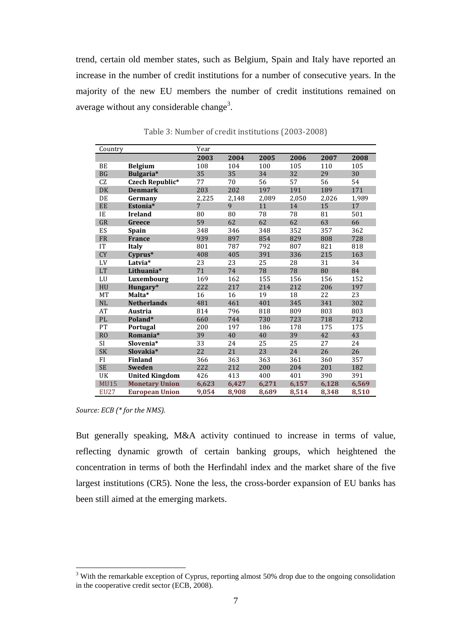trend, certain old member states, such as Belgium, Spain and Italy have reported an increase in the number of credit institutions for a number of consecutive years. In the majority of the new EU members the number of credit institutions remained on average without any considerable change<sup>3</sup>.

| Country       |                       | Year           |       |       |       |       |       |
|---------------|-----------------------|----------------|-------|-------|-------|-------|-------|
|               |                       | 2003           | 2004  | 2005  | 2006  | 2007  | 2008  |
| BE            | <b>Belgium</b>        | 108            | 104   | 100   | 105   | 110   | 105   |
| <b>BG</b>     | Bulgaria*             | 35             | 35    | 34    | 32    | 29    | 30    |
| CZ            | Czech Republic*       | 77             | 70    | 56    | 57    | 56    | 54    |
| <b>DK</b>     | <b>Denmark</b>        | 203            | 202   | 197   | 191   | 189   | 171   |
| DE            | Germany               | 2,225          | 2,148 | 2,089 | 2,050 | 2,026 | 1,989 |
| EE            | Estonia*              | $\overline{7}$ | 9     | 11    | 14    | 15    | 17    |
| IE            | <b>Ireland</b>        | 80             | 80    | 78    | 78    | 81    | 501   |
| ${\rm GR}$    | Greece                | 59             | 62    | 62    | 62    | 63    | 66    |
| ES            | Spain                 | 348            | 346   | 348   | 352   | 357   | 362   |
| <b>FR</b>     | <b>France</b>         | 939            | 897   | 854   | 829   | 808   | 728   |
| IT            | <b>Italy</b>          | 801            | 787   | 792   | 807   | 821   | 818   |
| <b>CY</b>     | Cyprus*               | 408            | 405   | 391   | 336   | 215   | 163   |
| LV            | Latvia*               | 23             | 23    | 25    | 28    | 31    | 34    |
| LT            | Lithuania*            | 71             | 74    | 78    | 78    | 80    | 84    |
| LU            | Luxembourg            | 169            | 162   | 155   | 156   | 156   | 152   |
| HU            | Hungary*              | 222            | 217   | 214   | 212   | 206   | 197   |
| <b>MT</b>     | Malta*                | 16             | 16    | 19    | 18    | 22    | 23    |
| NL            | <b>Netherlands</b>    | 481            | 461   | 401   | 345   | 341   | 302   |
| AT            | Austria               | 814            | 796   | 818   | 809   | 803   | 803   |
| $\mathsf{PL}$ | Poland*               | 660            | 744   | 730   | 723   | 718   | 712   |
| PT            | Portugal              | 200            | 197   | 186   | 178   | 175   | 175   |
| RO            | Romania*              | 39             | 40    | 40    | 39    | 42    | 43    |
| <b>SI</b>     | Slovenia*             | 33             | 24    | 25    | 25    | 27    | 24    |
| SK            | Slovakia*             | 22             | 21    | 23    | 24    | 26    | 26    |
| FI            | <b>Finland</b>        | 366            | 363   | 363   | 361   | 360   | 357   |
| SE            | Sweden                | 222            | 212   | 200   | 204   | 201   | 182   |
| UK            | <b>United Kingdom</b> | 426            | 413   | 400   | 401   | 390   | 391   |
| <b>MU15</b>   | <b>Monetary Union</b> | 6,623          | 6,427 | 6,271 | 6,157 | 6,128 | 6,569 |
| <b>EU27</b>   | <b>European Union</b> | 9,054          | 8,908 | 8,689 | 8,514 | 8,348 | 8,510 |

Table 3: Number of credit institutions (2003-2008)

*Source: ECB (\* for the NMS).* 

 $\overline{a}$ 

But generally speaking, M&A activity continued to increase in terms of value, reflecting dynamic growth of certain banking groups, which heightened the concentration in terms of both the Herfindahl index and the market share of the five largest institutions (CR5). None the less, the cross-border expansion of EU banks has been still aimed at the emerging markets.

<sup>&</sup>lt;sup>3</sup> With the remarkable exception of Cyprus, reporting almost 50% drop due to the ongoing consolidation in the cooperative credit sector (ECB, 2008).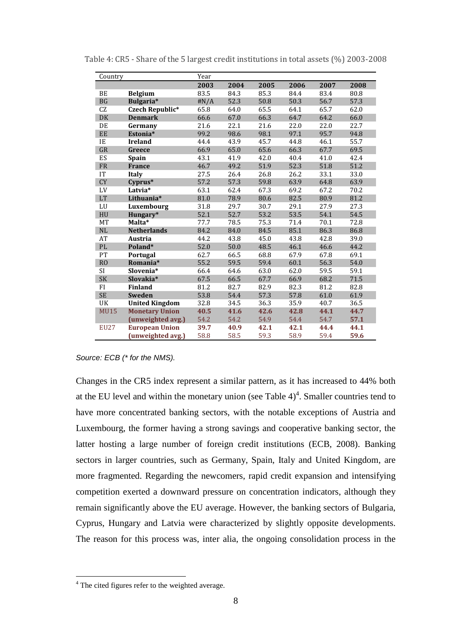| Country       |                       | Year |      |      |      |      |      |
|---------------|-----------------------|------|------|------|------|------|------|
|               |                       | 2003 | 2004 | 2005 | 2006 | 2007 | 2008 |
| BE            | <b>Belgium</b>        | 83.5 | 84.3 | 85.3 | 84.4 | 83.4 | 80.8 |
| <b>BG</b>     | Bulgaria*             | #N/A | 52.3 | 50.8 | 50.3 | 56.7 | 57.3 |
| CZ            | Czech Republic*       | 65.8 | 64.0 | 65.5 | 64.1 | 65.7 | 62.0 |
| $\rm DK$      | <b>Denmark</b>        | 66.6 | 67.0 | 66.3 | 64.7 | 64.2 | 66.0 |
| DE            | Germany               | 21.6 | 22.1 | 21.6 | 22.0 | 22.0 | 22.7 |
| EE            | Estonia*              | 99.2 | 98.6 | 98.1 | 97.1 | 95.7 | 94.8 |
| IE            | <b>Ireland</b>        | 44.4 | 43.9 | 45.7 | 44.8 | 46.1 | 55.7 |
| GR            | Greece                | 66.9 | 65.0 | 65.6 | 66.3 | 67.7 | 69.5 |
| ES            | Spain                 | 43.1 | 41.9 | 42.0 | 40.4 | 41.0 | 42.4 |
| FR            | <b>France</b>         | 46.7 | 49.2 | 51.9 | 52.3 | 51.8 | 51.2 |
| IT            | <b>Italy</b>          | 27.5 | 26.4 | 26.8 | 26.2 | 33.1 | 33.0 |
| <b>CY</b>     | Cyprus*               | 57.2 | 57.3 | 59.8 | 63.9 | 64.8 | 63.9 |
| LV            | Latvia*               | 63.1 | 62.4 | 67.3 | 69.2 | 67.2 | 70.2 |
| LT            | Lithuania*            | 81.0 | 78.9 | 80.6 | 82.5 | 80.9 | 81.2 |
| LU            | Luxembourg            | 31.8 | 29.7 | 30.7 | 29.1 | 27.9 | 27.3 |
| HU            | Hungary*              | 52.1 | 52.7 | 53.2 | 53.5 | 54.1 | 54.5 |
| MT            | Malta*                | 77.7 | 78.5 | 75.3 | 71.4 | 70.1 | 72.8 |
| NL            | <b>Netherlands</b>    | 84.2 | 84.0 | 84.5 | 85.1 | 86.3 | 86.8 |
| AT            | <b>Austria</b>        | 44.2 | 43.8 | 45.0 | 43.8 | 42.8 | 39.0 |
| $\mathsf{PL}$ | Poland*               | 52.0 | 50.0 | 48.5 | 46.1 | 46.6 | 44.2 |
| PT            | Portugal              | 62.7 | 66.5 | 68.8 | 67.9 | 67.8 | 69.1 |
| RO            | Romania*              | 55.2 | 59.5 | 59.4 | 60.1 | 56.3 | 54.0 |
| SI            | Slovenia*             | 66.4 | 64.6 | 63.0 | 62.0 | 59.5 | 59.1 |
| SK            | Slovakia*             | 67.5 | 66.5 | 67.7 | 66.9 | 68.2 | 71.5 |
| FI            | <b>Finland</b>        | 81.2 | 82.7 | 82.9 | 82.3 | 81.2 | 82.8 |
| <b>SE</b>     | Sweden                | 53.8 | 54.4 | 57.3 | 57.8 | 61.0 | 61.9 |
| UK            | <b>United Kingdom</b> | 32.8 | 34.5 | 36.3 | 35.9 | 40.7 | 36.5 |
| <b>MU15</b>   | <b>Monetary Union</b> | 40.5 | 41.6 | 42.6 | 42.8 | 44.1 | 44.7 |
|               | (unweighted avg.)     | 54.2 | 54.2 | 54.9 | 54.4 | 54.7 | 57.1 |
| <b>EU27</b>   | <b>European Union</b> | 39.7 | 40.9 | 42.1 | 42.1 | 44.4 | 44.1 |
|               | (unweighted avg.)     | 58.8 | 58.5 | 59.3 | 58.9 | 59.4 | 59.6 |

Table 4: CR5 - Share of the 5 largest credit institutions in total assets (%) 2003-2008

#### Source: ECB (\* for the NMS).

Changes in the CR5 index represent a similar pattern, as it has increased to 44% both at the EU level and within the monetary union (see Table  $4)^4$ . Smaller countries tend to have more concentrated banking sectors, with the notable exceptions of Austria and Luxembourg, the former having a strong savings and cooperative banking sector, the latter hosting a large number of foreign credit institutions (ECB, 2008). Banking sectors in larger countries, such as Germany, Spain, Italy and United Kingdom, are more fragmented. Regarding the newcomers, rapid credit expansion and intensifying competition exerted a downward pressure on concentration indicators, although they remain significantly above the EU average. However, the banking sectors of Bulgaria, Cyprus, Hungary and Latvia were characterized by slightly opposite developments. The reason for this process was, inter alia, the ongoing consolidation process in the

 4 The cited figures refer to the weighted average.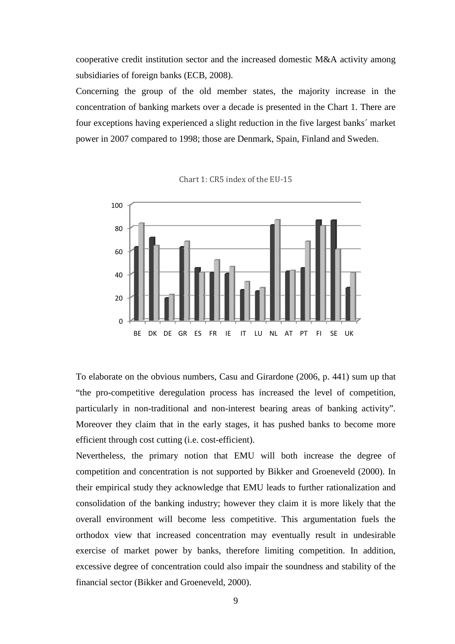cooperative credit institution sector and the increased domestic M&A activity among subsidiaries of foreign banks (ECB, 2008). subsidiaries of foreign banks (ECB, 2008).<br>Concerning the group of the old member states, the majority increase in the

concentration of banking markets over a decade is presented in the Chart 1. There are four exceptions having experienced a slight reduction in the five largest banks' market power in 2007 compared to 1998; those are Denmark, Spain, Finland and Sweden.



Chart 1: CR5 index of the EU-15

To elaborate on the obvious numbers, Casu and Girardone (2006, p. 441 "the pro-competitive deregulation process has increased the level of competition, "the pro-competitive deregulation process has increased the level of competition,<br>particularly in non-traditional and non-interest bearing areas of banking activity". Moreover they claim that in the early stages, it has pushed banks to become more efficient through cost cutting (i.e. cost-efficient).

Nevertheless, the primary notion that EMU will both increase the degree of competition and concentration is not supported by Bikker and Groeneveld ( (2000). In their empirical study they acknowledge that EMU leads to further rationalization and consolidation of the banking industry; however they claim it is more likely that the overall environment will become less competitive. This argumentation fuels the orthodox view that increased concentration may eventually result in undesirable orthodox view that increased concentration may eventually result in undesirable<br>exercise of market power by banks, therefore limiting competition. In addition, excessive degree of concentration could also impair the soundness and stability of the excessive degree of concentration could also im<br>financial sector (Bikker and Groeneveld, 2000).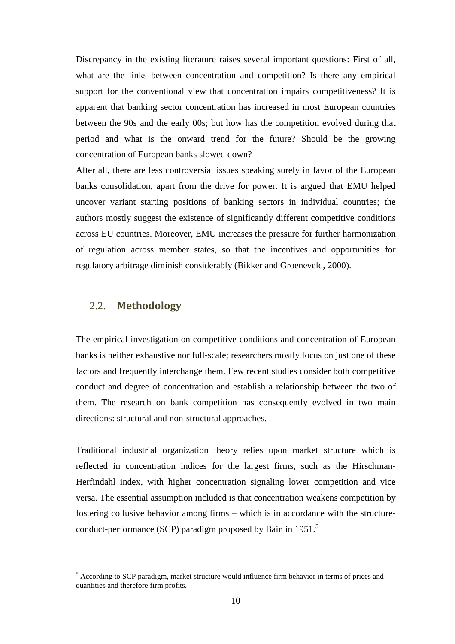Discrepancy in the existing literature raises several important questions: First of all, what are the links between concentration and competition? Is there any empirical support for the conventional view that concentration impairs competitiveness? It is apparent that banking sector concentration has increased in most European countries between the 90s and the early 00s; but how has the competition evolved during that period and what is the onward trend for the future? Should be the growing concentration of European banks slowed down?

After all, there are less controversial issues speaking surely in favor of the European banks consolidation, apart from the drive for power. It is argued that EMU helped uncover variant starting positions of banking sectors in individual countries; the authors mostly suggest the existence of significantly different competitive conditions across EU countries. Moreover, EMU increases the pressure for further harmonization of regulation across member states, so that the incentives and opportunities for regulatory arbitrage diminish considerably (Bikker and Groeneveld, 2000).

#### 2.2. **Methodology**

 $\overline{a}$ 

The empirical investigation on competitive conditions and concentration of European banks is neither exhaustive nor full-scale; researchers mostly focus on just one of these factors and frequently interchange them. Few recent studies consider both competitive conduct and degree of concentration and establish a relationship between the two of them. The research on bank competition has consequently evolved in two main directions: structural and non-structural approaches.

Traditional industrial organization theory relies upon market structure which is reflected in concentration indices for the largest firms, such as the Hirschman-Herfindahl index, with higher concentration signaling lower competition and vice versa. The essential assumption included is that concentration weakens competition by fostering collusive behavior among firms – which is in accordance with the structureconduct-performance (SCP) paradigm proposed by Bain in 1951.<sup>5</sup>

<sup>&</sup>lt;sup>5</sup> According to SCP paradigm, market structure would influence firm behavior in terms of prices and quantities and therefore firm profits.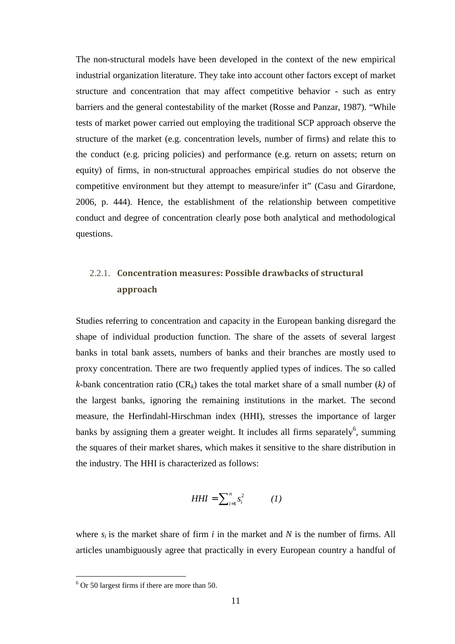The non-structural models have been developed in the context of the new empirical industrial organization literature. They take into account other factors except of market structure and concentration that may affect competitive behavior - such as entry barriers and the general contestability of the market (Rosse and Panzar, 1987). "While tests of market power carried out employing the traditional SCP approach observe the structure of the market (e.g. concentration levels, number of firms) and relate this to the conduct (e.g. pricing policies) and performance (e.g. return on assets; return on equity) of firms, in non-structural approaches empirical studies do not observe the competitive environment but they attempt to measure/infer it" (Casu and Girardone, 2006, p. 444). Hence, the establishment of the relationship between competitive conduct and degree of concentration clearly pose both analytical and methodological questions.

## 2.2.1. **Concentration measures: Possible drawbacks of structural approach**

Studies referring to concentration and capacity in the European banking disregard the shape of individual production function. The share of the assets of several largest banks in total bank assets, numbers of banks and their branches are mostly used to proxy concentration. There are two frequently applied types of indices. The so called *k*-bank concentration ratio ( $CR_k$ ) takes the total market share of a small number (*k*) of the largest banks, ignoring the remaining institutions in the market. The second measure, the Herfindahl-Hirschman index (HHI), stresses the importance of larger banks by assigning them a greater weight. It includes all firms separately<sup>6</sup>, summing the squares of their market shares, which makes it sensitive to the share distribution in the industry. The HHI is characterized as follows:

$$
HHI = \sum_{i=1}^{n} s_i^2 \qquad (1)
$$

where  $s_i$  is the market share of firm  $i$  in the market and  $N$  is the number of firms. All articles unambiguously agree that practically in every European country a handful of

 6 Or 50 largest firms if there are more than 50.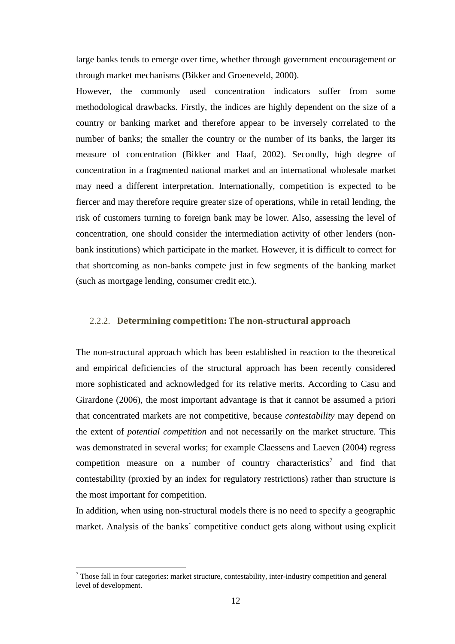large banks tends to emerge over time, whether through government encouragement or through market mechanisms (Bikker and Groeneveld, 2000).

However, the commonly used concentration indicators suffer from some methodological drawbacks. Firstly, the indices are highly dependent on the size of a country or banking market and therefore appear to be inversely correlated to the number of banks; the smaller the country or the number of its banks, the larger its measure of concentration (Bikker and Haaf, 2002). Secondly, high degree of concentration in a fragmented national market and an international wholesale market may need a different interpretation. Internationally, competition is expected to be fiercer and may therefore require greater size of operations, while in retail lending, the risk of customers turning to foreign bank may be lower. Also, assessing the level of concentration, one should consider the intermediation activity of other lenders (nonbank institutions) which participate in the market. However, it is difficult to correct for that shortcoming as non-banks compete just in few segments of the banking market (such as mortgage lending, consumer credit etc.).

#### 2.2.2. **Determining competition: The non-structural approach**

The non-structural approach which has been established in reaction to the theoretical and empirical deficiencies of the structural approach has been recently considered more sophisticated and acknowledged for its relative merits. According to Casu and Girardone (2006), the most important advantage is that it cannot be assumed a priori that concentrated markets are not competitive, because *contestability* may depend on the extent of *potential competition* and not necessarily on the market structure. This was demonstrated in several works; for example Claessens and Laeven (2004) regress competition measure on a number of country characteristics<sup>7</sup> and find that contestability (proxied by an index for regulatory restrictions) rather than structure is the most important for competition.

In addition, when using non-structural models there is no need to specify a geographic market. Analysis of the banks´ competitive conduct gets along without using explicit

 $\overline{a}$ 

 $7$  Those fall in four categories: market structure, contestability, inter-industry competition and general level of development.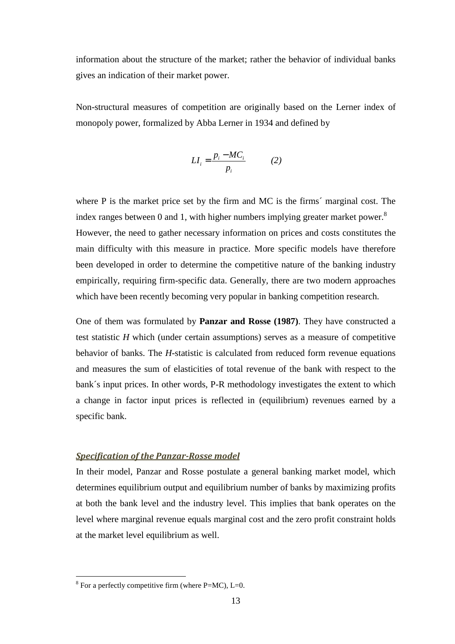information about the structure of the market; rather the behavior of individual banks gives an indication of their market power.

Non-structural measures of competition are originally based on the Lerner index of monopoly power, formalized by Abba Lerner in 1934 and defined by

$$
LI_i = \frac{p_i - MC_i}{p_i} \tag{2}
$$

where P is the market price set by the firm and MC is the firms' marginal cost. The index ranges between 0 and 1, with higher numbers implying greater market power.<sup>8</sup> However, the need to gather necessary information on prices and costs constitutes the main difficulty with this measure in practice. More specific models have therefore been developed in order to determine the competitive nature of the banking industry empirically, requiring firm-specific data. Generally, there are two modern approaches which have been recently becoming very popular in banking competition research.

One of them was formulated by **Panzar and Rosse (1987)**. They have constructed a test statistic *H* which (under certain assumptions) serves as a measure of competitive behavior of banks. The *H*-statistic is calculated from reduced form revenue equations and measures the sum of elasticities of total revenue of the bank with respect to the bank´s input prices. In other words, P-R methodology investigates the extent to which a change in factor input prices is reflected in (equilibrium) revenues earned by a specific bank.

#### *Specification of the Panzar-Rosse model*

In their model, Panzar and Rosse postulate a general banking market model, which determines equilibrium output and equilibrium number of banks by maximizing profits at both the bank level and the industry level. This implies that bank operates on the level where marginal revenue equals marginal cost and the zero profit constraint holds at the market level equilibrium as well.

<sup>&</sup>lt;sup>8</sup> For a perfectly competitive firm (where P=MC), L=0.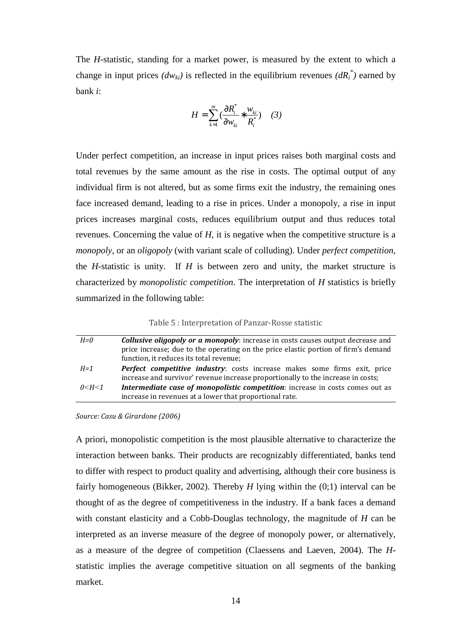The *H*-statistic, standing for a market power, is measured by the extent to which a change in input prices  $(dw_{ki})$  is reflected in the equilibrium revenues  $(dR_i^*)$  earned by bank *i*:

$$
H = \sum_{k=1}^{m} \left( \frac{\partial R_i^*}{\partial w_{ki}} * \frac{w_{ki}}{R_i^*} \right) \quad (3)
$$

Under perfect competition, an increase in input prices raises both marginal costs and total revenues by the same amount as the rise in costs. The optimal output of any individual firm is not altered, but as some firms exit the industry, the remaining ones face increased demand, leading to a rise in prices. Under a monopoly, a rise in input prices increases marginal costs, reduces equilibrium output and thus reduces total revenues. Concerning the value of *H*, it is negative when the competitive structure is a *monopoly*, or an *oligopoly* (with variant scale of colluding). Under *perfect competition*, the *H*-statistic is unity. If *H* is between zero and unity, the market structure is characterized by *monopolistic competition*. The interpretation of *H* statistics is briefly summarized in the following table:

Table 5 : Interpretation of Panzar-Rosse statistic

| $H = 0$      | <b>Collusive oligopoly or a monopoly</b> : increase in costs causes output decrease and<br>price increase; due to the operating on the price elastic portion of firm's demand<br>function, it reduces its total revenue; |
|--------------|--------------------------------------------------------------------------------------------------------------------------------------------------------------------------------------------------------------------------|
|              |                                                                                                                                                                                                                          |
| $H=1$        | <b>Perfect competitive industry:</b> costs increase makes some firms exit, price<br>increase and survivor' revenue increase proportionally to the increase in costs;                                                     |
| $0<$ H $<$ 1 | Intermediate case of monopolistic competition: increase in costs comes out as                                                                                                                                            |
|              | increase in revenues at a lower that proportional rate.                                                                                                                                                                  |

*Source: Casu & Girardone (2006)* 

A priori, monopolistic competition is the most plausible alternative to characterize the interaction between banks. Their products are recognizably differentiated, banks tend to differ with respect to product quality and advertising, although their core business is fairly homogeneous (Bikker, 2002). Thereby *H* lying within the (0;1) interval can be thought of as the degree of competitiveness in the industry. If a bank faces a demand with constant elasticity and a Cobb-Douglas technology, the magnitude of *H* can be interpreted as an inverse measure of the degree of monopoly power, or alternatively, as a measure of the degree of competition (Claessens and Laeven, 2004). The *H*statistic implies the average competitive situation on all segments of the banking market.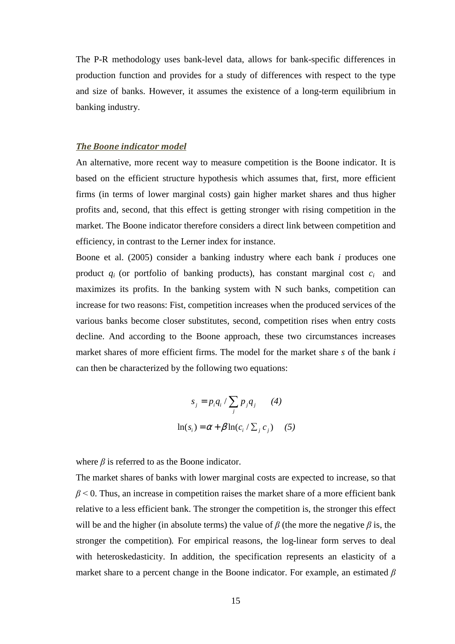The P-R methodology uses bank-level data, allows for bank-specific differences in production function and provides for a study of differences with respect to the type and size of banks. However, it assumes the existence of a long-term equilibrium in banking industry.

#### *The Boone indicator model*

An alternative, more recent way to measure competition is the Boone indicator. It is based on the efficient structure hypothesis which assumes that, first, more efficient firms (in terms of lower marginal costs) gain higher market shares and thus higher profits and, second, that this effect is getting stronger with rising competition in the market. The Boone indicator therefore considers a direct link between competition and efficiency, in contrast to the Lerner index for instance.

Boone et al. (2005) consider a banking industry where each bank *i* produces one product  $q_i$  (or portfolio of banking products), has constant marginal cost  $c_i$  and maximizes its profits. In the banking system with N such banks, competition can increase for two reasons: Fist, competition increases when the produced services of the various banks become closer substitutes, second, competition rises when entry costs decline. And according to the Boone approach, these two circumstances increases market shares of more efficient firms. The model for the market share *s* of the bank *i* can then be characterized by the following two equations:

$$
s_j = p_i q_i / \sum_j p_j q_j \qquad (4)
$$

$$
\ln(s_i) = \alpha + \beta \ln(c_i / \sum_j c_j) \qquad (5)
$$

where  $\beta$  is referred to as the Boone indicator.

The market shares of banks with lower marginal costs are expected to increase, so that  $\beta$   $\leq$  0. Thus, an increase in competition raises the market share of a more efficient bank relative to a less efficient bank. The stronger the competition is, the stronger this effect will be and the higher (in absolute terms) the value of  $\beta$  (the more the negative  $\beta$  is, the stronger the competition)*.* For empirical reasons, the log-linear form serves to deal with heteroskedasticity. In addition, the specification represents an elasticity of a market share to a percent change in the Boone indicator. For example, an estimated *β*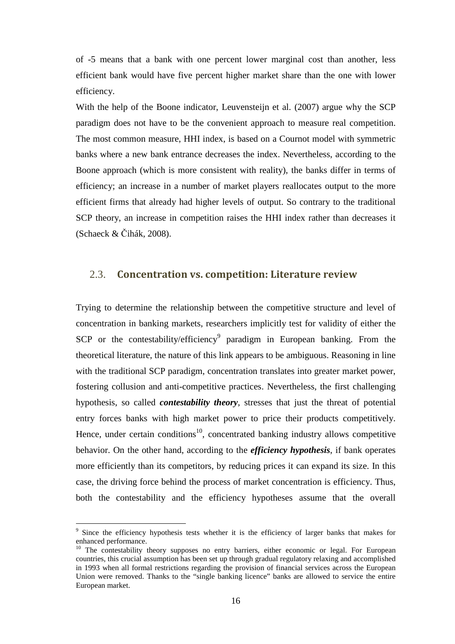of -5 means that a bank with one percent lower marginal cost than another, less efficient bank would have five percent higher market share than the one with lower efficiency.

With the help of the Boone indicator, Leuvensteijn et al. (2007) argue why the SCP paradigm does not have to be the convenient approach to measure real competition. The most common measure, HHI index, is based on a Cournot model with symmetric banks where a new bank entrance decreases the index. Nevertheless, according to the Boone approach (which is more consistent with reality), the banks differ in terms of efficiency; an increase in a number of market players reallocates output to the more efficient firms that already had higher levels of output. So contrary to the traditional SCP theory, an increase in competition raises the HHI index rather than decreases it (Schaeck  $& \text{Cihák}, 2008$ ).

#### 2.3. **Concentration vs. competition: Literature review**

Trying to determine the relationship between the competitive structure and level of concentration in banking markets, researchers implicitly test for validity of either the SCP or the contestability/efficiency<sup>9</sup> paradigm in European banking. From the theoretical literature, the nature of this link appears to be ambiguous. Reasoning in line with the traditional SCP paradigm, concentration translates into greater market power, fostering collusion and anti-competitive practices. Nevertheless, the first challenging hypothesis, so called *contestability theory*, stresses that just the threat of potential entry forces banks with high market power to price their products competitively. Hence, under certain conditions<sup>10</sup>, concentrated banking industry allows competitive behavior. On the other hand, according to the *efficiency hypothesis*, if bank operates more efficiently than its competitors, by reducing prices it can expand its size. In this case, the driving force behind the process of market concentration is efficiency. Thus, both the contestability and the efficiency hypotheses assume that the overall

 $\overline{a}$ 

<sup>9</sup> Since the efficiency hypothesis tests whether it is the efficiency of larger banks that makes for enhanced performance.

<sup>&</sup>lt;sup>10</sup> The contestability theory supposes no entry barriers, either economic or legal. For European countries, this crucial assumption has been set up through gradual regulatory relaxing and accomplished in 1993 when all formal restrictions regarding the provision of financial services across the European Union were removed. Thanks to the "single banking licence" banks are allowed to service the entire European market.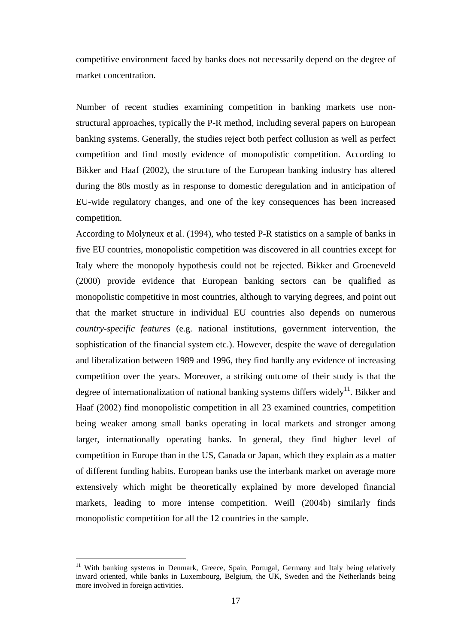competitive environment faced by banks does not necessarily depend on the degree of market concentration.

Number of recent studies examining competition in banking markets use nonstructural approaches, typically the P-R method, including several papers on European banking systems. Generally, the studies reject both perfect collusion as well as perfect competition and find mostly evidence of monopolistic competition. According to Bikker and Haaf (2002), the structure of the European banking industry has altered during the 80s mostly as in response to domestic deregulation and in anticipation of EU-wide regulatory changes, and one of the key consequences has been increased competition.

According to Molyneux et al. (1994), who tested P-R statistics on a sample of banks in five EU countries, monopolistic competition was discovered in all countries except for Italy where the monopoly hypothesis could not be rejected. Bikker and Groeneveld (2000) provide evidence that European banking sectors can be qualified as monopolistic competitive in most countries, although to varying degrees, and point out that the market structure in individual EU countries also depends on numerous *country-specific features* (e.g. national institutions, government intervention, the sophistication of the financial system etc.). However, despite the wave of deregulation and liberalization between 1989 and 1996, they find hardly any evidence of increasing competition over the years. Moreover, a striking outcome of their study is that the degree of internationalization of national banking systems differs widely<sup>11</sup>. Bikker and Haaf (2002) find monopolistic competition in all 23 examined countries, competition being weaker among small banks operating in local markets and stronger among larger, internationally operating banks. In general, they find higher level of competition in Europe than in the US, Canada or Japan, which they explain as a matter of different funding habits. European banks use the interbank market on average more extensively which might be theoretically explained by more developed financial markets, leading to more intense competition. Weill (2004b) similarly finds monopolistic competition for all the 12 countries in the sample.

 $\overline{a}$ 

<sup>&</sup>lt;sup>11</sup> With banking systems in Denmark, Greece, Spain, Portugal, Germany and Italy being relatively inward oriented, while banks in Luxembourg, Belgium, the UK, Sweden and the Netherlands being more involved in foreign activities.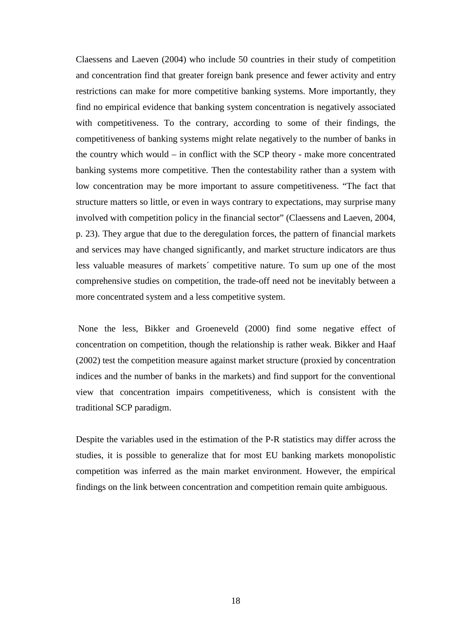Claessens and Laeven (2004) who include 50 countries in their study of competition and concentration find that greater foreign bank presence and fewer activity and entry restrictions can make for more competitive banking systems. More importantly, they find no empirical evidence that banking system concentration is negatively associated with competitiveness. To the contrary, according to some of their findings, the competitiveness of banking systems might relate negatively to the number of banks in the country which would – in conflict with the SCP theory - make more concentrated banking systems more competitive. Then the contestability rather than a system with low concentration may be more important to assure competitiveness. "The fact that structure matters so little, or even in ways contrary to expectations, may surprise many involved with competition policy in the financial sector" (Claessens and Laeven, 2004, p. 23). They argue that due to the deregulation forces, the pattern of financial markets and services may have changed significantly, and market structure indicators are thus less valuable measures of markets´ competitive nature. To sum up one of the most comprehensive studies on competition, the trade-off need not be inevitably between a more concentrated system and a less competitive system.

 None the less, Bikker and Groeneveld (2000) find some negative effect of concentration on competition, though the relationship is rather weak. Bikker and Haaf (2002) test the competition measure against market structure (proxied by concentration indices and the number of banks in the markets) and find support for the conventional view that concentration impairs competitiveness, which is consistent with the traditional SCP paradigm.

Despite the variables used in the estimation of the P-R statistics may differ across the studies, it is possible to generalize that for most EU banking markets monopolistic competition was inferred as the main market environment. However, the empirical findings on the link between concentration and competition remain quite ambiguous.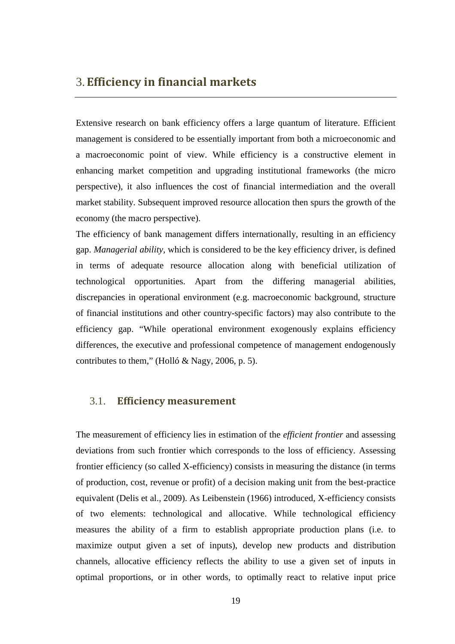### 3.**Efficiency in financial markets**

Extensive research on bank efficiency offers a large quantum of literature. Efficient management is considered to be essentially important from both a microeconomic and a macroeconomic point of view. While efficiency is a constructive element in enhancing market competition and upgrading institutional frameworks (the micro perspective), it also influences the cost of financial intermediation and the overall market stability. Subsequent improved resource allocation then spurs the growth of the economy (the macro perspective).

The efficiency of bank management differs internationally, resulting in an efficiency gap. *Managerial ability,* which is considered to be the key efficiency driver, is defined in terms of adequate resource allocation along with beneficial utilization of technological opportunities. Apart from the differing managerial abilities, discrepancies in operational environment (e.g. macroeconomic background, structure of financial institutions and other country-specific factors) may also contribute to the efficiency gap. "While operational environment exogenously explains efficiency differences, the executive and professional competence of management endogenously contributes to them," (Holló & Nagy, 2006, p. 5).

#### 3.1. **Efficiency measurement**

The measurement of efficiency lies in estimation of the *efficient frontier* and assessing deviations from such frontier which corresponds to the loss of efficiency. Assessing frontier efficiency (so called X-efficiency) consists in measuring the distance (in terms of production, cost, revenue or profit) of a decision making unit from the best-practice equivalent (Delis et al., 2009). As Leibenstein (1966) introduced, X-efficiency consists of two elements: technological and allocative. While technological efficiency measures the ability of a firm to establish appropriate production plans (i.e. to maximize output given a set of inputs), develop new products and distribution channels, allocative efficiency reflects the ability to use a given set of inputs in optimal proportions, or in other words, to optimally react to relative input price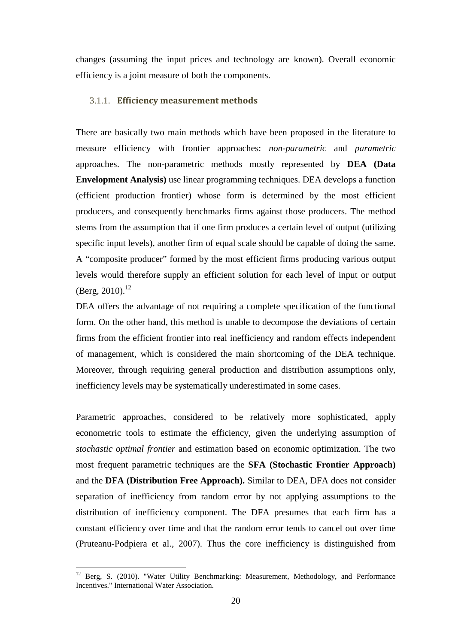changes (assuming the input prices and technology are known). Overall economic efficiency is a joint measure of both the components.

#### 3.1.1. **Efficiency measurement methods**

There are basically two main methods which have been proposed in the literature to measure efficiency with frontier approaches: *non-parametric* and *parametric* approaches. The non-parametric methods mostly represented by **DEA (Data Envelopment Analysis)** use linear programming techniques. DEA develops a function (efficient production frontier) whose form is determined by the most efficient producers, and consequently benchmarks firms against those producers. The method stems from the assumption that if one firm produces a certain level of output (utilizing specific input levels), another firm of equal scale should be capable of doing the same. A "composite producer" formed by the most efficient firms producing various output levels would therefore supply an efficient solution for each level of input or output (Berg, 2010).<sup>12</sup>

DEA offers the advantage of not requiring a complete specification of the functional form. On the other hand, this method is unable to decompose the deviations of certain firms from the efficient frontier into real inefficiency and random effects independent of management, which is considered the main shortcoming of the DEA technique. Moreover, through requiring general production and distribution assumptions only, inefficiency levels may be systematically underestimated in some cases.

Parametric approaches, considered to be relatively more sophisticated, apply econometric tools to estimate the efficiency, given the underlying assumption of *stochastic optimal frontier* and estimation based on economic optimization. The two most frequent parametric techniques are the **SFA (Stochastic Frontier Approach)** and the **DFA (Distribution Free Approach).** Similar to DEA, DFA does not consider separation of inefficiency from random error by not applying assumptions to the distribution of inefficiency component. The DFA presumes that each firm has a constant efficiency over time and that the random error tends to cancel out over time (Pruteanu-Podpiera et al., 2007). Thus the core inefficiency is distinguished from

 $\overline{a}$ 

<sup>&</sup>lt;sup>12</sup> Berg, S. (2010). "Water Utility Benchmarking: Measurement, Methodology, and Performance Incentives." International Water Association.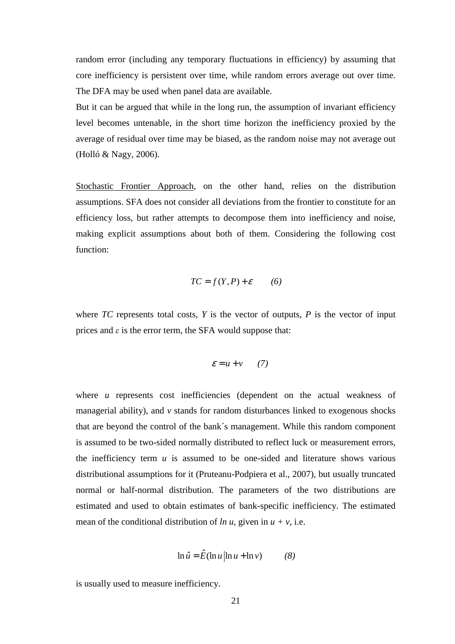random error (including any temporary fluctuations in efficiency) by assuming that core inefficiency is persistent over time, while random errors average out over time. The DFA may be used when panel data are available.

But it can be argued that while in the long run, the assumption of invariant efficiency level becomes untenable, in the short time horizon the inefficiency proxied by the average of residual over time may be biased, as the random noise may not average out (Holló & Nagy, 2006).

Stochastic Frontier Approach, on the other hand, relies on the distribution assumptions. SFA does not consider all deviations from the frontier to constitute for an efficiency loss, but rather attempts to decompose them into inefficiency and noise, making explicit assumptions about both of them. Considering the following cost function:

$$
TC = f(Y, P) + \varepsilon \qquad (6)
$$

where  $TC$  represents total costs,  $Y$  is the vector of outputs,  $P$  is the vector of input prices and  $\varepsilon$  is the error term, the SFA would suppose that:

$$
\varepsilon = u + v \qquad (7)
$$

where *u* represents cost inefficiencies (dependent on the actual weakness of managerial ability), and *v* stands for random disturbances linked to exogenous shocks that are beyond the control of the bank´s management. While this random component is assumed to be two-sided normally distributed to reflect luck or measurement errors, the inefficiency term  $u$  is assumed to be one-sided and literature shows various distributional assumptions for it (Pruteanu-Podpiera et al., 2007), but usually truncated normal or half-normal distribution. The parameters of the two distributions are estimated and used to obtain estimates of bank-specific inefficiency. The estimated mean of the conditional distribution of  $ln u$ , given in  $u + v$ , i.e.

$$
\ln \hat{u} = \hat{E}(\ln u | \ln u + \ln v)
$$
 (8)

is usually used to measure inefficiency.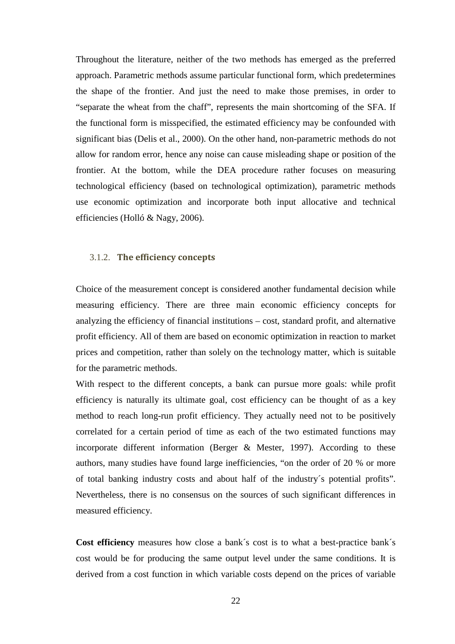Throughout the literature, neither of the two methods has emerged as the preferred approach. Parametric methods assume particular functional form, which predetermines the shape of the frontier. And just the need to make those premises, in order to "separate the wheat from the chaff", represents the main shortcoming of the SFA. If the functional form is misspecified, the estimated efficiency may be confounded with significant bias (Delis et al., 2000). On the other hand, non-parametric methods do not allow for random error, hence any noise can cause misleading shape or position of the frontier. At the bottom, while the DEA procedure rather focuses on measuring technological efficiency (based on technological optimization), parametric methods use economic optimization and incorporate both input allocative and technical efficiencies (Holló & Nagy, 2006).

#### 3.1.2. **The efficiency concepts**

Choice of the measurement concept is considered another fundamental decision while measuring efficiency. There are three main economic efficiency concepts for analyzing the efficiency of financial institutions – cost, standard profit, and alternative profit efficiency. All of them are based on economic optimization in reaction to market prices and competition, rather than solely on the technology matter, which is suitable for the parametric methods.

With respect to the different concepts, a bank can pursue more goals: while profit efficiency is naturally its ultimate goal, cost efficiency can be thought of as a key method to reach long-run profit efficiency. They actually need not to be positively correlated for a certain period of time as each of the two estimated functions may incorporate different information (Berger & Mester, 1997). According to these authors, many studies have found large inefficiencies, "on the order of 20 % or more of total banking industry costs and about half of the industry´s potential profits". Nevertheless, there is no consensus on the sources of such significant differences in measured efficiency.

**Cost efficiency** measures how close a bank´s cost is to what a best-practice bank´s cost would be for producing the same output level under the same conditions. It is derived from a cost function in which variable costs depend on the prices of variable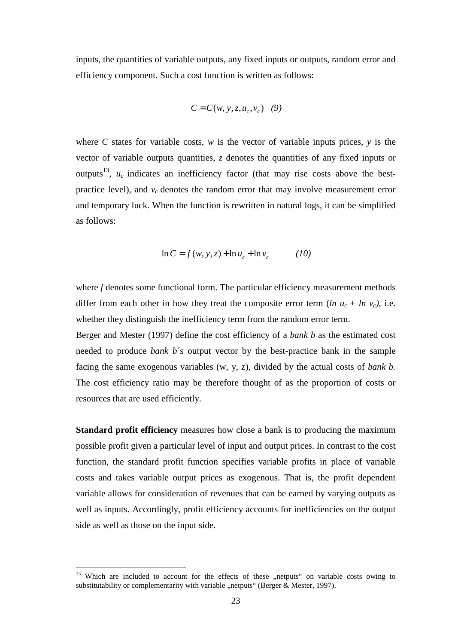inputs, the quantities of variable outputs, any fixed inputs or outputs, random error and efficiency component. Such a cost function is written as follows:

$$
C = C(w, y, z, u_c, v_c) \quad (9)
$$

where *C* states for variable costs, *w* is the vector of variable inputs prices, *y* is the vector of variable outputs quantities, *z* denotes the quantities of any fixed inputs or outputs<sup>13</sup>,  $u_c$  indicates an inefficiency factor (that may rise costs above the bestpractice level), and  $v_c$  denotes the random error that may involve measurement error and temporary luck. When the function is rewritten in natural logs, it can be simplified as follows:

$$
\ln C = f(w, y, z) + \ln u_c + \ln v_c \tag{10}
$$

where *f* denotes some functional form. The particular efficiency measurement methods differ from each other in how they treat the composite error term  $(ln u_c + ln v_c)$ , i.e. whether they distinguish the inefficiency term from the random error term.

Berger and Mester (1997) define the cost efficiency of a *bank b* as the estimated cost needed to produce *bank b*´s output vector by the best-practice bank in the sample facing the same exogenous variables (w, y, z), divided by the actual costs of *bank b.*  The cost efficiency ratio may be therefore thought of as the proportion of costs or resources that are used efficiently.

**Standard profit efficiency** measures how close a bank is to producing the maximum possible profit given a particular level of input and output prices. In contrast to the cost function, the standard profit function specifies variable profits in place of variable costs and takes variable output prices as exogenous. That is, the profit dependent variable allows for consideration of revenues that can be earned by varying outputs as well as inputs. Accordingly, profit efficiency accounts for inefficiencies on the output side as well as those on the input side.

 $\overline{a}$ 

<sup>&</sup>lt;sup>13</sup> Which are included to account for the effects of these "netputs" on variable costs owing to substitutability or complementarity with variable "netputs" (Berger  $\&$  Mester, 1997).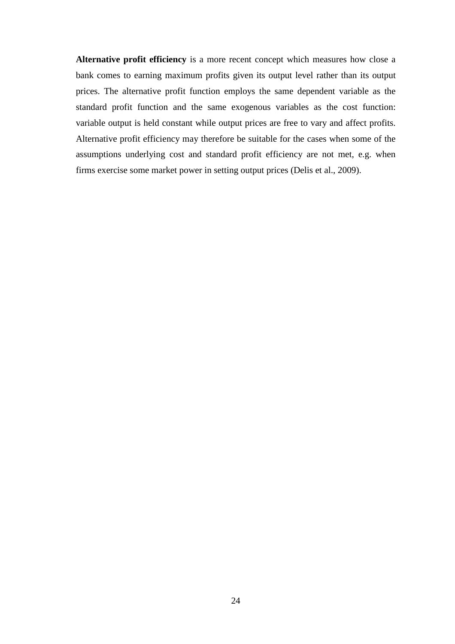**Alternative profit efficiency** is a more recent concept which measures how close a bank comes to earning maximum profits given its output level rather than its output prices. The alternative profit function employs the same dependent variable as the standard profit function and the same exogenous variables as the cost function: variable output is held constant while output prices are free to vary and affect profits. Alternative profit efficiency may therefore be suitable for the cases when some of the assumptions underlying cost and standard profit efficiency are not met, e.g. when firms exercise some market power in setting output prices (Delis et al., 2009).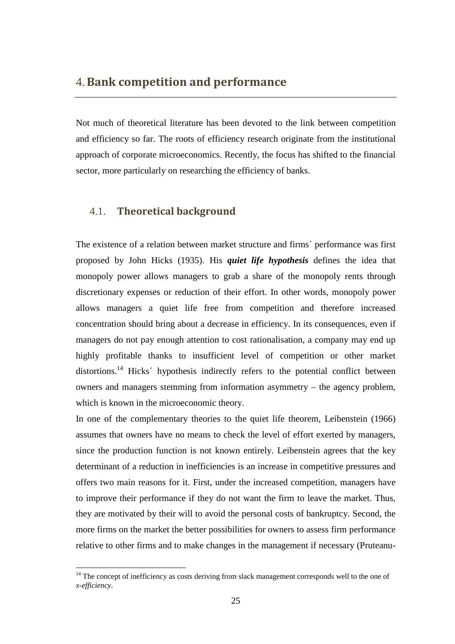### 4.**Bank competition and performance**

Not much of theoretical literature has been devoted to the link between competition and efficiency so far. The roots of efficiency research originate from the institutional approach of corporate microeconomics. Recently, the focus has shifted to the financial sector, more particularly on researching the efficiency of banks.

#### 4.1. **Theoretical background**

 $\overline{a}$ 

The existence of a relation between market structure and firms´ performance was first proposed by John Hicks (1935). His *quiet life hypothesis* defines the idea that monopoly power allows managers to grab a share of the monopoly rents through discretionary expenses or reduction of their effort. In other words, monopoly power allows managers a quiet life free from competition and therefore increased concentration should bring about a decrease in efficiency. In its consequences, even if managers do not pay enough attention to cost rationalisation, a company may end up highly profitable thanks to insufficient level of competition or other market distortions.<sup>14</sup> Hicks<sup>2</sup> hypothesis indirectly refers to the potential conflict between owners and managers stemming from information asymmetry – the agency problem, which is known in the microeconomic theory.

In one of the complementary theories to the quiet life theorem, Leibenstein (1966) assumes that owners have no means to check the level of effort exerted by managers, since the production function is not known entirely. Leibenstein agrees that the key determinant of a reduction in inefficiencies is an increase in competitive pressures and offers two main reasons for it. First, under the increased competition, managers have to improve their performance if they do not want the firm to leave the market. Thus, they are motivated by their will to avoid the personal costs of bankruptcy. Second, the more firms on the market the better possibilities for owners to assess firm performance relative to other firms and to make changes in the management if necessary (Pruteanu-

<sup>&</sup>lt;sup>14</sup> The concept of inefficiency as costs deriving from slack management corresponds well to the one of *x-efficiency*.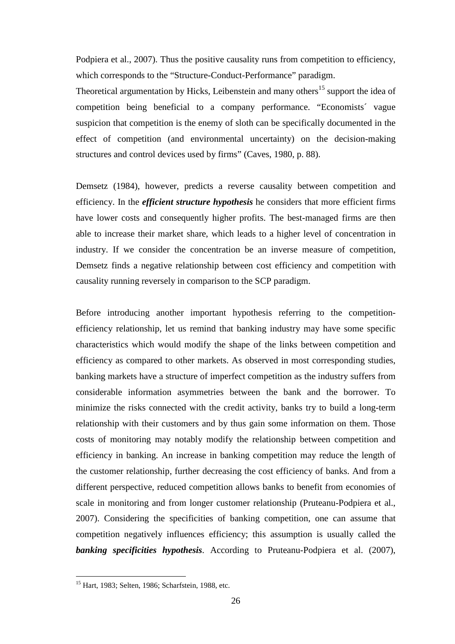Podpiera et al., 2007). Thus the positive causality runs from competition to efficiency, which corresponds to the "Structure-Conduct-Performance" paradigm.

Theoretical argumentation by Hicks, Leibenstein and many others<sup>15</sup> support the idea of competition being beneficial to a company performance. "Economists´ vague suspicion that competition is the enemy of sloth can be specifically documented in the effect of competition (and environmental uncertainty) on the decision-making structures and control devices used by firms" (Caves, 1980, p. 88).

Demsetz (1984), however, predicts a reverse causality between competition and efficiency. In the *efficient structure hypothesis* he considers that more efficient firms have lower costs and consequently higher profits. The best-managed firms are then able to increase their market share, which leads to a higher level of concentration in industry. If we consider the concentration be an inverse measure of competition, Demsetz finds a negative relationship between cost efficiency and competition with causality running reversely in comparison to the SCP paradigm.

Before introducing another important hypothesis referring to the competitionefficiency relationship, let us remind that banking industry may have some specific characteristics which would modify the shape of the links between competition and efficiency as compared to other markets. As observed in most corresponding studies, banking markets have a structure of imperfect competition as the industry suffers from considerable information asymmetries between the bank and the borrower. To minimize the risks connected with the credit activity, banks try to build a long-term relationship with their customers and by thus gain some information on them. Those costs of monitoring may notably modify the relationship between competition and efficiency in banking. An increase in banking competition may reduce the length of the customer relationship, further decreasing the cost efficiency of banks. And from a different perspective, reduced competition allows banks to benefit from economies of scale in monitoring and from longer customer relationship (Pruteanu-Podpiera et al., 2007). Considering the specificities of banking competition, one can assume that competition negatively influences efficiency; this assumption is usually called the *banking specificities hypothesis*. According to Pruteanu-Podpiera et al. (2007),

 $\overline{a}$ 

<sup>&</sup>lt;sup>15</sup> Hart, 1983; Selten, 1986; Scharfstein, 1988, etc.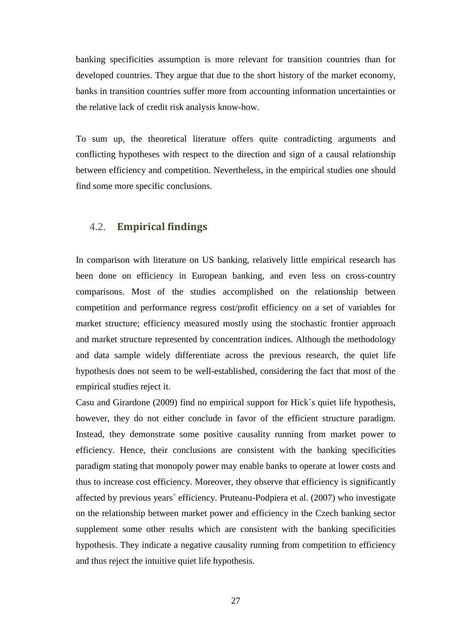banking specificities assumption is more relevant for transition countries than for developed countries. They argue that due to the short history of the market economy, banks in transition countries suffer more from accounting information uncertainties or the relative lack of credit risk analysis know-how.

To sum up, the theoretical literature offers quite contradicting arguments and conflicting hypotheses with respect to the direction and sign of a causal relationship between efficiency and competition. Nevertheless, in the empirical studies one should find some more specific conclusions.

#### 4.2. **Empirical findings**

In comparison with literature on US banking, relatively little empirical research has been done on efficiency in European banking, and even less on cross-country comparisons. Most of the studies accomplished on the relationship between competition and performance regress cost/profit efficiency on a set of variables for market structure; efficiency measured mostly using the stochastic frontier approach and market structure represented by concentration indices. Although the methodology and data sample widely differentiate across the previous research, the quiet life hypothesis does not seem to be well-established, considering the fact that most of the empirical studies reject it.

Casu and Girardone (2009) find no empirical support for Hick´s quiet life hypothesis, however, they do not either conclude in favor of the efficient structure paradigm. Instead, they demonstrate some positive causality running from market power to efficiency. Hence, their conclusions are consistent with the banking specificities paradigm stating that monopoly power may enable banks to operate at lower costs and thus to increase cost efficiency. Moreover, they observe that efficiency is significantly affected by previous years´ efficiency. Pruteanu-Podpiera et al. (2007) who investigate on the relationship between market power and efficiency in the Czech banking sector supplement some other results which are consistent with the banking specificities hypothesis. They indicate a negative causality running from competition to efficiency and thus reject the intuitive quiet life hypothesis.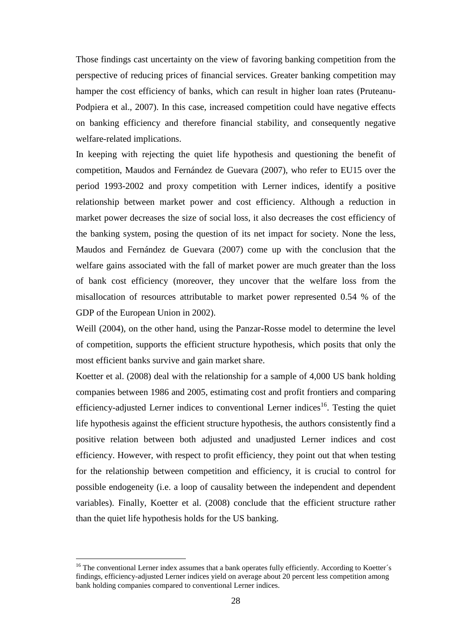Those findings cast uncertainty on the view of favoring banking competition from the perspective of reducing prices of financial services. Greater banking competition may hamper the cost efficiency of banks, which can result in higher loan rates (Pruteanu-Podpiera et al., 2007). In this case, increased competition could have negative effects on banking efficiency and therefore financial stability, and consequently negative welfare-related implications.

In keeping with rejecting the quiet life hypothesis and questioning the benefit of competition, Maudos and Fernández de Guevara (2007), who refer to EU15 over the period 1993-2002 and proxy competition with Lerner indices, identify a positive relationship between market power and cost efficiency. Although a reduction in market power decreases the size of social loss, it also decreases the cost efficiency of the banking system, posing the question of its net impact for society. None the less, Maudos and Fernández de Guevara (2007) come up with the conclusion that the welfare gains associated with the fall of market power are much greater than the loss of bank cost efficiency (moreover, they uncover that the welfare loss from the misallocation of resources attributable to market power represented 0.54 % of the GDP of the European Union in 2002).

Weill (2004), on the other hand, using the Panzar-Rosse model to determine the level of competition, supports the efficient structure hypothesis, which posits that only the most efficient banks survive and gain market share.

Koetter et al. (2008) deal with the relationship for a sample of 4,000 US bank holding companies between 1986 and 2005, estimating cost and profit frontiers and comparing efficiency-adjusted Lerner indices to conventional Lerner indices<sup>16</sup>. Testing the quiet life hypothesis against the efficient structure hypothesis, the authors consistently find a positive relation between both adjusted and unadjusted Lerner indices and cost efficiency. However, with respect to profit efficiency, they point out that when testing for the relationship between competition and efficiency, it is crucial to control for possible endogeneity (i.e. a loop of causality between the independent and dependent variables). Finally, Koetter et al. (2008) conclude that the efficient structure rather than the quiet life hypothesis holds for the US banking.

 $\overline{a}$ 

<sup>&</sup>lt;sup>16</sup> The conventional Lerner index assumes that a bank operates fully efficiently. According to Koetter's findings, efficiency-adjusted Lerner indices yield on average about 20 percent less competition among bank holding companies compared to conventional Lerner indices.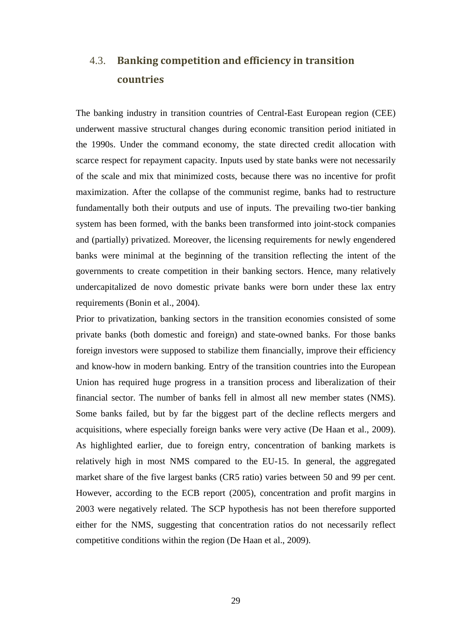## 4.3. **Banking competition and efficiency in transition countries**

The banking industry in transition countries of Central-East European region (CEE) underwent massive structural changes during economic transition period initiated in the 1990s. Under the command economy, the state directed credit allocation with scarce respect for repayment capacity. Inputs used by state banks were not necessarily of the scale and mix that minimized costs, because there was no incentive for profit maximization. After the collapse of the communist regime, banks had to restructure fundamentally both their outputs and use of inputs. The prevailing two-tier banking system has been formed, with the banks been transformed into joint-stock companies and (partially) privatized. Moreover, the licensing requirements for newly engendered banks were minimal at the beginning of the transition reflecting the intent of the governments to create competition in their banking sectors. Hence, many relatively undercapitalized de novo domestic private banks were born under these lax entry requirements (Bonin et al., 2004).

Prior to privatization, banking sectors in the transition economies consisted of some private banks (both domestic and foreign) and state-owned banks. For those banks foreign investors were supposed to stabilize them financially, improve their efficiency and know-how in modern banking. Entry of the transition countries into the European Union has required huge progress in a transition process and liberalization of their financial sector. The number of banks fell in almost all new member states (NMS). Some banks failed, but by far the biggest part of the decline reflects mergers and acquisitions, where especially foreign banks were very active (De Haan et al., 2009). As highlighted earlier, due to foreign entry, concentration of banking markets is relatively high in most NMS compared to the EU-15. In general, the aggregated market share of the five largest banks (CR5 ratio) varies between 50 and 99 per cent. However, according to the ECB report (2005), concentration and profit margins in 2003 were negatively related. The SCP hypothesis has not been therefore supported either for the NMS, suggesting that concentration ratios do not necessarily reflect competitive conditions within the region (De Haan et al., 2009).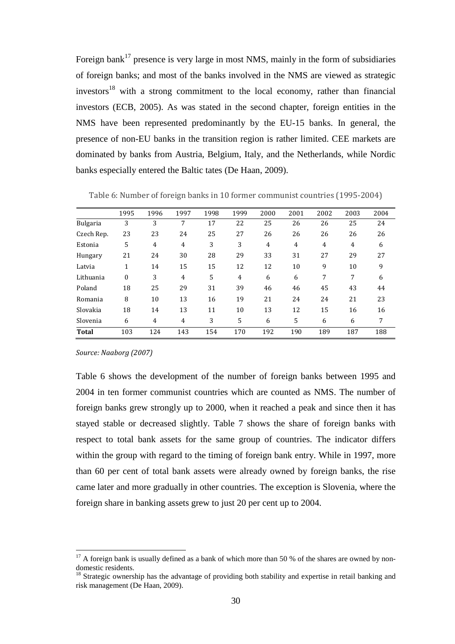Foreign bank<sup>17</sup> presence is very large in most NMS, mainly in the form of subsidiaries of foreign banks; and most of the banks involved in the NMS are viewed as strategic  $investors<sup>18</sup>$  with a strong commitment to the local economy, rather than financial investors (ECB, 2005). As was stated in the second chapter, foreign entities in the NMS have been represented predominantly by the EU-15 banks. In general, the presence of non-EU banks in the transition region is rather limited. CEE markets are dominated by banks from Austria, Belgium, Italy, and the Netherlands, while Nordic banks especially entered the Baltic tates (De Haan, 2009).

|                 | 1995     | 1996           | 1997 | 1998 | 1999 | 2000 | 2001 | 2002 | 2003 | 2004 |
|-----------------|----------|----------------|------|------|------|------|------|------|------|------|
| <b>Bulgaria</b> | 3        | 3              | 7    | 17   | 22   | 25   | 26   | 26   | 25   | 24   |
| Czech Rep.      | 23       | 23             | 24   | 25   | 27   | 26   | 26   | 26   | 26   | 26   |
| Estonia         | 5        | 4              | 4    | 3    | 3    | 4    | 4    | 4    | 4    | 6    |
| Hungary         | 21       | 24             | 30   | 28   | 29   | 33   | 31   | 27   | 29   | 27   |
| Latvia          | 1        | 14             | 15   | 15   | 12   | 12   | 10   | 9    | 10   | 9    |
| Lithuania       | $\Omega$ | 3              | 4    | 5    | 4    | 6    | 6    | 7    | 7    | 6    |
| Poland          | 18       | 25             | 29   | 31   | 39   | 46   | 46   | 45   | 43   | 44   |
| Romania         | 8        | 10             | 13   | 16   | 19   | 21   | 24   | 24   | 21   | 23   |
| Slovakia        | 18       | 14             | 13   | 11   | 10   | 13   | 12   | 15   | 16   | 16   |
| Slovenia        | 6        | $\overline{4}$ | 4    | 3    | 5    | 6    | 5    | 6    | 6    | 7    |
| <b>Total</b>    | 103      | 124            | 143  | 154  | 170  | 192  | 190  | 189  | 187  | 188  |

Table 6: Number of foreign banks in 10 former communist countries (1995-2004)

*Source: Naaborg (2007)* 

 $\overline{a}$ 

Table 6 shows the development of the number of foreign banks between 1995 and 2004 in ten former communist countries which are counted as NMS. The number of foreign banks grew strongly up to 2000, when it reached a peak and since then it has stayed stable or decreased slightly. Table 7 shows the share of foreign banks with respect to total bank assets for the same group of countries. The indicator differs within the group with regard to the timing of foreign bank entry. While in 1997, more than 60 per cent of total bank assets were already owned by foreign banks, the rise came later and more gradually in other countries. The exception is Slovenia, where the foreign share in banking assets grew to just 20 per cent up to 2004.

 $17$  A foreign bank is usually defined as a bank of which more than 50 % of the shares are owned by nondomestic residents.

<sup>&</sup>lt;sup>18</sup> Strategic ownership has the advantage of providing both stability and expertise in retail banking and risk management (De Haan, 2009).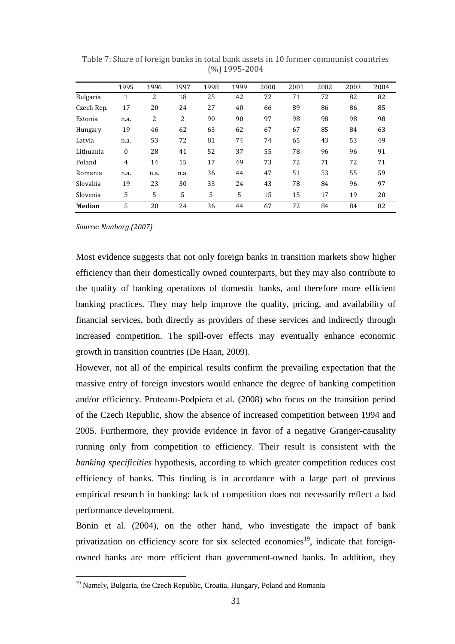|                 | 1995           | 1996 | 1997 | 1998 | 1999 | 2000 | 2001 | 2002 | 2003 | 2004 |
|-----------------|----------------|------|------|------|------|------|------|------|------|------|
| <b>Bulgaria</b> | 1              | 2    | 18   | 25   | 42   | 72   | 71   | 72   | 82   | 82   |
| Czech Rep.      | 17             | 20   | 24   | 27   | 40   | 66   | 89   | 86   | 86   | 85   |
| Estonia         | n.a.           | 2    | 2    | 90   | 90   | 97   | 98   | 98   | 98   | 98   |
| Hungary         | 19             | 46   | 62   | 63   | 62   | 67   | 67   | 85   | 84   | 63   |
| Latvia          | n.a.           | 53   | 72   | 81   | 74   | 74   | 65   | 43   | 53   | 49   |
| Lithuania       | 0              | 28   | 41   | 52   | 37   | 55   | 78   | 96   | 96   | 91   |
| Poland          | $\overline{4}$ | 14   | 15   | 17   | 49   | 73   | 72   | 71   | 72   | 71   |
| Romania         | n.a.           | n.a. | n.a. | 36   | 44   | 47   | 51   | 53   | 55   | 59   |
| Slovakia        | 19             | 23   | 30   | 33   | 24   | 43   | 78   | 84   | 96   | 97   |
| Slovenia        | 5              | 5    | 5    | 5    | 5    | 15   | 15   | 17   | 19   | 20   |
| <b>Median</b>   | 5              | 20   | 24   | 36   | 44   | 67   | 72   | 84   | 84   | 82   |

Table 7: Share of foreign banks in total bank assets in 10 former communist countries (%) 1995-2004

*Source: Naaborg (2007)* 

 $\overline{a}$ 

Most evidence suggests that not only foreign banks in transition markets show higher efficiency than their domestically owned counterparts, but they may also contribute to the quality of banking operations of domestic banks, and therefore more efficient banking practices. They may help improve the quality, pricing, and availability of financial services, both directly as providers of these services and indirectly through increased competition. The spill-over effects may eventually enhance economic growth in transition countries (De Haan, 2009).

However, not all of the empirical results confirm the prevailing expectation that the massive entry of foreign investors would enhance the degree of banking competition and/or efficiency. Pruteanu-Podpiera et al. (2008) who focus on the transition period of the Czech Republic, show the absence of increased competition between 1994 and 2005. Furthermore, they provide evidence in favor of a negative Granger-causality running only from competition to efficiency. Their result is consistent with the *banking specificities* hypothesis, according to which greater competition reduces cost efficiency of banks. This finding is in accordance with a large part of previous empirical research in banking: lack of competition does not necessarily reflect a bad performance development.

Bonin et al. (2004), on the other hand, who investigate the impact of bank privatization on efficiency score for six selected economies<sup>19</sup>, indicate that foreignowned banks are more efficient than government-owned banks. In addition, they

<sup>&</sup>lt;sup>19</sup> Namely, Bulgaria, the Czech Republic, Croatia, Hungary, Poland and Romania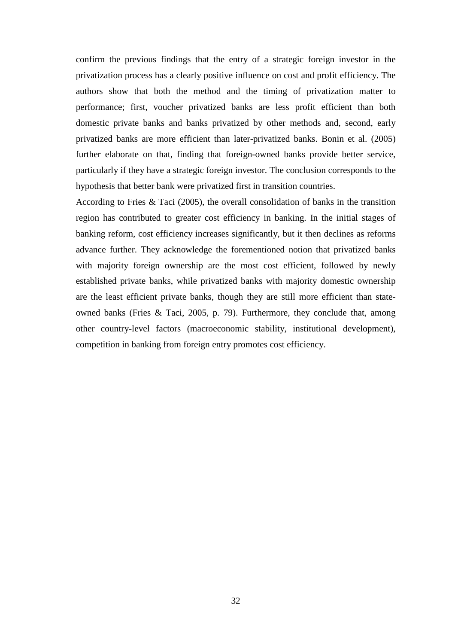confirm the previous findings that the entry of a strategic foreign investor in the privatization process has a clearly positive influence on cost and profit efficiency. The authors show that both the method and the timing of privatization matter to performance; first, voucher privatized banks are less profit efficient than both domestic private banks and banks privatized by other methods and, second, early privatized banks are more efficient than later-privatized banks. Bonin et al. (2005) further elaborate on that, finding that foreign-owned banks provide better service, particularly if they have a strategic foreign investor. The conclusion corresponds to the hypothesis that better bank were privatized first in transition countries.

According to Fries & Taci (2005), the overall consolidation of banks in the transition region has contributed to greater cost efficiency in banking. In the initial stages of banking reform, cost efficiency increases significantly, but it then declines as reforms advance further. They acknowledge the forementioned notion that privatized banks with majority foreign ownership are the most cost efficient, followed by newly established private banks, while privatized banks with majority domestic ownership are the least efficient private banks, though they are still more efficient than stateowned banks (Fries & Taci, 2005, p. 79). Furthermore, they conclude that, among other country-level factors (macroeconomic stability, institutional development), competition in banking from foreign entry promotes cost efficiency.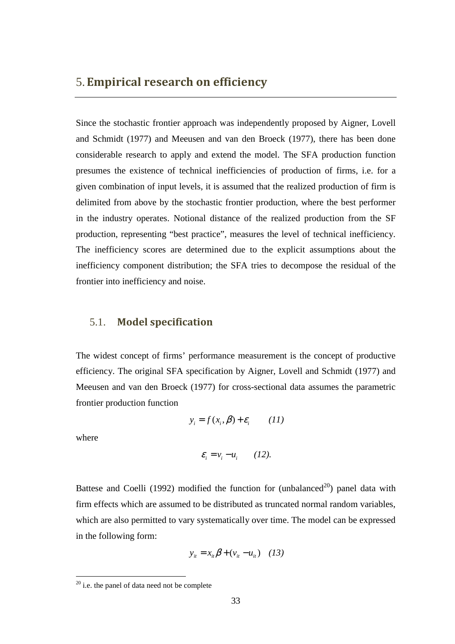Since the stochastic frontier approach was independently proposed by Aigner, Lovell and Schmidt (1977) and Meeusen and van den Broeck (1977), there has been done considerable research to apply and extend the model. The SFA production function presumes the existence of technical inefficiencies of production of firms, i.e. for a given combination of input levels, it is assumed that the realized production of firm is delimited from above by the stochastic frontier production, where the best performer in the industry operates. Notional distance of the realized production from the SF production, representing "best practice", measures the level of technical inefficiency. The inefficiency scores are determined due to the explicit assumptions about the inefficiency component distribution; the SFA tries to decompose the residual of the frontier into inefficiency and noise.

### 5.1. **Model specification**

The widest concept of firms' performance measurement is the concept of productive efficiency. The original SFA specification by Aigner, Lovell and Schmidt (1977) and Meeusen and van den Broeck (1977) for cross-sectional data assumes the parametric frontier production function

$$
y_i = f(x_i, \beta) + \varepsilon_i \qquad (11)
$$

where

 $\overline{a}$ 

$$
\varepsilon_i = v_i - u_i \qquad (12).
$$

Battese and Coelli (1992) modified the function for (unbalanced<sup>20</sup>) panel data with firm effects which are assumed to be distributed as truncated normal random variables, which are also permitted to vary systematically over time. The model can be expressed in the following form:

$$
y_{it} = x_{it} \beta + (v_{it} - u_{it}) \quad (13)
$$

 $20$  i.e. the panel of data need not be complete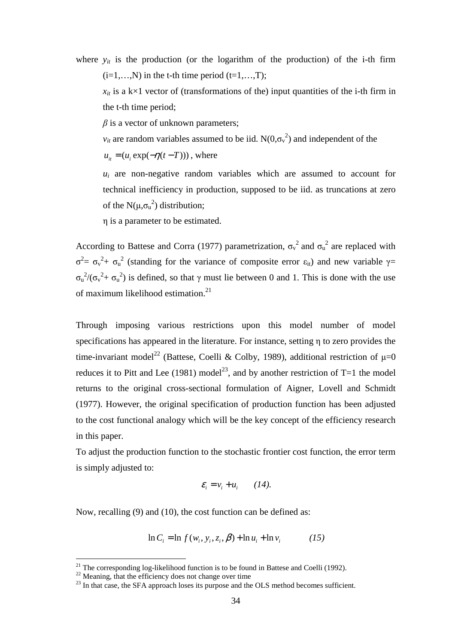where  $y_{it}$  is the production (or the logarithm of the production) of the i-th firm  $(i=1,...,N)$  in the t-th time period  $(t=1,...,T)$ ;

 $x_{it}$  is a k×1 vector of (transformations of the) input quantities of the i-th firm in the t-th time period;

*β* is a vector of unknown parameters;

 $v_{it}$  are random variables assumed to be iid.  $N(0,\sigma_v^2)$  and independent of the

 $u_{it} = (u_i \exp(-\eta(t-T)))$ , where

 $u_i$  are non-negative random variables which are assumed to account for technical inefficiency in production, supposed to be iid. as truncations at zero of the  $N(\mu,\sigma_u^2)$  distribution;

η is a parameter to be estimated.

According to Battese and Corra (1977) parametrization,  $\sigma_v^2$  and  $\sigma_u^2$  are replaced with  $\sigma^2 = \sigma_v^2 + \sigma_u^2$  (standing for the variance of composite error ε<sub>it</sub>) and new variable γ=  $\sigma_u^2/(\sigma_v^2 + \sigma_u^2)$  is defined, so that  $\gamma$  must lie between 0 and 1. This is done with the use of maximum likelihood estimation.<sup>21</sup>

Through imposing various restrictions upon this model number of model specifications has appeared in the literature. For instance, setting η to zero provides the time-invariant model<sup>22</sup> (Battese, Coelli & Colby, 1989), additional restriction of  $\mu$ =0 reduces it to Pitt and Lee (1981) model<sup>23</sup>, and by another restriction of T=1 the model returns to the original cross-sectional formulation of Aigner, Lovell and Schmidt (1977). However, the original specification of production function has been adjusted to the cost functional analogy which will be the key concept of the efficiency research in this paper.

To adjust the production function to the stochastic frontier cost function, the error term is simply adjusted to:

$$
\varepsilon_i = v_i + u_i \qquad (14).
$$

Now, recalling (9) and (10), the cost function can be defined as:

$$
\ln C_i = \ln f(w_i, y_i, z_i, \beta) + \ln u_i + \ln v_i \tag{15}
$$

<sup>&</sup>lt;sup>21</sup> The corresponding log-likelihood function is to be found in Battese and Coelli (1992).

 $22$  Meaning, that the efficiency does not change over time

 $23$  In that case, the SFA approach loses its purpose and the OLS method becomes sufficient.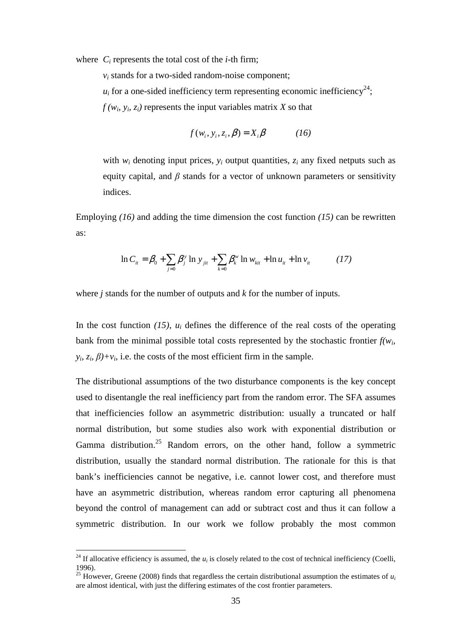where  $C_i$  represents the total cost of the *i*-th firm;

 $v_i$  stands for a two-sided random-noise component;

 $u_i$  for a one-sided inefficiency term representing economic inefficiency<sup>24</sup>;

 $f(w_i, y_i, z_i)$  represents the input variables matrix *X* so that

$$
f(w_i, y_i, z_i, \beta) = X_i \beta \tag{16}
$$

with  $w_i$  denoting input prices,  $y_i$  output quantities,  $z_i$  any fixed netputs such as equity capital, and  $\beta$  stands for a vector of unknown parameters or sensitivity indices.

Employing *(16)* and adding the time dimension the cost function *(15)* can be rewritten as:

$$
\ln C_{it} = \beta_0 + \sum_{j=0} \beta_j^y \ln y_{jit} + \sum_{k=0} \beta_k^w \ln w_{kit} + \ln u_{it} + \ln v_{it}
$$
 (17)

where *j* stands for the number of outputs and *k* for the number of inputs.

In the cost function  $(15)$ ,  $u_i$  defines the difference of the real costs of the operating bank from the minimal possible total costs represented by the stochastic frontier  $f(w_i)$ *y*<sub>*i*</sub>,  $z_i$ ,  $\beta$ )+*v*<sub>*i*</sub>, i.e. the costs of the most efficient firm in the sample.

The distributional assumptions of the two disturbance components is the key concept used to disentangle the real inefficiency part from the random error. The SFA assumes that inefficiencies follow an asymmetric distribution: usually a truncated or half normal distribution, but some studies also work with exponential distribution or Gamma distribution.<sup>25</sup> Random errors, on the other hand, follow a symmetric distribution, usually the standard normal distribution. The rationale for this is that bank's inefficiencies cannot be negative, i.e. cannot lower cost, and therefore must have an asymmetric distribution, whereas random error capturing all phenomena beyond the control of management can add or subtract cost and thus it can follow a symmetric distribution. In our work we follow probably the most common

<sup>&</sup>lt;sup>24</sup> If allocative efficiency is assumed, the  $u_i$  is closely related to the cost of technical inefficiency (Coelli, 1996).

<sup>&</sup>lt;sup>25</sup> However, Greene (2008) finds that regardless the certain distributional assumption the estimates of  $u_i$ are almost identical, with just the differing estimates of the cost frontier parameters.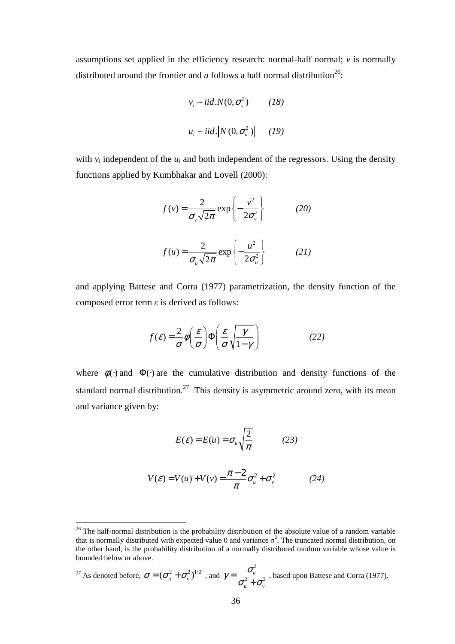assumptions set applied in the efficiency research: normal-half normal; *v* is normally distributed around the frontier and  $u$  follows a half normal distribution<sup>26</sup>:

$$
v_i \sim iid.N(0, \sigma_v^2)
$$
 (18)  

$$
u_i \sim iid. |N(0, \sigma_u^2)|
$$
 (19)

with  $v_i$  independent of the  $u_i$  and both independent of the regressors. Using the density functions applied by Kumbhakar and Lovell (2000):

$$
f(v) = \frac{2}{\sigma_v \sqrt{2\pi}} \exp\left\{-\frac{v^2}{2\sigma_v^2}\right\}
$$
 (20)  

$$
f(u) = \frac{2}{\sigma_u \sqrt{2\pi}} \exp\left\{-\frac{u^2}{2\sigma_u^2}\right\}
$$
 (21)

and applying Battese and Corra (1977) parametrization, the density function of the composed error term *ε* is derived as follows:

$$
f(\mathcal{E}) = \frac{2}{\sigma} \phi \left( \frac{\mathcal{E}}{\sigma} \right) \Phi \left( \frac{\mathcal{E}}{\sigma} \sqrt{\frac{\gamma}{1 - \gamma}} \right) \tag{22}
$$

where  $\phi(\cdot)$  and  $\Phi(\cdot)$  are the cumulative distribution and density functions of the standard normal distribution.<sup>27</sup> This density is asymmetric around zero, with its mean and variance given by:

$$
E(\varepsilon) = E(u) = \sigma_u \sqrt{\frac{2}{\pi}} \tag{23}
$$

$$
V(\varepsilon) = V(u) + V(v) = \frac{\pi - 2}{\pi} \sigma_u^2 + \sigma_v^2 \tag{24}
$$

$$
^{27} \text{ As denoted before, } \sigma = (\sigma_u^2 + \sigma_v^2)^{1/2} \text{ , and } \gamma = \frac{\sigma_u^2}{\sigma_u^2 + \sigma_v^2} \text{, based upon Battese and Corra (1977).}
$$

 $26$  The half-normal distribution is the probability distribution of the absolute value of a random variable that is normally distributed with expected value 0 and variance  $\sigma^2$ . The truncated normal distribution, on the other hand, is the probability distribution of a normally distributed random variable whose value is bounded below or above.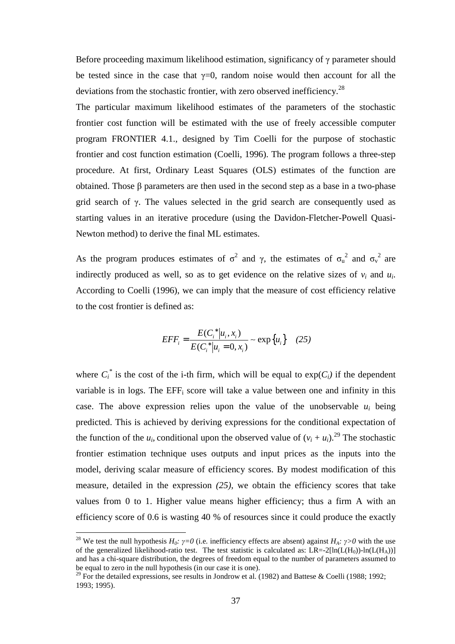Before proceeding maximum likelihood estimation, significancy of γ parameter should be tested since in the case that  $\gamma=0$ , random noise would then account for all the deviations from the stochastic frontier, with zero observed inefficiency.<sup>28</sup>

The particular maximum likelihood estimates of the parameters of the stochastic frontier cost function will be estimated with the use of freely accessible computer program FRONTIER 4.1., designed by Tim Coelli for the purpose of stochastic frontier and cost function estimation (Coelli, 1996). The program follows a three-step procedure. At first, Ordinary Least Squares (OLS) estimates of the function are obtained. Those β parameters are then used in the second step as a base in a two-phase grid search of  $\gamma$ . The values selected in the grid search are consequently used as starting values in an iterative procedure (using the Davidon-Fletcher-Powell Quasi-Newton method) to derive the final ML estimates.

As the program produces estimates of  $\sigma^2$  and  $\gamma$ , the estimates of  $\sigma_u^2$  and  $\sigma_v^2$  are indirectly produced as well, so as to get evidence on the relative sizes of  $v_i$  and  $u_i$ . According to Coelli (1996), we can imply that the measure of cost efficiency relative to the cost frontier is defined as:

$$
EFF_i = \frac{E(C_i^* | u_i, x_i)}{E(C_i^* | u_i = 0, x_i)} \sim \exp\{u_i\} \quad (25)
$$

where  $C_i^*$  is the cost of the i-th firm, which will be equal to  $exp(C_i)$  if the dependent variable is in logs. The  $EFF_i$  score will take a value between one and infinity in this case. The above expression relies upon the value of the unobservable  $u_i$  being predicted. This is achieved by deriving expressions for the conditional expectation of the function of the  $u_i$ , conditional upon the observed value of  $(v_i + u_i)$ .<sup>29</sup> The stochastic frontier estimation technique uses outputs and input prices as the inputs into the model, deriving scalar measure of efficiency scores. By modest modification of this measure, detailed in the expression *(25)*, we obtain the efficiency scores that take values from 0 to 1. Higher value means higher efficiency; thus a firm A with an efficiency score of 0.6 is wasting 40 % of resources since it could produce the exactly

<sup>&</sup>lt;sup>28</sup> We test the null hypothesis  $H_0$ *:*  $\gamma = 0$  (i.e. inefficiency effects are absent) against  $H_A$ *:*  $\gamma > 0$  with the use of the generalized likelihood-ratio test. The test statistic is calculated as:  $LR = 2[ln(L(H_0))-ln(L(H_A))]$ and has a chi-square distribution, the degrees of freedom equal to the number of parameters assumed to be equal to zero in the null hypothesis (in our case it is one).

<sup>&</sup>lt;sup>29</sup> For the detailed expressions, see results in Jondrow et al. (1982) and Battese & Coelli (1988; 1992; 1993; 1995).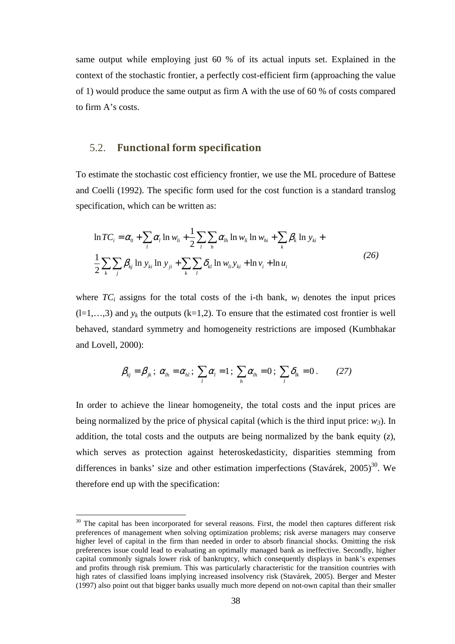same output while employing just 60 % of its actual inputs set. Explained in the context of the stochastic frontier, a perfectly cost-efficient firm (approaching the value of 1) would produce the same output as firm A with the use of 60 % of costs compared to firm A's costs.

#### 5.2. **Functional form specification**

To estimate the stochastic cost efficiency frontier, we use the ML procedure of Battese and Coelli (1992). The specific form used for the cost function is a standard translog specification, which can be written as:

$$
\ln TC_i = \alpha_0 + \sum_{l} \alpha_l \ln w_{li} + \frac{1}{2} \sum_{l} \sum_{h} \alpha_{lh} \ln w_{li} \ln w_{hi} + \sum_{k} \beta_k \ln y_{ki} + \frac{1}{2} \sum_{k} \sum_{j} \beta_{kj} \ln y_{ki} \ln y_{ji} + \sum_{k} \sum_{l} \delta_{kl} \ln w_{li} y_{ki} + \ln v_i + \ln u_i
$$
\n(26)

where  $TC_i$  assigns for the total costs of the i-th bank,  $w_l$  denotes the input prices  $(l=1,...,3)$  and  $y_k$  the outputs  $(k=1,2)$ . To ensure that the estimated cost frontier is well behaved, standard symmetry and homogeneity restrictions are imposed (Kumbhakar and Lovell, 2000):

$$
\beta_{kj} = \beta_{jk}; \ \alpha_{lh} = \alpha_{hl}; \ \sum_l \alpha_l = 1; \ \sum_h \alpha_{lh} = 0; \ \sum_l \delta_{lk} = 0. \qquad (27)
$$

In order to achieve the linear homogeneity, the total costs and the input prices are being normalized by the price of physical capital (which is the third input price:  $w_3$ ). In addition, the total costs and the outputs are being normalized by the bank equity (*z*), which serves as protection against heteroskedasticity, disparities stemming from differences in banks' size and other estimation imperfections (Stavárek, 2005)<sup>30</sup>. We therefore end up with the specification:

 $30$  The capital has been incorporated for several reasons. First, the model then captures different risk preferences of management when solving optimization problems; risk averse managers may conserve higher level of capital in the firm than needed in order to absorb financial shocks. Omitting the risk preferences issue could lead to evaluating an optimally managed bank as ineffective. Secondly, higher capital commonly signals lower risk of bankruptcy, which consequently displays in bank's expenses and profits through risk premium. This was particularly characteristic for the transition countries with high rates of classified loans implying increased insolvency risk (Stavárek, 2005). Berger and Mester (1997) also point out that bigger banks usually much more depend on not-own capital than their smaller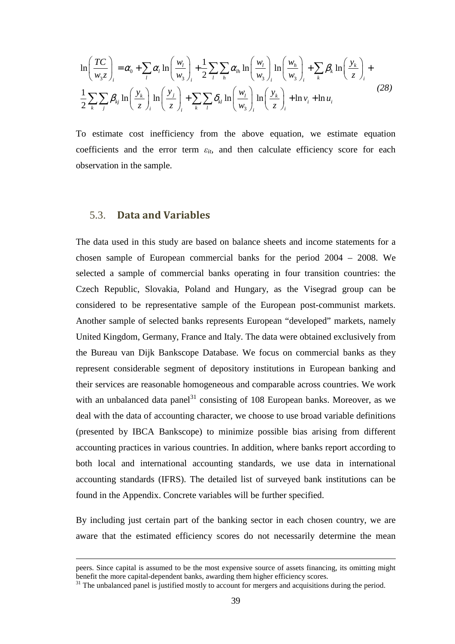$$
\ln\left(\frac{TC}{w_3z}\right)_i = \alpha_0 + \sum_l \alpha_l \ln\left(\frac{w_l}{w_3}\right)_i + \frac{1}{2} \sum_l \sum_h \alpha_{lh} \ln\left(\frac{w_l}{w_3}\right)_i \ln\left(\frac{w_h}{w_3}\right)_i + \sum_k \beta_k \ln\left(\frac{y_k}{z}\right)_i + \frac{1}{2} \sum_k \sum_l \beta_{kj} \ln\left(\frac{y_j}{z}\right)_i + \sum_k \sum_l \delta_{kl} \ln\left(\frac{w_l}{w_3}\right)_i \ln\left(\frac{y_k}{z}\right)_i + \ln v_i + \ln u_i
$$
\n(28)

To estimate cost inefficiency from the above equation, we estimate equation coefficients and the error term  $\varepsilon_{it}$ , and then calculate efficiency score for each observation in the sample.

#### 5.3. **Data and Variables**

 $\overline{a}$ 

The data used in this study are based on balance sheets and income statements for a chosen sample of European commercial banks for the period 2004 – 2008. We selected a sample of commercial banks operating in four transition countries: the Czech Republic, Slovakia, Poland and Hungary, as the Visegrad group can be considered to be representative sample of the European post-communist markets. Another sample of selected banks represents European "developed" markets, namely United Kingdom, Germany, France and Italy. The data were obtained exclusively from the Bureau van Dijk Bankscope Database. We focus on commercial banks as they represent considerable segment of depository institutions in European banking and their services are reasonable homogeneous and comparable across countries. We work with an unbalanced data panel<sup>31</sup> consisting of 108 European banks. Moreover, as we deal with the data of accounting character, we choose to use broad variable definitions (presented by IBCA Bankscope) to minimize possible bias arising from different accounting practices in various countries. In addition, where banks report according to both local and international accounting standards, we use data in international accounting standards (IFRS). The detailed list of surveyed bank institutions can be found in the Appendix. Concrete variables will be further specified.

By including just certain part of the banking sector in each chosen country, we are aware that the estimated efficiency scores do not necessarily determine the mean

peers. Since capital is assumed to be the most expensive source of assets financing, its omitting might benefit the more capital-dependent banks, awarding them higher efficiency scores.

<sup>&</sup>lt;sup>31</sup> The unbalanced panel is justified mostly to account for mergers and acquisitions during the period.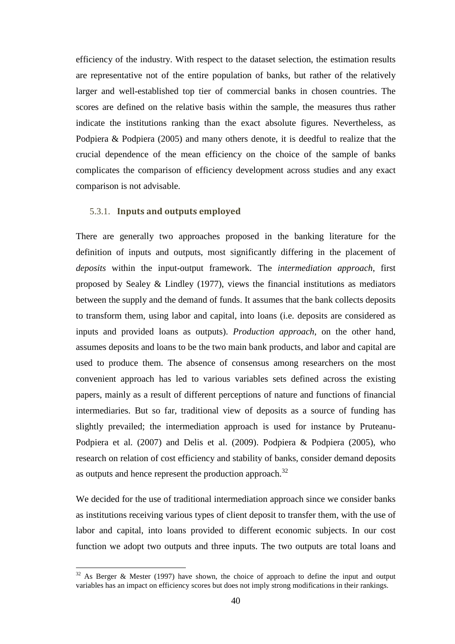efficiency of the industry. With respect to the dataset selection, the estimation results are representative not of the entire population of banks, but rather of the relatively larger and well-established top tier of commercial banks in chosen countries. The scores are defined on the relative basis within the sample, the measures thus rather indicate the institutions ranking than the exact absolute figures. Nevertheless, as Podpiera & Podpiera (2005) and many others denote, it is deedful to realize that the crucial dependence of the mean efficiency on the choice of the sample of banks complicates the comparison of efficiency development across studies and any exact comparison is not advisable.

#### 5.3.1. **Inputs and outputs employed**

 $\overline{a}$ 

There are generally two approaches proposed in the banking literature for the definition of inputs and outputs, most significantly differing in the placement of *deposits* within the input-output framework. The *intermediation approach*, first proposed by Sealey & Lindley (1977), views the financial institutions as mediators between the supply and the demand of funds. It assumes that the bank collects deposits to transform them, using labor and capital, into loans (i.e. deposits are considered as inputs and provided loans as outputs). *Production approach*, on the other hand, assumes deposits and loans to be the two main bank products, and labor and capital are used to produce them. The absence of consensus among researchers on the most convenient approach has led to various variables sets defined across the existing papers, mainly as a result of different perceptions of nature and functions of financial intermediaries. But so far, traditional view of deposits as a source of funding has slightly prevailed; the intermediation approach is used for instance by Pruteanu-Podpiera et al. (2007) and Delis et al. (2009). Podpiera & Podpiera (2005), who research on relation of cost efficiency and stability of banks, consider demand deposits as outputs and hence represent the production approach.<sup>32</sup>

We decided for the use of traditional intermediation approach since we consider banks as institutions receiving various types of client deposit to transfer them, with the use of labor and capital, into loans provided to different economic subjects. In our cost function we adopt two outputs and three inputs. The two outputs are total loans and

 $32$  As Berger & Mester (1997) have shown, the choice of approach to define the input and output variables has an impact on efficiency scores but does not imply strong modifications in their rankings.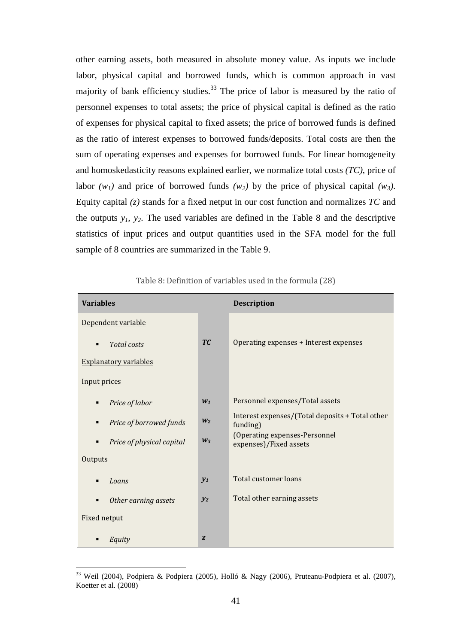other earning assets, both measured in absolute money value. As inputs we include labor, physical capital and borrowed funds, which is common approach in vast majority of bank efficiency studies.<sup>33</sup> The price of labor is measured by the ratio of personnel expenses to total assets; the price of physical capital is defined as the ratio of expenses for physical capital to fixed assets; the price of borrowed funds is defined as the ratio of interest expenses to borrowed funds/deposits. Total costs are then the sum of operating expenses and expenses for borrowed funds. For linear homogeneity and homoskedasticity reasons explained earlier, we normalize total costs *(TC)*, price of labor  $(w_1)$  and price of borrowed funds  $(w_2)$  by the price of physical capital  $(w_3)$ . Equity capital *(z)* stands for a fixed netput in our cost function and normalizes *TC* and the outputs  $y_1$ ,  $y_2$ . The used variables are defined in the Table 8 and the descriptive statistics of input prices and output quantities used in the SFA model for the full sample of 8 countries are summarized in the Table 9.

| <b>Variables</b>                          |                | <b>Description</b>                                          |
|-------------------------------------------|----------------|-------------------------------------------------------------|
| Dependent variable                        |                |                                                             |
| <b>Total</b> costs<br>$\blacksquare$      | <b>TC</b>      | Operating expenses + Interest expenses                      |
| <b>Explanatory variables</b>              |                |                                                             |
| Input prices                              |                |                                                             |
| Price of labor<br>п                       | $W_1$          | Personnel expenses/Total assets                             |
| Price of borrowed funds<br>$\blacksquare$ | W <sub>2</sub> | Interest expenses/(Total deposits + Total other<br>funding) |
| Price of physical capital<br>п            | $W_3$          | (Operating expenses-Personnel<br>expenses)/Fixed assets     |
| Outputs                                   |                |                                                             |
| Loans                                     | $y_1$          | <b>Total customer loans</b>                                 |
| Other earning assets                      | $y_2$          | Total other earning assets                                  |
| Fixed netput                              |                |                                                             |
| Equity                                    | Z              |                                                             |

Table 8: Definition of variables used in the formula (28)

<sup>&</sup>lt;sup>33</sup> Weil (2004), Podpiera & Podpiera (2005), Holló & Nagy (2006), Pruteanu-Podpiera et al. (2007), Koetter et al. (2008)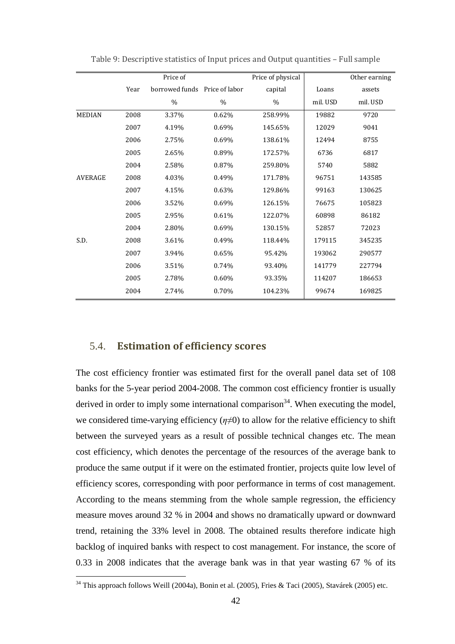|                |      | Price of                      |       | Price of physical |          | Other earning |
|----------------|------|-------------------------------|-------|-------------------|----------|---------------|
|                | Year | borrowed funds Price of labor |       | capital           | Loans    | assets        |
|                |      | %                             | $\%$  | $\%$              | mil. USD | mil. USD      |
| <b>MEDIAN</b>  | 2008 | 3.37%                         | 0.62% | 258.99%           | 19882    | 9720          |
|                | 2007 | 4.19%                         | 0.69% | 145.65%           | 12029    | 9041          |
|                | 2006 | 2.75%                         | 0.69% | 138.61%           | 12494    | 8755          |
|                | 2005 | 2.65%                         | 0.89% | 172.57%           | 6736     | 6817          |
|                | 2004 | 2.58%                         | 0.87% | 259.80%           | 5740     | 5882          |
| <b>AVERAGE</b> | 2008 | 4.03%                         | 0.49% | 171.78%           | 96751    | 143585        |
|                | 2007 | 4.15%                         | 0.63% | 129.86%           | 99163    | 130625        |
|                | 2006 | 3.52%                         | 0.69% | 126.15%           | 76675    | 105823        |
|                | 2005 | 2.95%                         | 0.61% | 122.07%           | 60898    | 86182         |
|                | 2004 | 2.80%                         | 0.69% | 130.15%           | 52857    | 72023         |
| S.D.           | 2008 | 3.61%                         | 0.49% | 118.44%           | 179115   | 345235        |
|                | 2007 | 3.94%                         | 0.65% | 95.42%            | 193062   | 290577        |
|                | 2006 | 3.51%                         | 0.74% | 93.40%            | 141779   | 227794        |
|                | 2005 | 2.78%                         | 0.60% | 93.35%            | 114207   | 186653        |
|                | 2004 | 2.74%                         | 0.70% | 104.23%           | 99674    | 169825        |

Table 9: Descriptive statistics of Input prices and Output quantities – Full sample

#### 5.4. **Estimation of efficiency scores**

 $\overline{a}$ 

The cost efficiency frontier was estimated first for the overall panel data set of 108 banks for the 5-year period 2004-2008. The common cost efficiency frontier is usually derived in order to imply some international comparison<sup>34</sup>. When executing the model, we considered time-varying efficiency  $(\eta \neq 0)$  to allow for the relative efficiency to shift between the surveyed years as a result of possible technical changes etc. The mean cost efficiency, which denotes the percentage of the resources of the average bank to produce the same output if it were on the estimated frontier, projects quite low level of efficiency scores, corresponding with poor performance in terms of cost management. According to the means stemming from the whole sample regression, the efficiency measure moves around 32 % in 2004 and shows no dramatically upward or downward trend, retaining the 33% level in 2008. The obtained results therefore indicate high backlog of inquired banks with respect to cost management. For instance, the score of 0.33 in 2008 indicates that the average bank was in that year wasting 67 % of its

<sup>&</sup>lt;sup>34</sup> This approach follows Weill (2004a), Bonin et al. (2005), Fries & Taci (2005), Stavárek (2005) etc.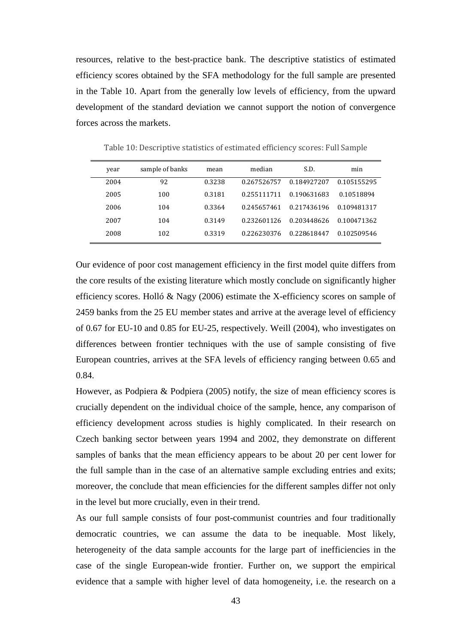resources, relative to the best-practice bank. The descriptive statistics of estimated efficiency scores obtained by the SFA methodology for the full sample are presented in the Table 10. Apart from the generally low levels of efficiency, from the upward development of the standard deviation we cannot support the notion of convergence forces across the markets.

| year | sample of banks | mean   | median      | S.D.        | min         |
|------|-----------------|--------|-------------|-------------|-------------|
| 2004 | 92              | 0.3238 | 0.267526757 | 0.184927207 | 0.105155295 |
| 2005 | 100             | 0.3181 | 0.255111711 | 0.190631683 | 0.10518894  |
| 2006 | 104             | 0.3364 | 0.245657461 | 0.217436196 | 0.109481317 |
| 2007 | 104             | 0.3149 | 0.232601126 | 0.203448626 | 0.100471362 |
| 2008 | 102             | 0.3319 | 0.226230376 | 0.228618447 | 0.102509546 |

Table 10: Descriptive statistics of estimated efficiency scores: Full Sample

Our evidence of poor cost management efficiency in the first model quite differs from the core results of the existing literature which mostly conclude on significantly higher efficiency scores. Holló & Nagy (2006) estimate the X-efficiency scores on sample of 2459 banks from the 25 EU member states and arrive at the average level of efficiency of 0.67 for EU-10 and 0.85 for EU-25, respectively. Weill (2004), who investigates on differences between frontier techniques with the use of sample consisting of five European countries, arrives at the SFA levels of efficiency ranging between 0.65 and 0.84.

However, as Podpiera & Podpiera (2005) notify, the size of mean efficiency scores is crucially dependent on the individual choice of the sample, hence, any comparison of efficiency development across studies is highly complicated. In their research on Czech banking sector between years 1994 and 2002, they demonstrate on different samples of banks that the mean efficiency appears to be about 20 per cent lower for the full sample than in the case of an alternative sample excluding entries and exits; moreover, the conclude that mean efficiencies for the different samples differ not only in the level but more crucially, even in their trend.

As our full sample consists of four post-communist countries and four traditionally democratic countries, we can assume the data to be inequable. Most likely, heterogeneity of the data sample accounts for the large part of inefficiencies in the case of the single European-wide frontier. Further on, we support the empirical evidence that a sample with higher level of data homogeneity, i.e. the research on a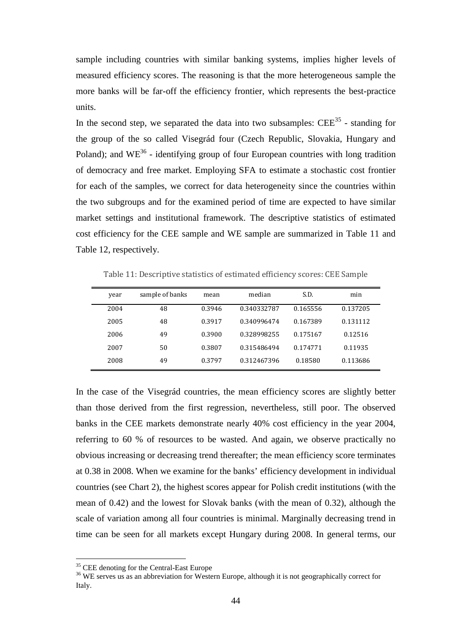sample including countries with similar banking systems, implies higher levels of measured efficiency scores. The reasoning is that the more heterogeneous sample the more banks will be far-off the efficiency frontier, which represents the best-practice units.

In the second step, we separated the data into two subsamples:  $\text{CEE}^{35}$  - standing for the group of the so called Visegrád four (Czech Republic, Slovakia, Hungary and Poland); and WE<sup>36</sup> - identifying group of four European countries with long tradition of democracy and free market. Employing SFA to estimate a stochastic cost frontier for each of the samples, we correct for data heterogeneity since the countries within the two subgroups and for the examined period of time are expected to have similar market settings and institutional framework. The descriptive statistics of estimated cost efficiency for the CEE sample and WE sample are summarized in Table 11 and Table 12, respectively.

| year | sample of banks | mean   | median      | S.D.     | min      |
|------|-----------------|--------|-------------|----------|----------|
| 2004 | 48              | 0.3946 | 0.340332787 | 0.165556 | 0.137205 |
| 2005 | 48              | 0.3917 | 0.340996474 | 0.167389 | 0.131112 |
| 2006 | 49              | 0.3900 | 0.328998255 | 0.175167 | 0.12516  |
| 2007 | 50              | 0.3807 | 0.315486494 | 0.174771 | 0.11935  |
| 2008 | 49              | 0.3797 | 0.312467396 | 0.18580  | 0.113686 |

Table 11: Descriptive statistics of estimated efficiency scores: CEE Sample

In the case of the Visegrád countries, the mean efficiency scores are slightly better than those derived from the first regression, nevertheless, still poor. The observed banks in the CEE markets demonstrate nearly 40% cost efficiency in the year 2004, referring to 60 % of resources to be wasted. And again, we observe practically no obvious increasing or decreasing trend thereafter; the mean efficiency score terminates at 0.38 in 2008. When we examine for the banks' efficiency development in individual countries (see Chart 2), the highest scores appear for Polish credit institutions (with the mean of 0.42) and the lowest for Slovak banks (with the mean of 0.32), although the scale of variation among all four countries is minimal. Marginally decreasing trend in time can be seen for all markets except Hungary during 2008. In general terms, our

<sup>&</sup>lt;sup>35</sup> CEE denoting for the Central-East Europe

<sup>&</sup>lt;sup>36</sup> WE serves us as an abbreviation for Western Europe, although it is not geographically correct for Italy.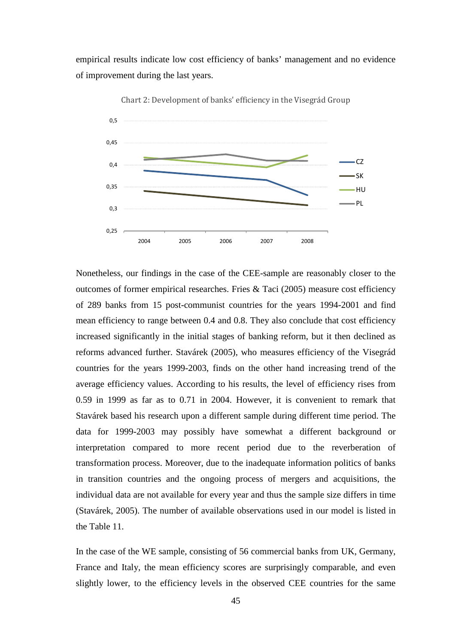empirical results indicate low cost efficiency of banks' management and no evidence of improvement during the last years.



Chart 2: Development of banks' efficiency in the Visegrád Group

Nonetheless, our findings in the case of the CEE-sample are reasonably closer to the outcomes of former empirical researches. Fries & Taci (2005) measure cost efficiency of 289 banks from 15 post-communist countries for the years 1994-2001 and find mean efficiency to range between 0.4 and 0.8. They also conclude that cost efficiency increased significantly in the initial stages of banking reform, but it then declined as reforms advanced further. Stavárek (2005), who measures efficiency of the Visegrád countries for the years 1999-2003, finds on the other hand increasing trend of the average efficiency values. According to his results, the level of efficiency rises from 0.59 in 1999 as far as to 0.71 in 2004. However, it is convenient to remark that Stavárek based his research upon a different sample during different time period. The data for 1999-2003 may possibly have somewhat a different background or interpretation compared to more recent period due to the reverberation of transformation process. Moreover, due to the inadequate information politics of banks in transition countries and the ongoing process of mergers and acquisitions, the individual data are not available for every year and thus the sample size differs in time (Stavárek, 2005). The number of available observations used in our model is listed in the Table 11.

In the case of the WE sample, consisting of 56 commercial banks from UK, Germany, France and Italy, the mean efficiency scores are surprisingly comparable, and even slightly lower, to the efficiency levels in the observed CEE countries for the same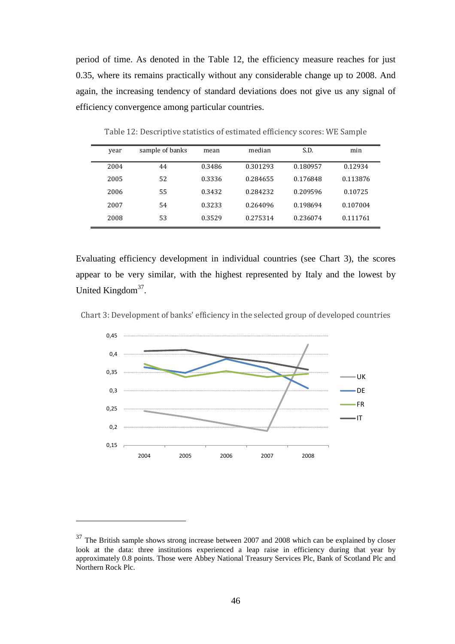period of time. As denoted in the Table 12, the efficiency measure reaches for just 0.35, where its remains practically without any considerable change up to 2008. And again, the increasing tendency of standard deviations does not give us any signal of efficiency convergence among particular countries.

| year | sample of banks | mean   | median   | S.D.     | min      |
|------|-----------------|--------|----------|----------|----------|
| 2004 | 44              | 0.3486 | 0.301293 | 0.180957 | 0.12934  |
| 2005 | 52              | 0.3336 | 0.284655 | 0.176848 | 0.113876 |
| 2006 | 55              | 0.3432 | 0.284232 | 0.209596 | 0.10725  |
| 2007 | 54              | 0.3233 | 0.264096 | 0.198694 | 0.107004 |
| 2008 | 53              | 0.3529 | 0.275314 | 0.236074 | 0.111761 |

Table 12: Descriptive statistics of estimated efficiency scores: WE Sample

Evaluating efficiency development in individual countries (see Chart 3), the scores appear to be very similar, with the highest represented by Italy and the lowest by United Kingdom<sup>37</sup>.

Chart 3: Development of banks' efficiency in the selected group of developed countries



 $37$  The British sample shows strong increase between 2007 and 2008 which can be explained by closer look at the data: three institutions experienced a leap raise in efficiency during that year by approximately 0.8 points. Those were Abbey National Treasury Services Plc, Bank of Scotland Plc and Northern Rock Plc.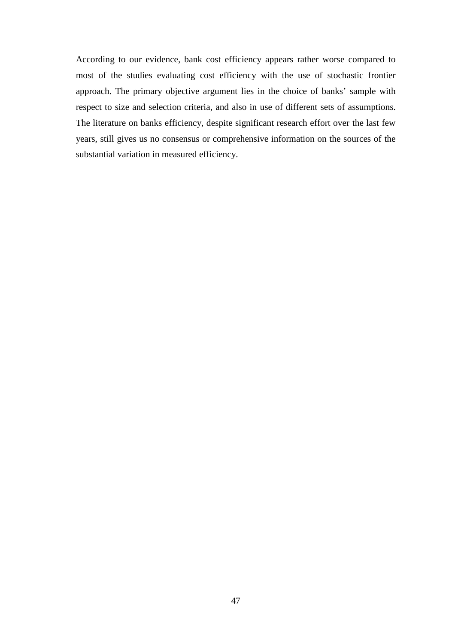According to our evidence, bank cost efficiency appears rather worse compared to most of the studies evaluating cost efficiency with the use of stochastic frontier approach. The primary objective argument lies in the choice of banks' sample with respect to size and selection criteria, and also in use of different sets of assumptions. The literature on banks efficiency, despite significant research effort over the last few years, still gives us no consensus or comprehensive information on the sources of the substantial variation in measured efficiency.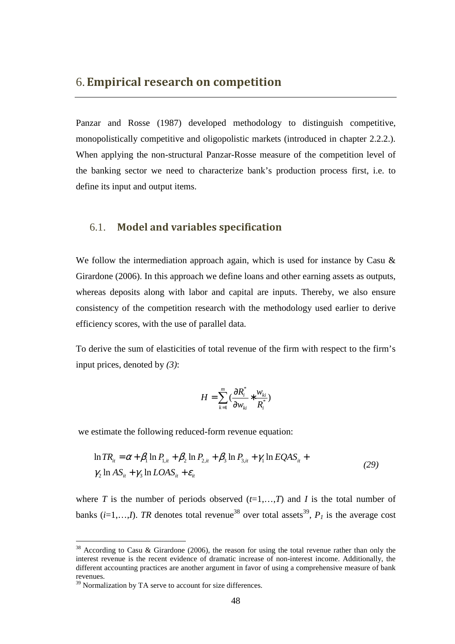Panzar and Rosse (1987) developed methodology to distinguish competitive, monopolistically competitive and oligopolistic markets (introduced in chapter 2.2.2.). When applying the non-structural Panzar-Rosse measure of the competition level of the banking sector we need to characterize bank's production process first, i.e. to define its input and output items.

#### 6.1. **Model and variables specification**

We follow the intermediation approach again, which is used for instance by Casu & Girardone (2006). In this approach we define loans and other earning assets as outputs, whereas deposits along with labor and capital are inputs. Thereby, we also ensure consistency of the competition research with the methodology used earlier to derive efficiency scores, with the use of parallel data.

To derive the sum of elasticities of total revenue of the firm with respect to the firm's input prices, denoted by *(3)*:

$$
H = \sum_{k=1}^{m} \left( \frac{\partial R_i^*}{\partial w_{ki}} * \frac{w_{ki}}{R_i^*} \right)
$$

we estimate the following reduced-form revenue equation:

$$
\ln TR_{ii} = \alpha + \beta_1 \ln P_{1,i} + \beta_2 \ln P_{2,i} + \beta_3 \ln P_{3,i} + \gamma_1 \ln EQAS_{ii} + \gamma_2 \ln AS_{ii} + \gamma_3 \ln LOAS_{ii} + \varepsilon_{ii}
$$
\n(29)

where *T* is the number of periods observed  $(t=1,...,T)$  and *I* is the total number of banks (*i*=1,...,*I*). *TR* denotes total revenue<sup>38</sup> over total assets<sup>39</sup>,  $P<sub>I</sub>$  is the average cost

<sup>&</sup>lt;sup>38</sup> According to Casu & Girardone (2006), the reason for using the total revenue rather than only the interest revenue is the recent evidence of dramatic increase of non-interest income. Additionally, the different accounting practices are another argument in favor of using a comprehensive measure of bank revenues.

<sup>&</sup>lt;sup>39</sup> Normalization by TA serve to account for size differences.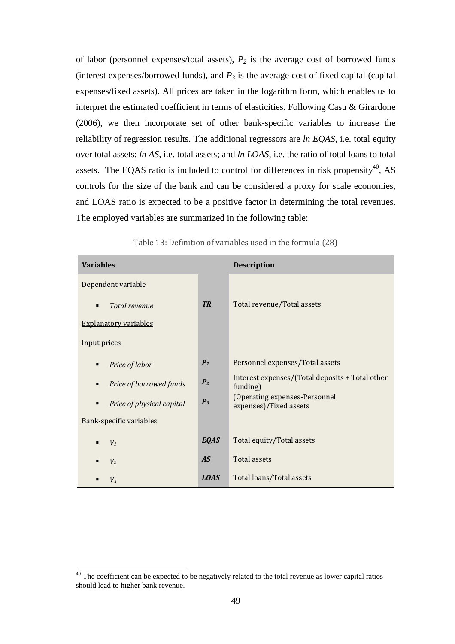of labor (personnel expenses/total assets), *P2* is the average cost of borrowed funds (interest expenses/borrowed funds), and  $P_3$  is the average cost of fixed capital (capital) expenses/fixed assets). All prices are taken in the logarithm form, which enables us to interpret the estimated coefficient in terms of elasticities. Following Casu & Girardone (2006), we then incorporate set of other bank-specific variables to increase the reliability of regression results. The additional regressors are *ln EQAS*, i.e. total equity over total assets; *ln AS*, i.e. total assets; and *ln LOAS*, i.e. the ratio of total loans to total assets. The EQAS ratio is included to control for differences in risk propensity<sup>40</sup>, AS controls for the size of the bank and can be considered a proxy for scale economies, and LOAS ratio is expected to be a positive factor in determining the total revenues. The employed variables are summarized in the following table:

| <b>Variables</b>               |                | <b>Description</b>                                          |
|--------------------------------|----------------|-------------------------------------------------------------|
| Dependent variable             |                |                                                             |
| Total revenue<br>٠             | <b>TR</b>      | Total revenue/Total assets                                  |
| <b>Explanatory variables</b>   |                |                                                             |
| Input prices                   |                |                                                             |
| Price of labor<br>٠            | $P_1$          | Personnel expenses/Total assets                             |
| Price of borrowed funds<br>٠   | P <sub>2</sub> | Interest expenses/(Total deposits + Total other<br>funding) |
| Price of physical capital<br>٠ | $P_3$          | (Operating expenses-Personnel<br>expenses)/Fixed assets     |
| Bank-specific variables        |                |                                                             |
| V <sub>1</sub><br>٠            | <b>EQAS</b>    | Total equity/Total assets                                   |
| V <sub>2</sub><br>٠            | AS             | Total assets                                                |
| $V_3$                          | <b>LOAS</b>    | Total loans/Total assets                                    |

Table 13: Definition of variables used in the formula (28)

<sup>&</sup>lt;sup>40</sup> The coefficient can be expected to be negatively related to the total revenue as lower capital ratios should lead to higher bank revenue.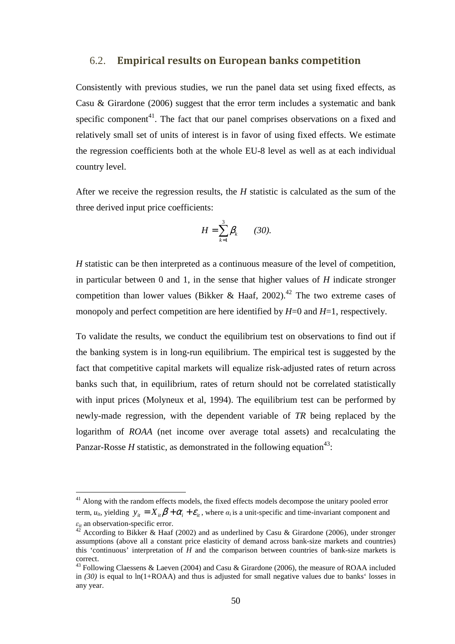#### 6.2. **Empirical results on European banks competition**

Consistently with previous studies, we run the panel data set using fixed effects, as Casu & Girardone (2006) suggest that the error term includes a systematic and bank specific component<sup>41</sup>. The fact that our panel comprises observations on a fixed and relatively small set of units of interest is in favor of using fixed effects. We estimate the regression coefficients both at the whole EU-8 level as well as at each individual country level.

After we receive the regression results, the *H* statistic is calculated as the sum of the three derived input price coefficients:

$$
H=\sum_{k=1}^3\beta_k\qquad(30).
$$

*H* statistic can be then interpreted as a continuous measure of the level of competition, in particular between 0 and 1, in the sense that higher values of *H* indicate stronger competition than lower values (Bikker & Haaf, 2002).<sup>42</sup> The two extreme cases of monopoly and perfect competition are here identified by  $H=0$  and  $H=1$ , respectively.

To validate the results, we conduct the equilibrium test on observations to find out if the banking system is in long-run equilibrium. The empirical test is suggested by the fact that competitive capital markets will equalize risk-adjusted rates of return across banks such that, in equilibrium, rates of return should not be correlated statistically with input prices (Molyneux et al, 1994). The equilibrium test can be performed by newly-made regression, with the dependent variable of *TR* being replaced by the logarithm of *ROAA* (net income over average total assets) and recalculating the Panzar-Rosse  $H$  statistic, as demonstrated in the following equation<sup>43</sup>:

<sup>&</sup>lt;sup>41</sup> Along with the random effects models, the fixed effects models decompose the unitary pooled error term,  $u_{i}$ , yielding  $y_{i} = X_{i} \beta + \alpha_{i} + \varepsilon_{i}$ , where  $\alpha_{i}$  is a unit-specific and time-invariant component and  $\varepsilon_{it}$  an observation-specific error.

<sup>42</sup> According to Bikker & Haaf (2002) and as underlined by Casu & Girardone (2006), under stronger assumptions (above all a constant price elasticity of demand across bank-size markets and countries) this 'continuous' interpretation of *H* and the comparison between countries of bank-size markets is correct.

<sup>&</sup>lt;sup>43</sup> Following Claessens & Laeven (2004) and Casu & Girardone (2006), the measure of ROAA included in *(30)* is equal to ln(1+ROAA) and thus is adjusted for small negative values due to banks' losses in any year.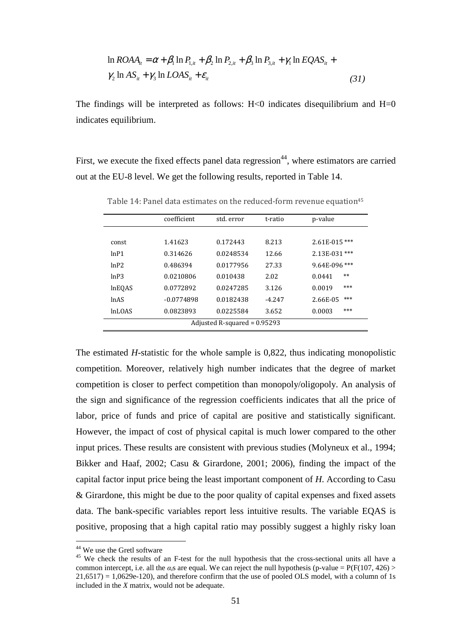$$
\ln ROAA_{ii} = \alpha + \beta_1 \ln P_{1,ii} + \beta_2 \ln P_{2,ii} + \beta_3 \ln P_{3,ii} + \gamma_1 \ln EQAS_{ii} + \gamma_2 \ln AS_{ii} + \gamma_3 \ln LOAS_{ii} + \varepsilon_{ii}
$$
\n(31)

The findings will be interpreted as follows:  $H<0$  indicates disequilibrium and  $H=0$ indicates equilibrium.

First, we execute the fixed effects panel data regression<sup>44</sup>, where estimators are carried out at the EU-8 level. We get the following results, reported in Table 14.

|                                | coefficient  | std. error | t-ratio  | p-value           |  |  |
|--------------------------------|--------------|------------|----------|-------------------|--|--|
|                                |              |            |          |                   |  |  |
| const                          | 1.41623      | 0.172443   | 8.213    | $2.61E - 015$ *** |  |  |
| lnP1                           | 0.314626     | 0.0248534  | 12.66    | 2.13E-031 ***     |  |  |
| lnP2                           | 0.486394     | 0.0177956  | 27.33    | $9.64E-096$ ***   |  |  |
| lnP3                           | 0.0210806    | 0.010438   | 2.02     | $**$<br>0.0441    |  |  |
| <b>InEOAS</b>                  | 0.0772892    | 0.0247285  | 3.126    | ***<br>0.0019     |  |  |
| <i>lnAS</i>                    | $-0.0774898$ | 0.0182438  | $-4.247$ | ***<br>2.66E-05   |  |  |
| <i>InLOAS</i>                  | 0.0823893    | 0.0225584  | 3.652    | ***<br>0.0003     |  |  |
| Adjusted R-squared = $0.95293$ |              |            |          |                   |  |  |

Table 14: Panel data estimates on the reduced-form revenue equation<sup>45</sup>

The estimated *H*-statistic for the whole sample is 0,822, thus indicating monopolistic competition. Moreover, relatively high number indicates that the degree of market competition is closer to perfect competition than monopoly/oligopoly. An analysis of the sign and significance of the regression coefficients indicates that all the price of labor, price of funds and price of capital are positive and statistically significant. However, the impact of cost of physical capital is much lower compared to the other input prices. These results are consistent with previous studies (Molyneux et al., 1994; Bikker and Haaf, 2002; Casu & Girardone, 2001; 2006), finding the impact of the capital factor input price being the least important component of *H*. According to Casu & Girardone, this might be due to the poor quality of capital expenses and fixed assets data. The bank-specific variables report less intuitive results. The variable EQAS is positive, proposing that a high capital ratio may possibly suggest a highly risky loan

<sup>44</sup> We use the Gretl software

<sup>&</sup>lt;sup>45</sup> We check the results of an F-test for the null hypothesis that the cross-sectional units all have a common intercept, i.e. all the  $\alpha_i$ <sup>s</sup> are equal. We can reject the null hypothesis (p-value = P(F(107, 426) >  $21,6517$  = 1,0629e-120), and therefore confirm that the use of pooled OLS model, with a column of 1s included in the *X* matrix, would not be adequate.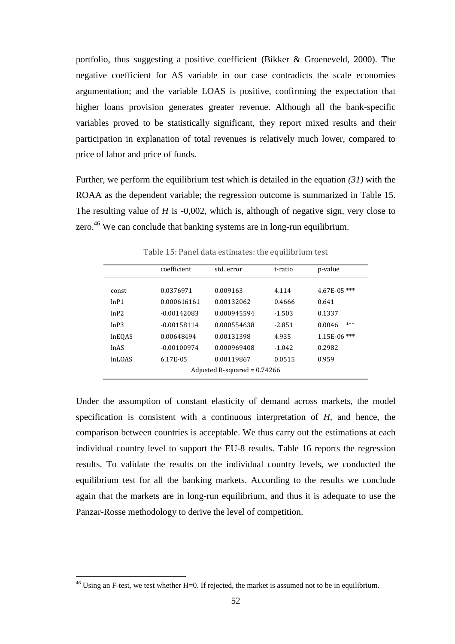portfolio, thus suggesting a positive coefficient (Bikker & Groeneveld, 2000). The negative coefficient for AS variable in our case contradicts the scale economies argumentation; and the variable LOAS is positive, confirming the expectation that higher loans provision generates greater revenue. Although all the bank-specific variables proved to be statistically significant, they report mixed results and their participation in explanation of total revenues is relatively much lower, compared to price of labor and price of funds.

Further, we perform the equilibrium test which is detailed in the equation *(31)* with the ROAA as the dependent variable; the regression outcome is summarized in Table 15. The resulting value of *H* is -0,002, which is, although of negative sign, very close to zero.<sup>46</sup> We can conclude that banking systems are in long-run equilibrium.

|                                | coefficient   | std. error  | t-ratio  | p-value         |  |
|--------------------------------|---------------|-------------|----------|-----------------|--|
|                                | 0.0376971     | 0.009163    | 4.114    |                 |  |
| const                          |               |             |          | $4.67E-05$ ***  |  |
| lnP1                           | 0.000616161   | 0.00132062  | 0.4666   | 0.641           |  |
| lnP2                           | $-0.00142083$ | 0.000945594 | $-1.503$ | 0.1337          |  |
| lnP3                           | $-0.00158114$ | 0.000554638 | $-2.851$ | ***<br>0.0046   |  |
| <b>InEOAS</b>                  | 0.00648494    | 0.00131398  | 4.935    | ***<br>1.15E-06 |  |
| <i>lnAS</i>                    | $-0.00100974$ | 0.000969408 | $-1.042$ | 0.2982          |  |
| <i>InLOAS</i>                  | 6.17E-05      | 0.00119867  | 0.0515   | 0.959           |  |
| Adjusted R-squared = $0.74266$ |               |             |          |                 |  |

Table 15: Panel data estimates: the equilibrium test

Under the assumption of constant elasticity of demand across markets, the model specification is consistent with a continuous interpretation of *H*, and hence, the comparison between countries is acceptable. We thus carry out the estimations at each individual country level to support the EU-8 results. Table 16 reports the regression results. To validate the results on the individual country levels, we conducted the equilibrium test for all the banking markets. According to the results we conclude again that the markets are in long-run equilibrium, and thus it is adequate to use the Panzar-Rosse methodology to derive the level of competition.

 $^{46}$  Using an F-test, we test whether H=0. If rejected, the market is assumed not to be in equilibrium.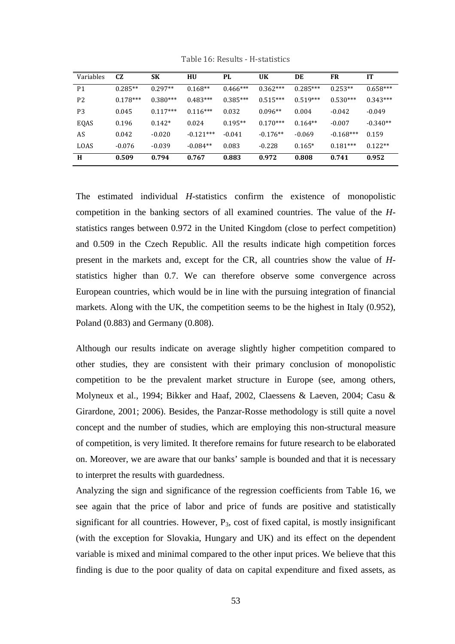| Variables      | CZ.        | <b>SK</b>  | HU          | PL.        | <b>UK</b>  | DE         | FR          | IT         |
|----------------|------------|------------|-------------|------------|------------|------------|-------------|------------|
| P <sub>1</sub> | $0.285**$  | $0.297**$  | $0.168**$   | $0.466***$ | $0.362***$ | $0.285***$ | $0.253**$   | $0.658***$ |
| P <sub>2</sub> | $0.178***$ | $0.380***$ | $0.483***$  | $0.385***$ | $0.515***$ | $0.519***$ | $0.530***$  | $0.343***$ |
| P3             | 0.045      | $0.117***$ | $0.116***$  | 0.032      | $0.096**$  | 0.004      | $-0.042$    | $-0.049$   |
| EQAS           | 0.196      | $0.142*$   | 0.024       | $0.195**$  | $0.170***$ | $0.164**$  | $-0.007$    | $-0.340**$ |
| AS             | 0.042      | $-0.020$   | $-0.121***$ | $-0.041$   | $-0.176**$ | $-0.069$   | $-0.168***$ | 0.159      |
| LOAS           | $-0.076$   | $-0.039$   | $-0.084**$  | 0.083      | $-0.228$   | $0.165*$   | $0.181***$  | $0.122**$  |
| H              | 0.509      | 0.794      | 0.767       | 0.883      | 0.972      | 0.808      | 0.741       | 0.952      |

Table 16: Results - H-statistics

The estimated individual *H*-statistics confirm the existence of monopolistic competition in the banking sectors of all examined countries. The value of the *H*statistics ranges between 0.972 in the United Kingdom (close to perfect competition) and 0.509 in the Czech Republic. All the results indicate high competition forces present in the markets and, except for the CR, all countries show the value of *H*statistics higher than 0.7. We can therefore observe some convergence across European countries, which would be in line with the pursuing integration of financial markets. Along with the UK, the competition seems to be the highest in Italy (0.952), Poland (0.883) and Germany (0.808).

Although our results indicate on average slightly higher competition compared to other studies, they are consistent with their primary conclusion of monopolistic competition to be the prevalent market structure in Europe (see, among others, Molyneux et al., 1994; Bikker and Haaf, 2002, Claessens & Laeven, 2004; Casu & Girardone, 2001; 2006). Besides, the Panzar-Rosse methodology is still quite a novel concept and the number of studies, which are employing this non-structural measure of competition, is very limited. It therefore remains for future research to be elaborated on. Moreover, we are aware that our banks' sample is bounded and that it is necessary to interpret the results with guardedness.

Analyzing the sign and significance of the regression coefficients from Table 16, we see again that the price of labor and price of funds are positive and statistically significant for all countries. However,  $P_3$ , cost of fixed capital, is mostly insignificant (with the exception for Slovakia, Hungary and UK) and its effect on the dependent variable is mixed and minimal compared to the other input prices. We believe that this finding is due to the poor quality of data on capital expenditure and fixed assets, as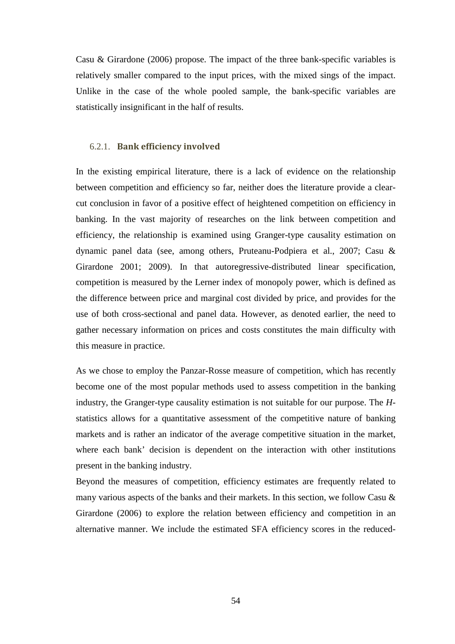Casu & Girardone (2006) propose. The impact of the three bank-specific variables is relatively smaller compared to the input prices, with the mixed sings of the impact. Unlike in the case of the whole pooled sample, the bank-specific variables are statistically insignificant in the half of results.

#### 6.2.1. **Bank efficiency involved**

In the existing empirical literature, there is a lack of evidence on the relationship between competition and efficiency so far, neither does the literature provide a clearcut conclusion in favor of a positive effect of heightened competition on efficiency in banking. In the vast majority of researches on the link between competition and efficiency, the relationship is examined using Granger-type causality estimation on dynamic panel data (see, among others, Pruteanu-Podpiera et al., 2007; Casu & Girardone 2001; 2009). In that autoregressive-distributed linear specification, competition is measured by the Lerner index of monopoly power, which is defined as the difference between price and marginal cost divided by price, and provides for the use of both cross-sectional and panel data. However, as denoted earlier, the need to gather necessary information on prices and costs constitutes the main difficulty with this measure in practice.

As we chose to employ the Panzar-Rosse measure of competition, which has recently become one of the most popular methods used to assess competition in the banking industry, the Granger-type causality estimation is not suitable for our purpose. The *H*statistics allows for a quantitative assessment of the competitive nature of banking markets and is rather an indicator of the average competitive situation in the market, where each bank' decision is dependent on the interaction with other institutions present in the banking industry.

Beyond the measures of competition, efficiency estimates are frequently related to many various aspects of the banks and their markets. In this section, we follow Casu & Girardone (2006) to explore the relation between efficiency and competition in an alternative manner. We include the estimated SFA efficiency scores in the reduced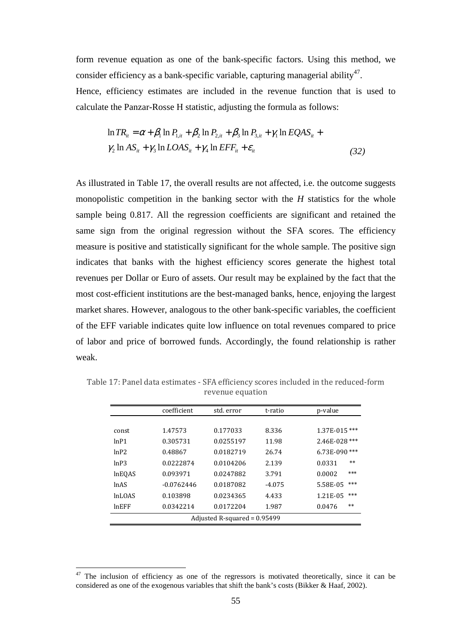form revenue equation as one of the bank-specific factors. Using this method, we consider efficiency as a bank-specific variable, capturing managerial ability<sup>47</sup>.

Hence, efficiency estimates are included in the revenue function that is used to calculate the Panzar-Rosse H statistic, adjusting the formula as follows:

$$
\ln TR_{it} = \alpha + \beta_1 \ln P_{1,it} + \beta_2 \ln P_{2,it} + \beta_3 \ln P_{3,it} + \gamma_1 \ln EQAS_{it} +
$$
  
\n
$$
\gamma_2 \ln AS_{it} + \gamma_3 \ln LOAS_{it} + \gamma_4 \ln EFF_{it} + \varepsilon_{it}
$$
\n(32)

As illustrated in Table 17, the overall results are not affected, i.e. the outcome suggests monopolistic competition in the banking sector with the *H* statistics for the whole sample being 0.817. All the regression coefficients are significant and retained the same sign from the original regression without the SFA scores. The efficiency measure is positive and statistically significant for the whole sample. The positive sign indicates that banks with the highest efficiency scores generate the highest total revenues per Dollar or Euro of assets. Our result may be explained by the fact that the most cost-efficient institutions are the best-managed banks, hence, enjoying the largest market shares. However, analogous to the other bank-specific variables, the coefficient of the EFF variable indicates quite low influence on total revenues compared to price of labor and price of borrowed funds. Accordingly, the found relationship is rather weak.

|                                | coefficient  | std. error | t-ratio  | p-value           |  |  |
|--------------------------------|--------------|------------|----------|-------------------|--|--|
|                                |              |            |          |                   |  |  |
| const                          | 1.47573      | 0.177033   | 8.336    | $1.37E - 015$ *** |  |  |
| lnP1                           | 0.305731     | 0.0255197  | 11.98    | 2.46E-028 ***     |  |  |
| lnP2                           | 0.48867      | 0.0182719  | 26.74    | 6.73E-090***      |  |  |
| lnP3                           | 0.0222874    | 0.0104206  | 2.139    | $**$<br>0.0331    |  |  |
| <b>InEQAS</b>                  | 0.093971     | 0.0247882  | 3.791    | ***<br>0.0002     |  |  |
| <b>lnAS</b>                    | $-0.0762446$ | 0.0187082  | $-4.075$ | ***<br>5.58E-05   |  |  |
| <b>InLOAS</b>                  | 0.103898     | 0.0234365  | 4.433    | ***<br>1.21E-05   |  |  |
| $ln$ EFF                       | 0.0342214    | 0.0172204  | 1.987    | $**$<br>0.0476    |  |  |
| Adjusted R-squared = $0.95499$ |              |            |          |                   |  |  |
|                                |              |            |          |                   |  |  |

Table 17: Panel data estimates - SFA efficiency scores included in the reduced-form revenue equation

 $47$  The inclusion of efficiency as one of the regressors is motivated theoretically, since it can be considered as one of the exogenous variables that shift the bank's costs (Bikker & Haaf, 2002).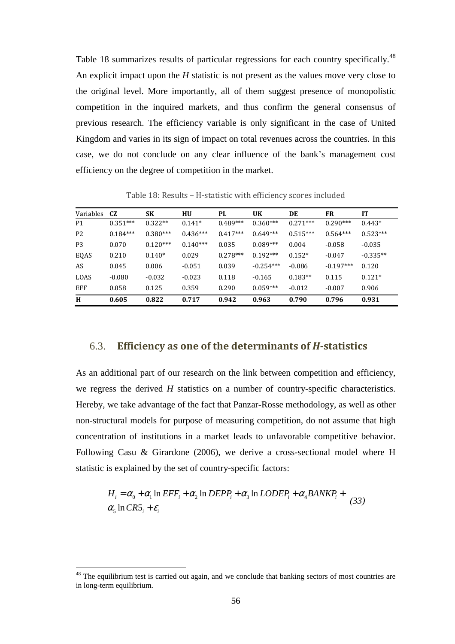Table 18 summarizes results of particular regressions for each country specifically.<sup>48</sup> An explicit impact upon the *H* statistic is not present as the values move very close to the original level. More importantly, all of them suggest presence of monopolistic competition in the inquired markets, and thus confirm the general consensus of previous research. The efficiency variable is only significant in the case of United Kingdom and varies in its sign of impact on total revenues across the countries. In this case, we do not conclude on any clear influence of the bank's management cost efficiency on the degree of competition in the market.

| Variables      | CZ         | <b>SK</b>  | <b>HU</b>  | PL         | <b>UK</b>   | DE         | FR          | <b>IT</b>  |
|----------------|------------|------------|------------|------------|-------------|------------|-------------|------------|
| P <sub>1</sub> | $0.351***$ | $0.322**$  | $0.141*$   | $0.489***$ | $0.360***$  | $0.271***$ | $0.290***$  | $0.443*$   |
| P <sub>2</sub> | $0.184***$ | $0.380***$ | $0.436***$ | $0.417***$ | $0.649***$  | $0.515***$ | $0.564***$  | $0.523***$ |
| P <sub>3</sub> | 0.070      | $0.120***$ | $0.140***$ | 0.035      | $0.089***$  | 0.004      | $-0.058$    | $-0.035$   |
| EQAS           | 0.210      | $0.140*$   | 0.029      | $0.278***$ | $0.192***$  | $0.152*$   | $-0.047$    | $-0.335**$ |
| AS             | 0.045      | 0.006      | $-0.051$   | 0.039      | $-0.254***$ | $-0.086$   | $-0.197***$ | 0.120      |
| LOAS           | $-0.080$   | $-0.032$   | $-0.023$   | 0.118      | $-0.165$    | $0.183**$  | 0.115       | $0.121*$   |
| EFF            | 0.058      | 0.125      | 0.359      | 0.290      | $0.059***$  | $-0.012$   | $-0.007$    | 0.906      |
| H              | 0.605      | 0.822      | 0.717      | 0.942      | 0.963       | 0.790      | 0.796       | 0.931      |

Table 18: Results – H-statistic with efficiency scores included

#### 6.3. **Efficiency as one of the determinants of** *H***-statistics**

As an additional part of our research on the link between competition and efficiency, we regress the derived *H* statistics on a number of country-specific characteristics. Hereby, we take advantage of the fact that Panzar-Rosse methodology, as well as other non-structural models for purpose of measuring competition, do not assume that high concentration of institutions in a market leads to unfavorable competitive behavior. Following Casu & Girardone (2006), we derive a cross-sectional model where H statistic is explained by the set of country-specific factors:

$$
H_i = \alpha_0 + \alpha_1 \ln EFF_i + \alpha_2 \ln DEPP_i + \alpha_3 \ln LODEP_i + \alpha_4 BANKP_i + \alpha_5 \ln CR5_i + \varepsilon_i
$$
 (33)

<sup>&</sup>lt;sup>48</sup> The equilibrium test is carried out again, and we conclude that banking sectors of most countries are in long-term equilibrium.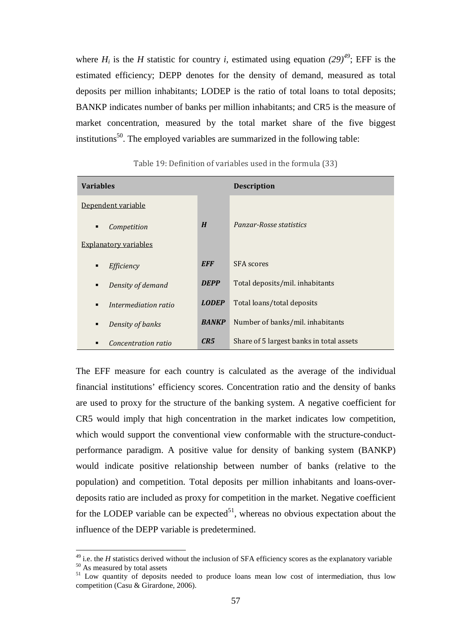where  $H_i$  is the *H* statistic for country *i*, estimated using equation  $(29)^{49}$ ; EFF is the estimated efficiency; DEPP denotes for the density of demand, measured as total deposits per million inhabitants; LODEP is the ratio of total loans to total deposits; BANKP indicates number of banks per million inhabitants; and CR5 is the measure of market concentration, measured by the total market share of the five biggest institutions<sup>50</sup>. The employed variables are summarized in the following table:

| <b>Variables</b>             |              | <b>Description</b>                       |
|------------------------------|--------------|------------------------------------------|
| Dependent variable           |              |                                          |
| Competition<br>٠             | H            | Panzar-Rosse statistics                  |
| <b>Explanatory variables</b> |              |                                          |
| Efficiency<br>٠              | <b>EFF</b>   | <b>SFA</b> scores                        |
| Density of demand<br>٠       | <b>DEPP</b>  | Total deposits/mil. inhabitants          |
| Intermediation ratio<br>٠    | <b>LODEP</b> | Total loans/total deposits               |
| Density of banks<br>٠        | <b>BANKP</b> | Number of banks/mil. inhabitants         |
| Concentration ratio          | CR5          | Share of 5 largest banks in total assets |

Table 19: Definition of variables used in the formula (33)

The EFF measure for each country is calculated as the average of the individual financial institutions' efficiency scores. Concentration ratio and the density of banks are used to proxy for the structure of the banking system. A negative coefficient for CR5 would imply that high concentration in the market indicates low competition, which would support the conventional view conformable with the structure-conductperformance paradigm. A positive value for density of banking system (BANKP) would indicate positive relationship between number of banks (relative to the population) and competition. Total deposits per million inhabitants and loans-overdeposits ratio are included as proxy for competition in the market. Negative coefficient for the LODEP variable can be expected<sup>51</sup>, whereas no obvious expectation about the influence of the DEPP variable is predetermined.

<sup>&</sup>lt;sup>49</sup> i.e. the *H* statistics derived without the inclusion of SFA efficiency scores as the explanatory variable <sup>50</sup> As measured by total assets

<sup>&</sup>lt;sup>51</sup> Low quantity of deposits needed to produce loans mean low cost of intermediation, thus low competition (Casu & Girardone, 2006).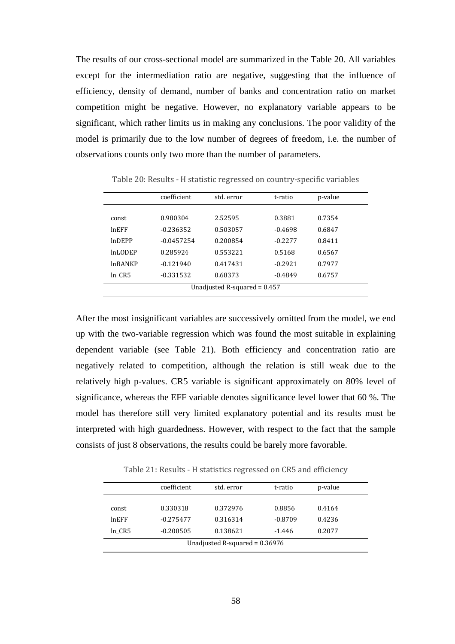The results of our cross-sectional model are summarized in the Table 20. All variables except for the intermediation ratio are negative, suggesting that the influence of efficiency, density of demand, number of banks and concentration ratio on market competition might be negative. However, no explanatory variable appears to be significant, which rather limits us in making any conclusions. The poor validity of the model is primarily due to the low number of degrees of freedom, i.e. the number of observations counts only two more than the number of parameters.

|                                | coefficient  | std. error | t-ratio   | p-value |
|--------------------------------|--------------|------------|-----------|---------|
|                                |              |            |           |         |
| const                          | 0.980304     | 2.52595    | 0.3881    | 0.7354  |
| $ln$ EFF                       | $-0.236352$  | 0.503057   | $-0.4698$ | 0.6847  |
| <b>InDEPP</b>                  | $-0.0457254$ | 0.200854   | $-0.2277$ | 0.8411  |
| InLODEP                        | 0.285924     | 0.553221   | 0.5168    | 0.6567  |
| <b>InBANKP</b>                 | $-0.121940$  | 0.417431   | $-0.2921$ | 0.7977  |
| ln CR5                         | $-0.331532$  | 0.68373    | $-0.4849$ | 0.6757  |
| Unadjusted R-squared = $0.457$ |              |            |           |         |

Table 20: Results - H statistic regressed on country-specific variables

After the most insignificant variables are successively omitted from the model, we end up with the two-variable regression which was found the most suitable in explaining dependent variable (see Table 21). Both efficiency and concentration ratio are negatively related to competition, although the relation is still weak due to the relatively high p-values. CR5 variable is significant approximately on 80% level of significance, whereas the EFF variable denotes significance level lower that 60 %. The model has therefore still very limited explanatory potential and its results must be interpreted with high guardedness. However, with respect to the fact that the sample consists of just 8 observations, the results could be barely more favorable.

Table 21: Results - H statistics regressed on CR5 and efficiency

| coefficient | std. error | t-ratio   | p-value |
|-------------|------------|-----------|---------|
|             |            |           | 0.4164  |
| $-0.275477$ | 0.316314   | $-0.8709$ | 0.4236  |
| $-0.200505$ | 0.138621   | $-1.446$  | 0.2077  |
|             | 0.330318   | 0.372976  | 0.8856  |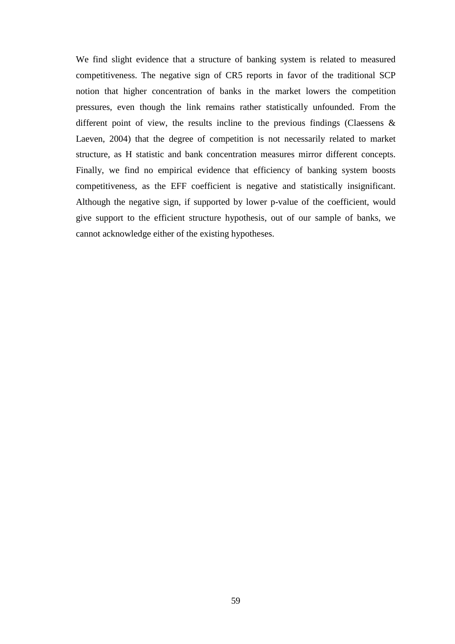We find slight evidence that a structure of banking system is related to measured competitiveness. The negative sign of CR5 reports in favor of the traditional SCP notion that higher concentration of banks in the market lowers the competition pressures, even though the link remains rather statistically unfounded. From the different point of view, the results incline to the previous findings (Claessens  $\&$ Laeven, 2004) that the degree of competition is not necessarily related to market structure, as H statistic and bank concentration measures mirror different concepts. Finally, we find no empirical evidence that efficiency of banking system boosts competitiveness, as the EFF coefficient is negative and statistically insignificant. Although the negative sign, if supported by lower p-value of the coefficient, would give support to the efficient structure hypothesis, out of our sample of banks, we cannot acknowledge either of the existing hypotheses.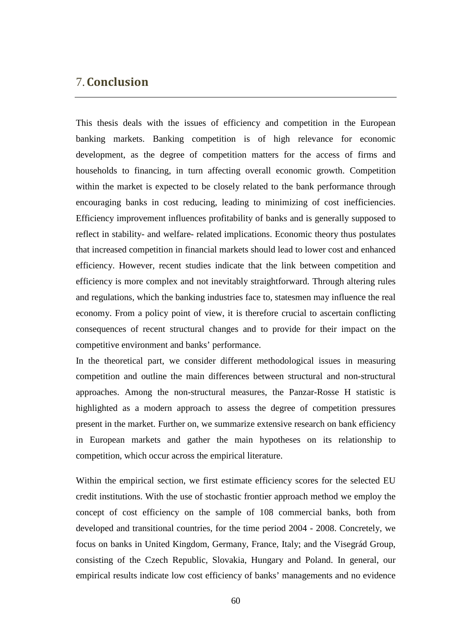# 7.**Conclusion**

This thesis deals with the issues of efficiency and competition in the European banking markets. Banking competition is of high relevance for economic development, as the degree of competition matters for the access of firms and households to financing, in turn affecting overall economic growth. Competition within the market is expected to be closely related to the bank performance through encouraging banks in cost reducing, leading to minimizing of cost inefficiencies. Efficiency improvement influences profitability of banks and is generally supposed to reflect in stability- and welfare- related implications. Economic theory thus postulates that increased competition in financial markets should lead to lower cost and enhanced efficiency. However, recent studies indicate that the link between competition and efficiency is more complex and not inevitably straightforward. Through altering rules and regulations, which the banking industries face to, statesmen may influence the real economy. From a policy point of view, it is therefore crucial to ascertain conflicting consequences of recent structural changes and to provide for their impact on the competitive environment and banks' performance.

In the theoretical part, we consider different methodological issues in measuring competition and outline the main differences between structural and non-structural approaches. Among the non-structural measures, the Panzar-Rosse H statistic is highlighted as a modern approach to assess the degree of competition pressures present in the market. Further on, we summarize extensive research on bank efficiency in European markets and gather the main hypotheses on its relationship to competition, which occur across the empirical literature.

Within the empirical section, we first estimate efficiency scores for the selected EU credit institutions. With the use of stochastic frontier approach method we employ the concept of cost efficiency on the sample of 108 commercial banks, both from developed and transitional countries, for the time period 2004 - 2008. Concretely, we focus on banks in United Kingdom, Germany, France, Italy; and the Visegrád Group, consisting of the Czech Republic, Slovakia, Hungary and Poland. In general, our empirical results indicate low cost efficiency of banks' managements and no evidence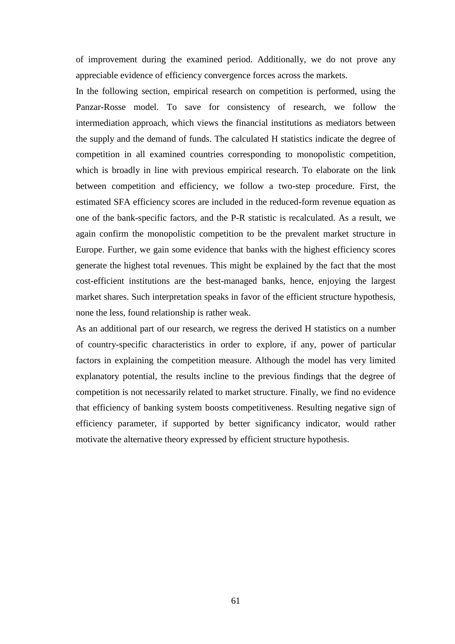of improvement during the examined period. Additionally, we do not prove any appreciable evidence of efficiency convergence forces across the markets.

In the following section, empirical research on competition is performed, using the Panzar-Rosse model. To save for consistency of research, we follow the intermediation approach, which views the financial institutions as mediators between the supply and the demand of funds. The calculated H statistics indicate the degree of competition in all examined countries corresponding to monopolistic competition, which is broadly in line with previous empirical research. To elaborate on the link between competition and efficiency, we follow a two-step procedure. First, the estimated SFA efficiency scores are included in the reduced-form revenue equation as one of the bank-specific factors, and the P-R statistic is recalculated. As a result, we again confirm the monopolistic competition to be the prevalent market structure in Europe. Further, we gain some evidence that banks with the highest efficiency scores generate the highest total revenues. This might be explained by the fact that the most cost-efficient institutions are the best-managed banks, hence, enjoying the largest market shares. Such interpretation speaks in favor of the efficient structure hypothesis, none the less, found relationship is rather weak.

As an additional part of our research, we regress the derived H statistics on a number of country-specific characteristics in order to explore, if any, power of particular factors in explaining the competition measure. Although the model has very limited explanatory potential, the results incline to the previous findings that the degree of competition is not necessarily related to market structure. Finally, we find no evidence that efficiency of banking system boosts competitiveness. Resulting negative sign of efficiency parameter, if supported by better significancy indicator, would rather motivate the alternative theory expressed by efficient structure hypothesis.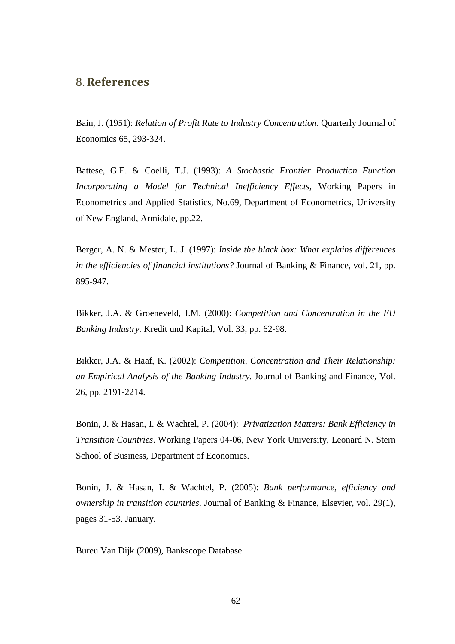## 8.**References**

Bain, J. (1951): *Relation of Profit Rate to Industry Concentration*. Quarterly Journal of Economics 65, 293-324.

Battese, G.E. & Coelli, T.J. (1993): *A Stochastic Frontier Production Function Incorporating a Model for Technical Inefficiency Effects*, Working Papers in Econometrics and Applied Statistics, No.69, Department of Econometrics, University of New England, Armidale, pp.22.

Berger, A. N. & Mester, L. J. (1997): *Inside the black box: What explains differences in the efficiencies of financial institutions?* Journal of Banking & Finance, vol. 21, pp. 895-947.

Bikker, J.A. & Groeneveld, J.M. (2000): *Competition and Concentration in the EU Banking Industry.* Kredit und Kapital, Vol. 33, pp. 62-98.

Bikker, J.A. & Haaf, K. (2002): *Competition, Concentration and Their Relationship: an Empirical Analysis of the Banking Industry.* Journal of Banking and Finance, Vol. 26, pp. 2191-2214.

Bonin, J. & Hasan, I. & Wachtel, P. (2004): *Privatization Matters: Bank Efficiency in Transition Countries*. Working Papers 04-06, New York University, Leonard N. Stern School of Business, Department of Economics.

Bonin, J. & Hasan, I. & Wachtel, P. (2005): *Bank performance, efficiency and ownership in transition countries*. Journal of Banking & Finance, Elsevier, vol. 29(1), pages 31-53, January.

Bureu Van Dijk (2009), Bankscope Database.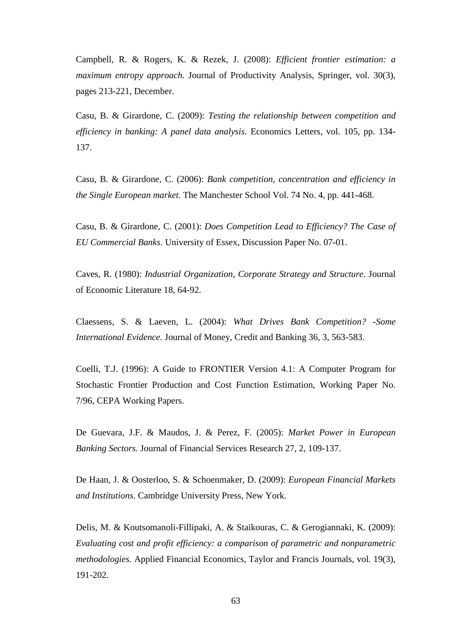Campbell, R. & Rogers, K. & Rezek, J. (2008): *Efficient frontier estimation: a maximum entropy approach.* Journal of Productivity Analysis, Springer, vol. 30(3), pages 213-221, December.

Casu, B. & Girardone, C. (2009): *Testing the relationship between competition and efficiency in banking: A panel data analysis.* Economics Letters, vol. 105, pp. 134- 137.

Casu, B. & Girardone, C. (2006): *Bank competition, concentration and efficiency in the Single European market.* The Manchester School Vol. 74 No. 4, pp. 441-468.

Casu, B. & Girardone, C. (2001): *Does Competition Lead to Efficiency? The Case of EU Commercial Banks*. University of Essex, Discussion Paper No. 07-01.

Caves, R. (1980): *Industrial Organization, Corporate Strategy and Structure*. Journal of Economic Literature 18, 64-92.

Claessens, S. & Laeven, L. (2004): *What Drives Bank Competition? -Some International Evidence.* Journal of Money, Credit and Banking 36, 3, 563-583.

Coelli, T.J. (1996): A Guide to FRONTIER Version 4.1: A Computer Program for Stochastic Frontier Production and Cost Function Estimation, Working Paper No. 7/96, CEPA Working Papers.

De Guevara, J.F. & Maudos, J. & Perez, F. (2005): *Market Power in European Banking Sectors.* Journal of Financial Services Research 27, 2, 109-137.

De Haan, J. & Oosterloo, S. & Schoenmaker, D. (2009): *European Financial Markets and Institutions*. Cambridge University Press, New York.

Delis, M. & Koutsomanoli-Fillipaki, A. & Staikouras, C. & Gerogiannaki, K. (2009): *Evaluating cost and profit efficiency: a comparison of parametric and nonparametric methodologies.* Applied Financial Economics, Taylor and Francis Journals, vol. 19(3), 191-202.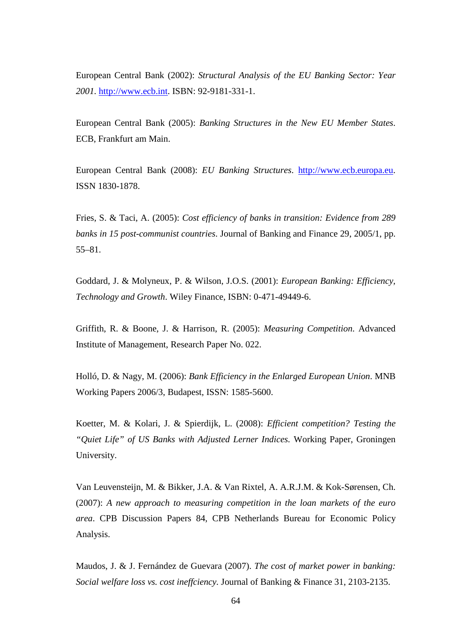European Central Bank (2002): *Structural Analysis of the EU Banking Sector: Year 2001.* http://www.ecb.int. ISBN: 92-9181-331-1.

European Central Bank (2005): *Banking Structures in the New EU Member States*. ECB, Frankfurt am Main.

European Central Bank (2008): *EU Banking Structures*. http://www.ecb.europa.eu. ISSN 1830-1878.

Fries, S. & Taci, A. (2005): *Cost efficiency of banks in transition: Evidence from 289 banks in 15 post-communist countries*. Journal of Banking and Finance 29, 2005/1, pp. 55–81.

Goddard, J. & Molyneux, P. & Wilson, J.O.S. (2001): *European Banking: Efficiency, Technology and Growth*. Wiley Finance, ISBN: 0-471-49449-6.

Griffith, R. & Boone, J. & Harrison, R. (2005): *Measuring Competition*. Advanced Institute of Management, Research Paper No. 022.

Holló, D. & Nagy, M. (2006): *Bank Efficiency in the Enlarged European Union*. MNB Working Papers 2006/3, Budapest, ISSN: 1585-5600.

Koetter, M. & Kolari, J. & Spierdijk, L. (2008): *Efficient competition? Testing the "Quiet Life" of US Banks with Adjusted Lerner Indices.* Working Paper, Groningen University.

Van Leuvensteijn, M. & Bikker, J.A. & Van Rixtel, A. A.R.J.M. & Kok-Sørensen, Ch. (2007): *A new approach to measuring competition in the loan markets of the euro area*. CPB Discussion Papers 84, CPB Netherlands Bureau for Economic Policy Analysis.

Maudos, J. & J. Fernández de Guevara (2007). *The cost of market power in banking: Social welfare loss vs. cost ineffciency.* Journal of Banking & Finance 31, 2103-2135.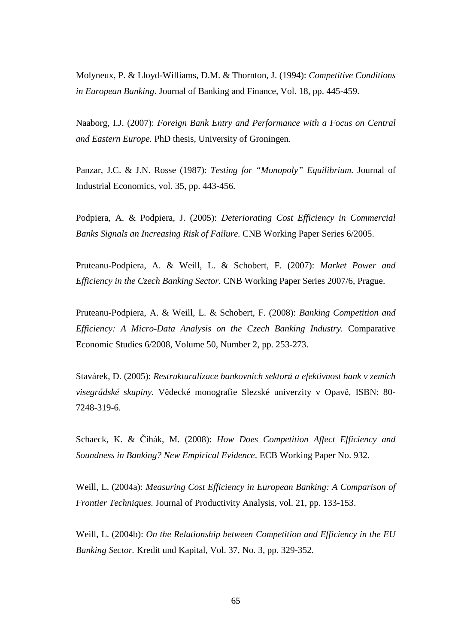Molyneux, P. & Lloyd-Williams, D.M. & Thornton, J. (1994): *Competitive Conditions in European Banking*. Journal of Banking and Finance, Vol. 18, pp. 445-459.

Naaborg, I.J. (2007): *Foreign Bank Entry and Performance with a Focus on Central and Eastern Europe.* PhD thesis, University of Groningen.

Panzar, J.C. & J.N. Rosse (1987): *Testing for "Monopoly" Equilibrium.* Journal of Industrial Economics, vol. 35, pp. 443-456.

Podpiera, A. & Podpiera, J. (2005): *Deteriorating Cost Efficiency in Commercial Banks Signals an Increasing Risk of Failure.* CNB Working Paper Series 6/2005.

Pruteanu-Podpiera, A. & Weill, L. & Schobert, F. (2007): *Market Power and Efficiency in the Czech Banking Sector.* CNB Working Paper Series 2007/6, Prague.

Pruteanu-Podpiera, A. & Weill, L. & Schobert, F. (2008): *Banking Competition and Efficiency: A Micro-Data Analysis on the Czech Banking Industry.* Comparative Economic Studies 6/2008, Volume 50, Number 2, pp. 253-273.

Stavárek, D. (2005): *Restrukturalizace bankovních sektorů a efektivnost bank v zemích visegrádské skupiny.* Vědecké monografie Slezské univerzity v Opavě, ISBN: 80- 7248-319-6.

Schaeck, K. & Čihák, M. (2008): *How Does Competition Affect Efficiency and Soundness in Banking? New Empirical Evidence*. ECB Working Paper No. 932.

Weill, L. (2004a): *Measuring Cost Efficiency in European Banking: A Comparison of Frontier Techniques.* Journal of Productivity Analysis, vol. 21, pp. 133-153.

Weill, L. (2004b): *On the Relationship between Competition and Efficiency in the EU Banking Sector.* Kredit und Kapital, Vol. 37, No. 3, pp. 329-352.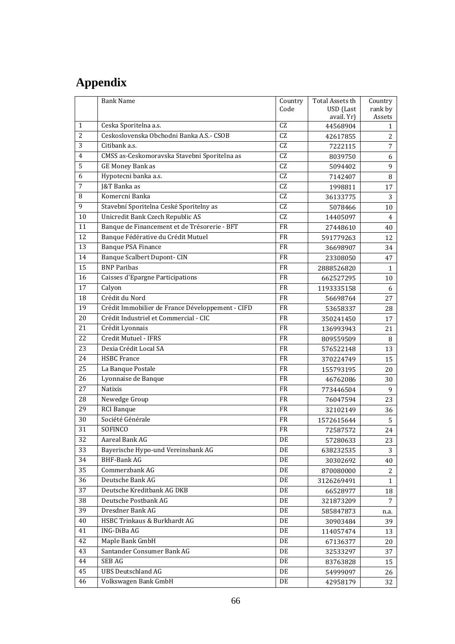# **Appendix**

|                 | <b>Bank Name</b>                                 | Country   | Total Assets th       | Country        |
|-----------------|--------------------------------------------------|-----------|-----------------------|----------------|
|                 |                                                  | Code      | USD (Last             | rank by        |
|                 |                                                  |           | avail. Yr)            | Assets         |
| $\mathbf{1}$    | Ceska Sporitelna a.s.                            | CZ        | 44568904              | 1              |
| $\overline{c}$  | Ceskoslovenska Obchodni Banka A.S.- CSOB         | CZ        | 42617855              | 2              |
| 3               | Citibank a.s.                                    | CZ        | 7222115               | $\overline{7}$ |
| $\overline{4}$  | CMSS as-Ceskomoravska Stavebni Sporitelna as     | CZ        | 8039750               | 6              |
| 5               | GE Money Bank as                                 | CZ        | 5094402               | 9              |
| 6               | Hypotecni banka a.s.                             | CZ        | 7142407               | $\, 8$         |
| $\overline{7}$  | J&T Banka as                                     | CZ        | 1998811               | 17             |
| 8               | Komercni Banka                                   | CZ        | 36133775              | 3              |
| 9               | Stavební Sporitelna Ceské Sporitelny as          | CZ        | 5078466               | 10             |
| 10              | Unicredit Bank Czech Republic AS                 | CZ        | 14405097              | $\overline{4}$ |
| 11              | Banque de Financement et de Trésorerie - BFT     | <b>FR</b> | 27448610              | 40             |
| 12              | Banque Fédérative du Crédit Mutuel               | <b>FR</b> | 591779263             | 12             |
| 13              | <b>Banque PSA Finance</b>                        | <b>FR</b> | 36698907              | 34             |
| 14              | <b>Banque Scalbert Dupont- CIN</b>               | FR        | 23308050              | 47             |
| 15              | <b>BNP</b> Paribas                               | FR        | 2888526820            | $\mathbf{1}$   |
| 16              | <b>Caisses d'Epargne Participations</b>          | FR        | 662527295             | 10             |
| 17              | Calyon                                           | <b>FR</b> | 1193335158            | 6              |
| 18              | Crédit du Nord                                   | <b>FR</b> | 56698764              | 27             |
| 19              | Crédit Immobilier de France Développement - CIFD | FR        |                       | 28             |
| 20              | Crédit Industriel et Commercial - CIC            | FR        | 53658337              | 17             |
| 21              | Crédit Lyonnais                                  | <b>FR</b> | 350241450             |                |
|                 |                                                  |           | 136993943             | 21             |
| 22              | Credit Mutuel - IFRS                             | FR        | 809559509             | 8              |
| 23              | Dexia Crédit Local SA                            | <b>FR</b> | 576522148             | 13             |
| 24              | <b>HSBC</b> France                               | <b>FR</b> | 370224749             | 15             |
| 25              | La Banque Postale                                | <b>FR</b> | 155793195             | 20             |
| 26              | Lyonnaise de Banque                              | FR        | 46762086              | 30             |
| 27              | Natixis                                          | FR        | 773446504             | 9              |
| 28              | Newedge Group                                    | FR        | 76047594              | 23             |
| 29              | <b>RCI</b> Banque                                | <b>FR</b> | 32102149              | 36             |
| 30              | Société Générale                                 | FR        | 1572615644            | 5              |
| 31              | SOFINCO                                          | FR        | 72587572              | 24             |
| $\overline{32}$ | Aareal Bank AG                                   | DE        | 57280633              | 23             |
| 33              | Bayerische Hypo-und Vereinsbank AG               | DE        | 638232535             | 3              |
| 34              | <b>BHF-Bank AG</b>                               | DE        | 30302692              | 40             |
| 35              | Commerzbank AG                                   | DE        | 870080000             | 2              |
| 36              | Deutsche Bank AG                                 | DE        | 3126269491            | $\mathbf{1}$   |
| 37              | Deutsche Kreditbank AG DKB                       | DE        |                       |                |
| 38              | Deutsche Postbank AG                             | DE        | 66528977<br>321873209 | 18<br>7        |
|                 | Dresdner Bank AG                                 |           |                       |                |
| 39              |                                                  | DE        | 585847873             | n.a.           |
| 40              | HSBC Trinkaus & Burkhardt AG                     | DE        | 30903484              | 39             |
| 41              | ING-DiBa AG                                      | DE        | 114057474             | 13             |
| 42              | Maple Bank GmbH                                  | DE        | 67136377              | 20             |
| 43              | Santander Consumer Bank AG                       | DE        | 32533297              | 37             |
| 44              | SEB AG                                           | DE        | 83763828              | 15             |
| 45              | <b>UBS Deutschland AG</b>                        | DE        | 54999097              | 26             |
| 46              | Volkswagen Bank GmbH                             | DE        | 42958179              | 32             |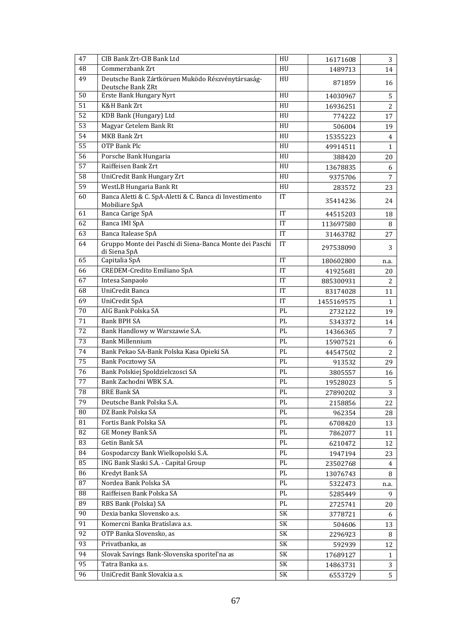| 47 | CIB Bank Zrt-CIB Bank Ltd                                                | HU                     | 16171608   | 3              |
|----|--------------------------------------------------------------------------|------------------------|------------|----------------|
| 48 | Commerzbank Zrt                                                          | HU                     | 1489713    | 14             |
| 49 | Deutsche Bank Zártköruen Muködo Részvénytársaság-<br>Deutsche Bank ZRt   | HU                     | 871859     | 16             |
| 50 | Erste Bank Hungary Nyrt                                                  | HU                     | 14030967   | 5              |
| 51 | <b>K&amp;H Bank Zrt</b>                                                  | HU                     | 16936251   | $\overline{2}$ |
| 52 | KDB Bank (Hungary) Ltd                                                   | HU                     | 774222     | 17             |
| 53 | Magyar Cetelem Bank Rt                                                   | HU                     | 506004     | 19             |
| 54 | <b>MKB Bank Zrt</b>                                                      | HU                     | 15355223   | $\overline{4}$ |
| 55 | OTP Bank Plc                                                             | HU                     | 49914511   | $\mathbf{1}$   |
| 56 | Porsche Bank Hungaria                                                    | HU                     | 388420     | 20             |
| 57 | Raiffeisen Bank Zrt                                                      | HU                     | 13678835   | 6              |
| 58 | UniCredit Bank Hungary Zrt                                               | HU                     | 9375706    | 7              |
| 59 | WestLB Hungaria Bank Rt                                                  | HU                     | 283572     | 23             |
| 60 | Banca Aletti & C. SpA-Aletti & C. Banca di Investimento<br>Mobiliare SpA | IT                     | 35414236   | 24             |
| 61 | Banca Carige SpA                                                         | <b>IT</b>              | 44515203   | 18             |
| 62 | Banca IMI SpA                                                            | IT                     | 113697580  | 8              |
| 63 | Banca Italease SpA                                                       | IT                     | 31463782   | 27             |
| 64 | Gruppo Monte dei Paschi di Siena-Banca Monte dei Paschi<br>di Siena SpA  | IT                     | 297538090  | 3              |
| 65 | Capitalia SpA                                                            | IT                     | 180602800  | n.a.           |
| 66 | CREDEM-Credito Emiliano SpA                                              | IT                     | 41925681   | 20             |
| 67 | Intesa Sanpaolo                                                          | IT                     | 885300931  | 2              |
| 68 | UniCredit Banca                                                          | IT                     | 83174028   | 11             |
| 69 | UniCredit SpA                                                            | <b>IT</b>              | 1455169575 | 1              |
| 70 | AIG Bank Polska SA                                                       | PL                     | 2732122    | 19             |
| 71 | <b>Bank BPH SA</b>                                                       | PL                     | 5343372    | 14             |
| 72 | Bank Handlowy w Warszawie S.A.                                           | PL                     | 14366365   | $\overline{7}$ |
| 73 | <b>Bank Millennium</b>                                                   | PL                     | 15907521   | 6              |
| 74 | Bank Pekao SA-Bank Polska Kasa Opieki SA                                 | $\mathbf{P}\mathbf{L}$ | 44547502   | $\overline{2}$ |
| 75 | <b>Bank Pocztowy SA</b>                                                  | PL                     | 913532     | 29             |
| 76 | Bank Polskiej Spoldzielczosci SA                                         | PL                     | 3805557    | 16             |
| 77 | Bank Zachodni WBK S.A.                                                   | PL                     | 19528023   | 5              |
| 78 | <b>BRE Bank SA</b>                                                       | PL                     | 27890202   | 3              |
| 79 | Deutsche Bank Polska S.A.                                                | PL                     | 2158856    | 22             |
| 80 | DZ Bank Polska SA                                                        | PL                     | 962354     | 28             |
| 81 | Fortis Bank Polska SA                                                    | PL                     | 6708420    | 13             |
| 82 | <b>GE Money Bank SA</b>                                                  | PL                     | 7862077    | 11             |
| 83 | Getin Bank SA                                                            | PL                     | 6210472    | 12             |
| 84 | Gospodarczy Bank Wielkopolski S.A.                                       | PL                     | 1947194    | 23             |
| 85 | ING Bank Slaski S.A. - Capital Group                                     | PL                     | 23502768   | 4              |
| 86 | Kredyt Bank SA                                                           | PL                     | 13076743   | 8              |
| 87 | Nordea Bank Polska SA                                                    | PL                     | 5322473    | n.a.           |
| 88 | Raiffeisen Bank Polska SA                                                | $\mathbf{P}\mathbf{L}$ | 5285449    | 9              |
| 89 | RBS Bank (Polska) SA                                                     | PL                     | 2725741    | 20             |
| 90 | Dexia banka Slovensko a.s.                                               | SK                     | 3778721    | 6              |
| 91 | Komercni Banka Bratislava a.s.                                           | SK                     | 504606     | 13             |
| 92 | OTP Banka Slovensko, as                                                  | SK                     | 2296923    | 8              |
| 93 | Privatbanka, as                                                          | SK                     | 592939     | 12             |
| 94 | Slovak Savings Bank-Slovenska sporitel'na as                             | SK                     | 17689127   | 1              |
| 95 | Tatra Banka a.s.                                                         | SK                     | 14863731   | 3              |
| 96 | UniCredit Bank Slovakia a.s.                                             | SK                     | 6553729    | 5              |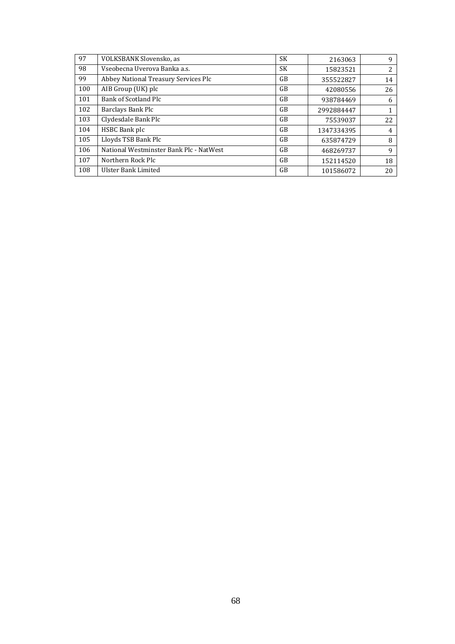| 97  | VOLKSBANK Slovensko, as                 | <b>SK</b> | 2163063    | 9  |
|-----|-----------------------------------------|-----------|------------|----|
| 98  | Vseobecna Uverova Banka a.s.            | <b>SK</b> | 15823521   | 2  |
| 99  | Abbey National Treasury Services Plc    | <b>GB</b> | 355522827  | 14 |
| 100 | AIB Group (UK) plc                      | GB        | 42080556   | 26 |
| 101 | Bank of Scotland Plc                    | GB        | 938784469  | 6  |
| 102 | Barclays Bank Plc                       | GB        | 2992884447 |    |
| 103 | Clydesdale Bank Plc                     | <b>GB</b> | 75539037   | 22 |
| 104 | HSBC Bank plc                           | <b>GB</b> | 1347334395 | 4  |
| 105 | Lloyds TSB Bank Plc                     | GB        | 635874729  | 8  |
| 106 | National Westminster Bank Plc - NatWest | GB        | 468269737  | 9  |
| 107 | Northern Rock Plc                       | GB        | 152114520  | 18 |
| 108 | Ulster Bank Limited                     | GB        | 101586072  | 20 |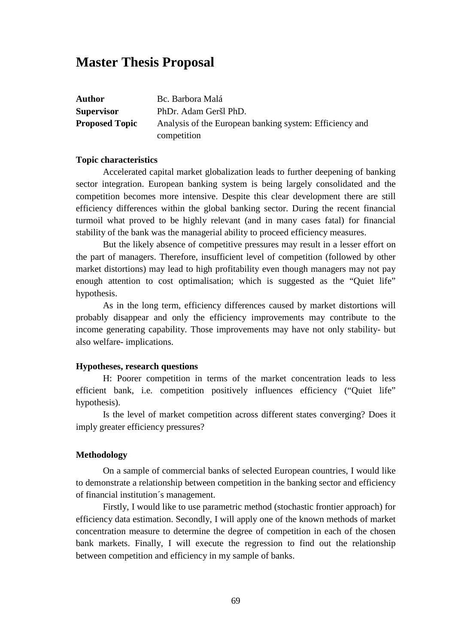# **Master Thesis Proposal**

| <b>Author</b>         | Bc. Barbora Malá                                        |
|-----------------------|---------------------------------------------------------|
| <b>Supervisor</b>     | PhDr. Adam Geršl PhD.                                   |
| <b>Proposed Topic</b> | Analysis of the European banking system: Efficiency and |
|                       | competition                                             |

#### **Topic characteristics**

Accelerated capital market globalization leads to further deepening of banking sector integration. European banking system is being largely consolidated and the competition becomes more intensive. Despite this clear development there are still efficiency differences within the global banking sector. During the recent financial turmoil what proved to be highly relevant (and in many cases fatal) for financial stability of the bank was the managerial ability to proceed efficiency measures.

 But the likely absence of competitive pressures may result in a lesser effort on the part of managers. Therefore, insufficient level of competition (followed by other market distortions) may lead to high profitability even though managers may not pay enough attention to cost optimalisation; which is suggested as the "Quiet life" hypothesis.

As in the long term, efficiency differences caused by market distortions will probably disappear and only the efficiency improvements may contribute to the income generating capability. Those improvements may have not only stability- but also welfare- implications.

### **Hypotheses, research questions**

H: Poorer competition in terms of the market concentration leads to less efficient bank, i.e. competition positively influences efficiency ("Quiet life" hypothesis).

Is the level of market competition across different states converging? Does it imply greater efficiency pressures?

## **Methodology**

On a sample of commercial banks of selected European countries, I would like to demonstrate a relationship between competition in the banking sector and efficiency of financial institution´s management.

Firstly, I would like to use parametric method (stochastic frontier approach) for efficiency data estimation. Secondly, I will apply one of the known methods of market concentration measure to determine the degree of competition in each of the chosen bank markets. Finally, I will execute the regression to find out the relationship between competition and efficiency in my sample of banks.